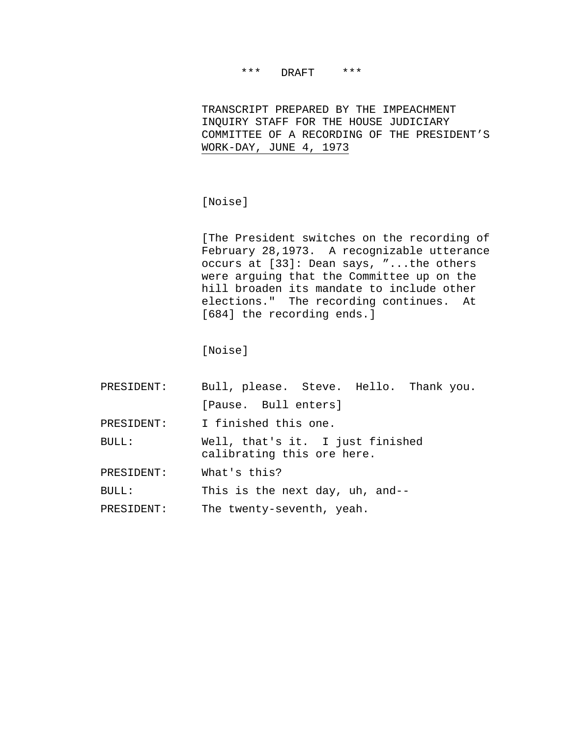# \*\*\* DRAFT \*\*\*

TRANSCRIPT PREPARED BY THE IMPEACHMENT INQUIRY STAFF FOR THE HOUSE JUDICIARY COMMITTEE OF A RECORDING OF THE PRESIDENT'S WORK-DAY, JUNE 4, 1973

[Noise]

[The President switches on the recording of February 28,1973. A recognizable utterance occurs at [33]: Dean says, "...the others were arguing that the Committee up on the hill broaden its mandate to include other elections." The recording continues. At [684] the recording ends.]

[Noise]

| PRESIDENT: | Bull, please. Steve. Hello. Thank you.                         |
|------------|----------------------------------------------------------------|
|            | [Pause. Bull enters]                                           |
| PRESIDENT: | I finished this one.                                           |
| BULL:      | Well, that's it. I just finished<br>calibrating this ore here. |
| PRESIDENT: | What's this?                                                   |
| BULL:      | This is the next day, uh, and--                                |
| PRESIDENT: | The twenty-seventh, yeah.                                      |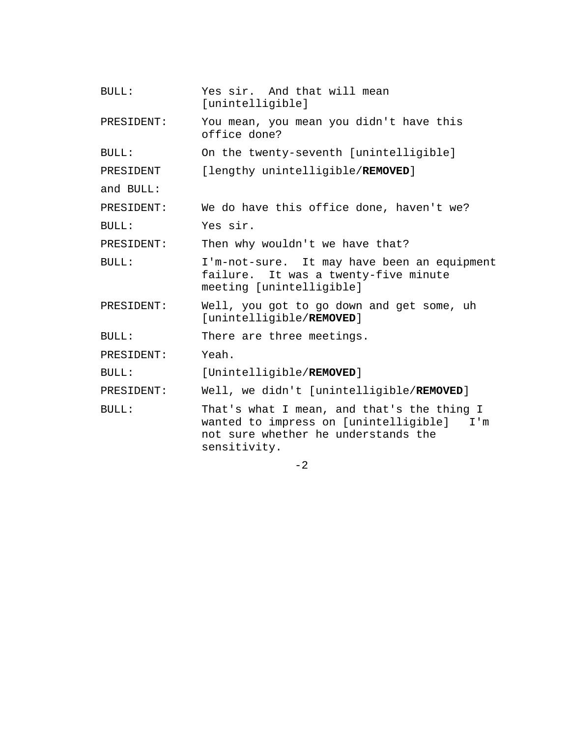| <b>BULL:</b> | Yes sir. And that will mean<br>[unintelligible]                                                                                                |
|--------------|------------------------------------------------------------------------------------------------------------------------------------------------|
| PRESIDENT:   | You mean, you mean you didn't have this<br>office done?                                                                                        |
| BULL:        | On the twenty-seventh [unintelligible]                                                                                                         |
| PRESIDENT    | [lengthy unintelligible/REMOVED]                                                                                                               |
| and BULL:    |                                                                                                                                                |
| PRESIDENT:   | We do have this office done, haven't we?                                                                                                       |
| BULL:        | Yes sir.                                                                                                                                       |
| PRESIDENT:   | Then why wouldn't we have that?                                                                                                                |
| <b>BULL:</b> | I'm-not-sure. It may have been an equipment<br>failure. It was a twenty-five minute<br>meeting [unintelligible]                                |
| PRESIDENT:   | Well, you got to go down and get some, uh<br>[unintelligible/REMOVED]                                                                          |
| BULL:        | There are three meetings.                                                                                                                      |
| PRESIDENT:   | Yeah.                                                                                                                                          |
| BULL:        | [Unintelligible/REMOVED]                                                                                                                       |
| PRESIDENT:   | Well, we didn't [unintelligible/REMOVED]                                                                                                       |
| <b>BULL:</b> | That's what I mean, and that's the thing I<br>wanted to impress on [unintelligible] I'm<br>not sure whether he understands the<br>sensitivity. |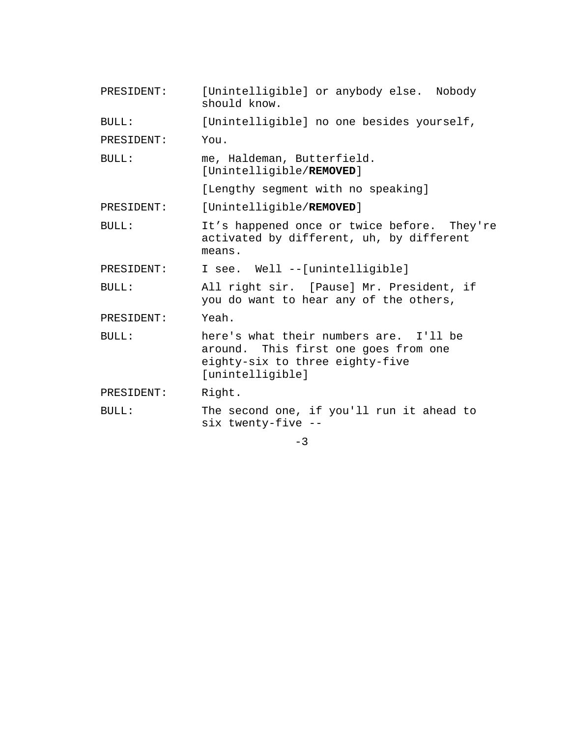| PRESIDENT: | [Unintelligible] or anybody else. Nobody<br>should know.                                                                              |
|------------|---------------------------------------------------------------------------------------------------------------------------------------|
| BULL:      | [Unintelligible] no one besides yourself,                                                                                             |
| PRESIDENT: | You.                                                                                                                                  |
| BULL:      | me, Haldeman, Butterfield.<br>[Unintelligible/REMOVED]                                                                                |
|            | [Lengthy segment with no speaking]                                                                                                    |
| PRESIDENT: | [Unintelligible/REMOVED]                                                                                                              |
| BULL:      | It's happened once or twice before. They're<br>activated by different, uh, by different<br>means.                                     |
| PRESIDENT: | I see. Well --[unintelligible]                                                                                                        |
| BULL:      | All right sir. [Pause] Mr. President, if<br>you do want to hear any of the others,                                                    |
| PRESIDENT: | Yeah.                                                                                                                                 |
| BULL:      | here's what their numbers are. I'll be<br>around. This first one goes from one<br>eighty-six to three eighty-five<br>[unintelligible] |
| PRESIDENT: | Right.                                                                                                                                |
| BULL:      | The second one, if you'll run it ahead to<br>six twenty-five --                                                                       |
|            | $-3$                                                                                                                                  |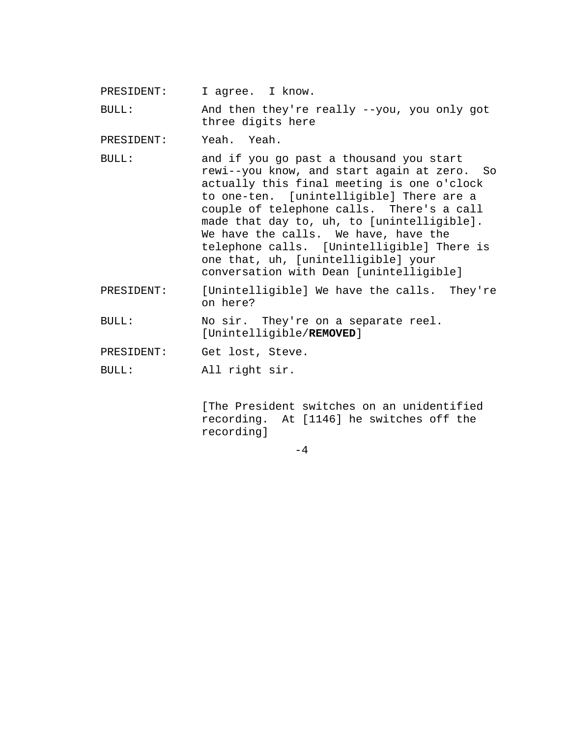PRESIDENT: I agree. I know.

BULL: And then they're really --you, you only got three digits here

PRESIDENT: Yeah. Yeah.

BULL: and if you go past a thousand you start rewi--you know, and start again at zero. So actually this final meeting is one o'clock to one-ten. [unintelligible] There are a couple of telephone calls. There's a call made that day to, uh, to [unintelligible]. We have the calls. We have, have the telephone calls. [Unintelligible] There is one that, uh, [unintelligible] your conversation with Dean [unintelligible]

- PRESIDENT: [Unintelligible] We have the calls. They're on here?
- BULL: No sir. They're on a separate reel. [Unintelligible/**REMOVED**]

PRESIDENT: Get lost, Steve.

BULL: All right sir.

[The President switches on an unidentified recording. At [1146] he switches off the recording]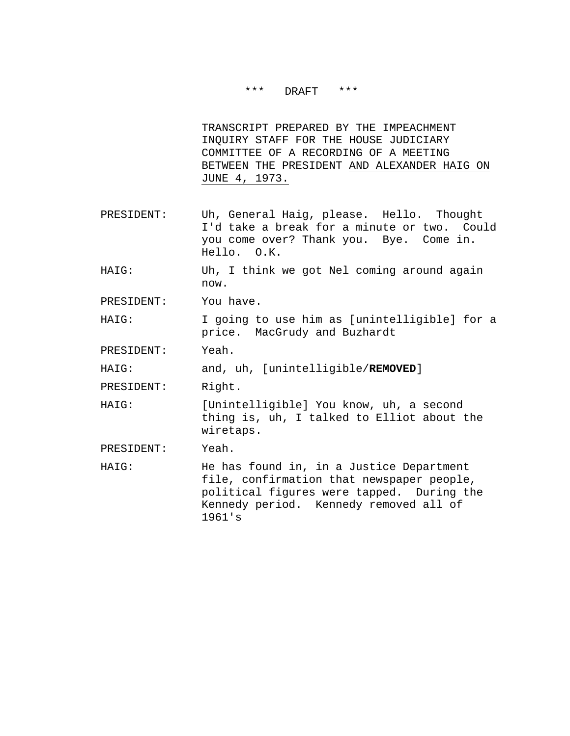### \*\*\* DRAFT \*\*\*

TRANSCRIPT PREPARED BY THE IMPEACHMENT INQUIRY STAFF FOR THE HOUSE JUDICIARY COMMITTEE OF A RECORDING OF A MEETING BETWEEN THE PRESIDENT AND ALEXANDER HAIG ON JUNE 4, 1973.

- PRESIDENT: Uh, General Haig, please. Hello. Thought I'd take a break for a minute or two. Could you come over? Thank you. Bye. Come in. Hello. O.K.
- HAIG: Uh, I think we got Nel coming around again now.
- PRESIDENT: You have.

HAIG: I going to use him as [unintelligible] for a price. MacGrudy and Buzhardt

PRESIDENT: Yeah.

HAIG: and, uh, [unintelligible/**REMOVED**]

PRESIDENT: Right.

HAIG: [Unintelligible] You know, uh, a second thing is, uh, I talked to Elliot about the wiretaps.

PRESIDENT: Yeah.

HAIG: He has found in, in a Justice Department file, confirmation that newspaper people, political figures were tapped. During the Kennedy period. Kennedy removed all of 1961's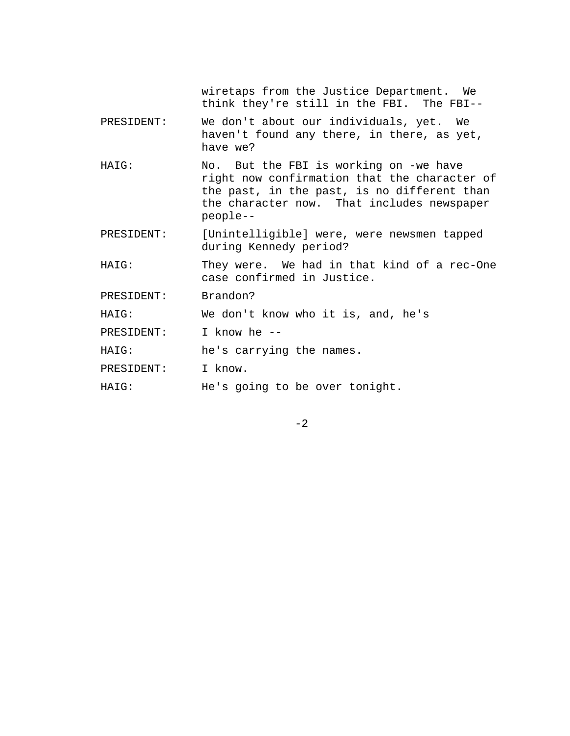|            | wiretaps from the Justice Department. We<br>think they're still in the FBI. The FBI--                                                                                                           |
|------------|-------------------------------------------------------------------------------------------------------------------------------------------------------------------------------------------------|
| PRESIDENT: | We don't about our individuals, yet. We<br>haven't found any there, in there, as yet,<br>have we?                                                                                               |
| HAIG:      | No. But the FBI is working on -we have<br>right now confirmation that the character of<br>the past, in the past, is no different than<br>the character now. That includes newspaper<br>people-- |
| PRESIDENT: | [Unintelligible] were, were newsmen tapped<br>during Kennedy period?                                                                                                                            |
| HAIG:      | They were. We had in that kind of a rec-One<br>case confirmed in Justice.                                                                                                                       |
| PRESIDENT: | Brandon?                                                                                                                                                                                        |
| HAIG:      | We don't know who it is, and, he's                                                                                                                                                              |
| PRESIDENT: | T know he --                                                                                                                                                                                    |
| HAIG:      | he's carrying the names.                                                                                                                                                                        |
| PRESIDENT: | I know.                                                                                                                                                                                         |
| HAIG:      | He's going to be over tonight.                                                                                                                                                                  |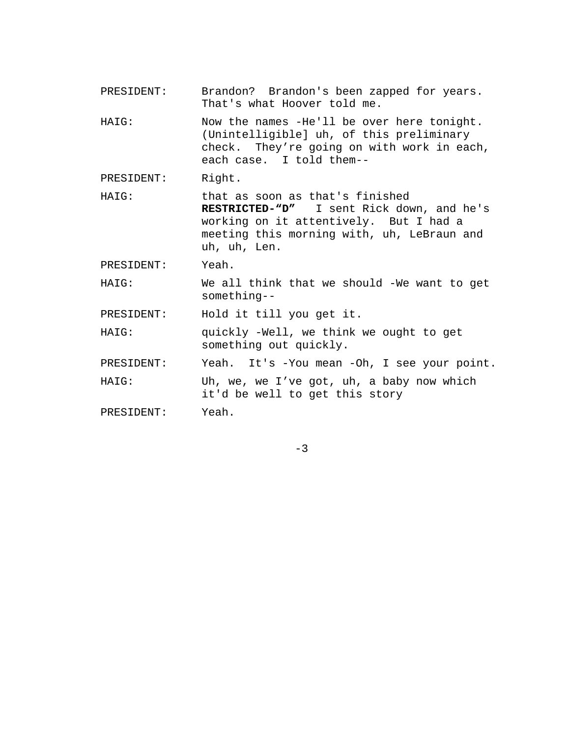PRESIDENT: Brandon? Brandon's been zapped for years. That's what Hoover told me. HAIG: Now the names -He'll be over here tonight. (Unintelligible] uh, of this preliminary check. They're going on with work in each, each case. I told them-- PRESIDENT: Right. HAIG: that as soon as that's finished **RESTRICTED-"D"** I sent Rick down, and he's working on it attentively. But I had a meeting this morning with, uh, LeBraun and uh, uh, Len. PRESIDENT: Yeah. HAIG: We all think that we should -We want to get something-- PRESIDENT: Hold it till you get it. HAIG: quickly -Well, we think we ought to get something out quickly. PRESIDENT: Yeah. It's -You mean -Oh, I see your point. HAIG: Uh, we, we I've got, uh, a baby now which it'd be well to get this story PRESIDENT: Yeah.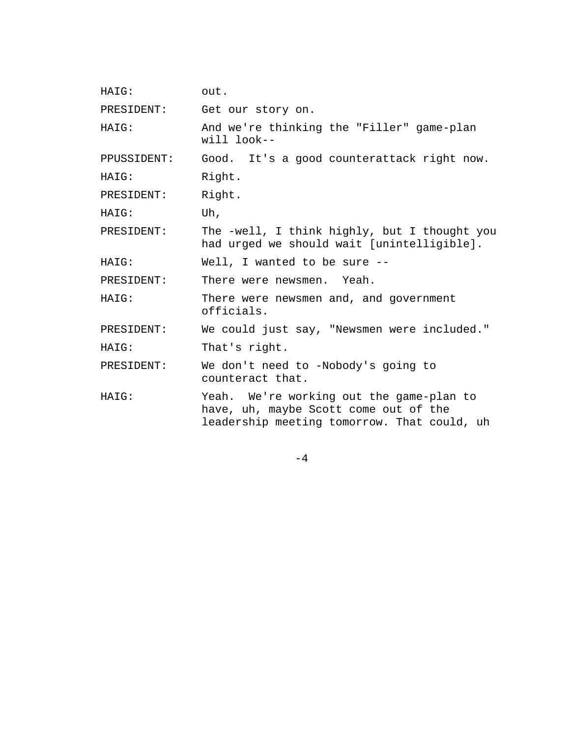| HAIG:       | out.                                                                                                                             |
|-------------|----------------------------------------------------------------------------------------------------------------------------------|
| PRESIDENT:  | Get our story on.                                                                                                                |
| HAIG:       | And we're thinking the "Filler" game-plan<br>will look--                                                                         |
| PPUSSIDENT: | Good. It's a good counterattack right now.                                                                                       |
| HAIG:       | Right.                                                                                                                           |
| PRESIDENT:  | Right.                                                                                                                           |
| HAIG:       | Uh,                                                                                                                              |
| PRESIDENT:  | The -well, I think highly, but I thought you<br>had urged we should wait [unintelligible].                                       |
| HAIG:       | Well, I wanted to be sure --                                                                                                     |
| PRESIDENT:  | There were newsmen. Yeah.                                                                                                        |
| HAIG:       | There were newsmen and, and government<br>officials.                                                                             |
| PRESIDENT:  | We could just say, "Newsmen were included."                                                                                      |
| HAIG:       | That's right.                                                                                                                    |
| PRESIDENT:  | We don't need to -Nobody's going to<br>counteract that.                                                                          |
| HAIG:       | Yeah. We're working out the game-plan to<br>have, uh, maybe Scott come out of the<br>leadership meeting tomorrow. That could, uh |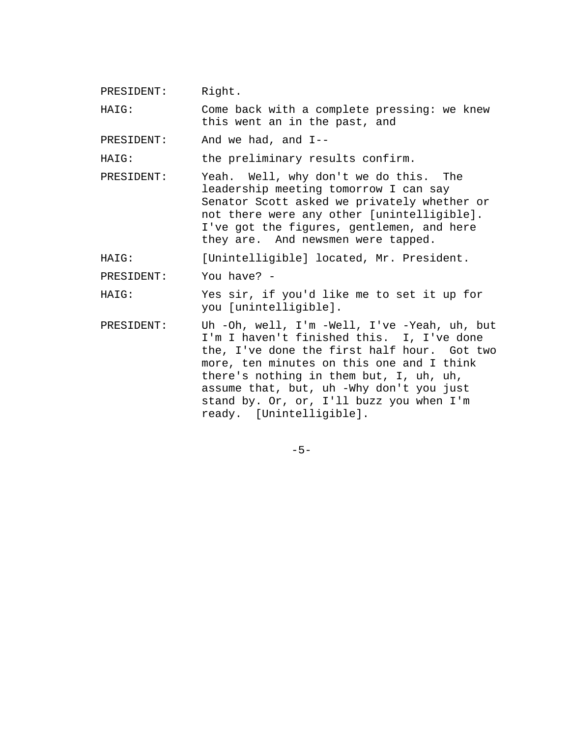PRESIDENT: Right.

HAIG: Come back with a complete pressing: we knew this went an in the past, and

PRESIDENT: And we had, and I--

HAIG: the preliminary results confirm.

PRESIDENT: Yeah. Well, why don't we do this. The leadership meeting tomorrow I can say Senator Scott asked we privately whether or not there were any other [unintelligible]. I've got the figures, gentlemen, and here they are. And newsmen were tapped.

HAIG: [Unintelligible] located, Mr. President.

PRESIDENT: You have? -

HAIG: Yes sir, if you'd like me to set it up for you [unintelligible].

PRESIDENT: Uh -Oh, well, I'm -Well, I've -Yeah, uh, but I'm I haven't finished this. I, I've done the, I've done the first half hour. Got two more, ten minutes on this one and I think there's nothing in them but, I, uh, uh, assume that, but, uh -Why don't you just stand by. Or, or, I'll buzz you when I'm ready. [Unintelligible].

-5-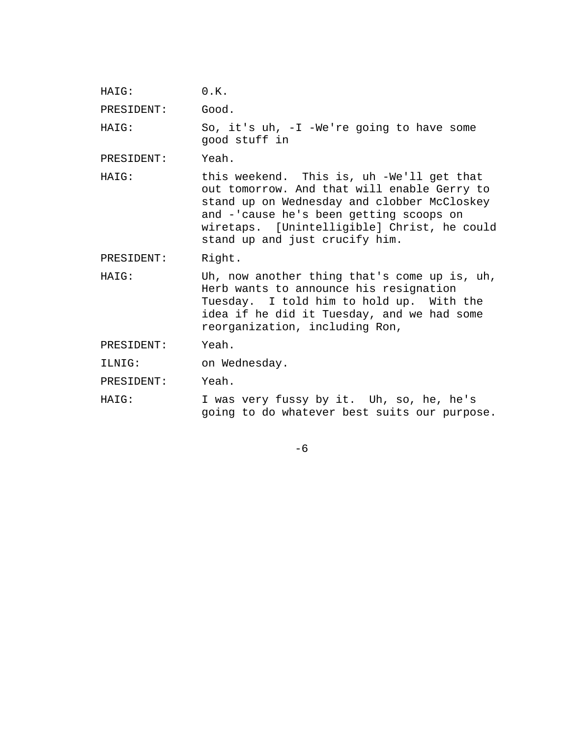HAIG: 0.K.

PRESIDENT: Good.

HAIG: So, it's uh, -I -We're going to have some good stuff in

PRESIDENT: Yeah.

HAIG: this weekend. This is, uh -We'll get that out tomorrow. And that will enable Gerry to stand up on Wednesday and clobber McCloskey and -'cause he's been getting scoops on wiretaps. [Unintelligible] Christ, he could stand up and just crucify him.

PRESIDENT: Right.

- HAIG: Uh, now another thing that's come up is, uh, Herb wants to announce his resignation Tuesday. I told him to hold up. With the idea if he did it Tuesday, and we had some reorganization, including Ron,
- PRESIDENT: Yeah.

ILNIG: on Wednesday.

PRESIDENT: Yeah.

HAIG: I was very fussy by it. Uh, so, he, he's going to do whatever best suits our purpose.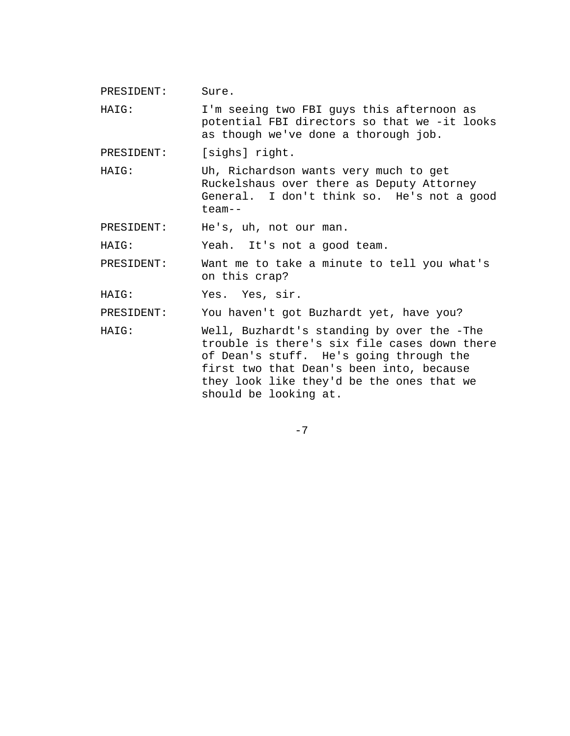PRESIDENT: Sure.

HAIG: I'm seeing two FBI guys this afternoon as potential FBI directors so that we -it looks as though we've done a thorough job.

PRESIDENT: [sighs] right.

HAIG: Uh, Richardson wants very much to get Ruckelshaus over there as Deputy Attorney General. I don't think so. He's not a good team--

PRESIDENT: He's, uh, not our man.

HAIG: Yeah. It's not a good team.

PRESIDENT: Want me to take a minute to tell you what's on this crap?

HAIG: Yes. Yes, sir.

PRESIDENT: You haven't got Buzhardt yet, have you?

HAIG: Well, Buzhardt's standing by over the -The trouble is there's six file cases down there of Dean's stuff. He's going through the first two that Dean's been into, because they look like they'd be the ones that we should be looking at.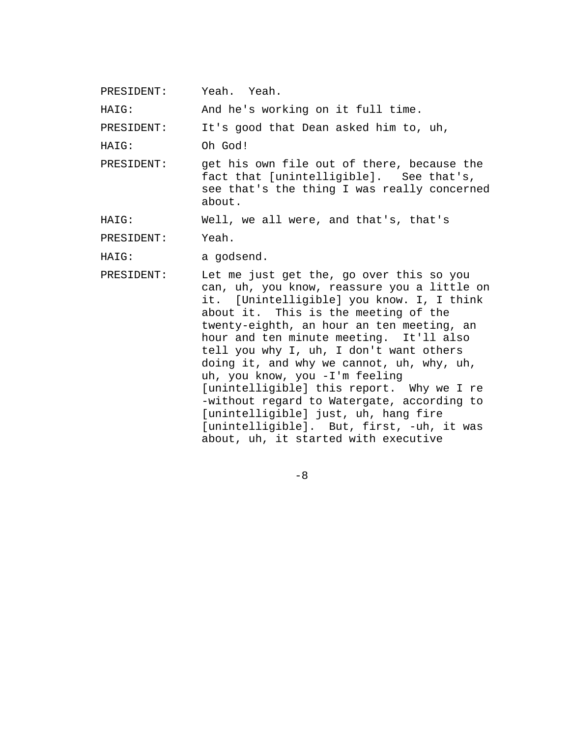PRESIDENT: Yeah. Yeah.

HAIG: Mand he's working on it full time.

PRESIDENT: It's good that Dean asked him to, uh,

HAIG: Oh God!

PRESIDENT: get his own file out of there, because the fact that [unintelligible]. See that's, see that's the thing I was really concerned about.

HAIG: Well, we all were, and that's, that's

PRESIDENT: Yeah.

HAIG: a godsend.

PRESIDENT: Let me just get the, go over this so you can, uh, you know, reassure you a little on it. [Unintelligible] you know. I, I think about it. This is the meeting of the twenty-eighth, an hour an ten meeting, an hour and ten minute meeting. It'll also tell you why I, uh, I don't want others doing it, and why we cannot, uh, why, uh, uh, you know, you -I'm feeling [unintelligible] this report. Why we I re -without regard to Watergate, according to [unintelligible] just, uh, hang fire [unintelligible]. But, first, -uh, it was about, uh, it started with executive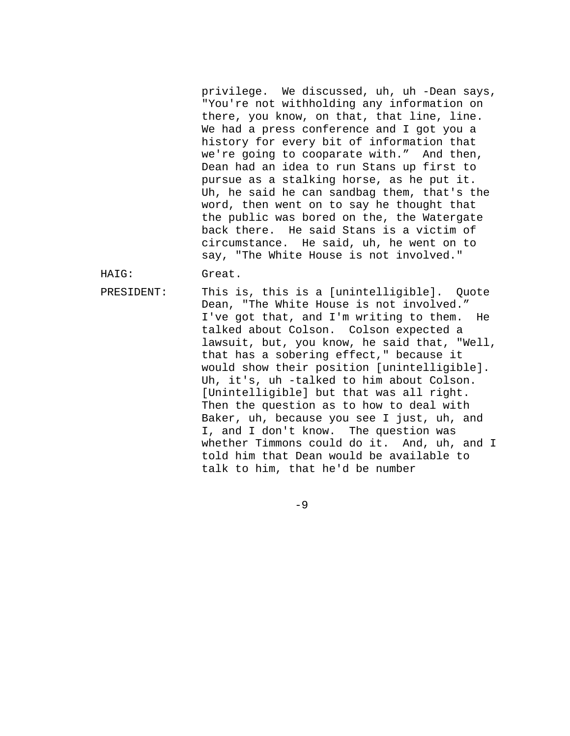privilege. We discussed, uh, uh -Dean says, "You're not withholding any information on there, you know, on that, that line, line. We had a press conference and I got you a history for every bit of information that we're going to cooparate with." And then, Dean had an idea to run Stans up first to pursue as a stalking horse, as he put it. Uh, he said he can sandbag them, that's the word, then went on to say he thought that the public was bored on the, the Watergate back there. He said Stans is a victim of circumstance. He said, uh, he went on to say, "The White House is not involved."

HAIG: Great.

PRESIDENT: This is, this is a [unintelligible]. Quote Dean, "The White House is not involved." I've got that, and I'm writing to them. He talked about Colson. Colson expected a lawsuit, but, you know, he said that, "Well, that has a sobering effect," because it would show their position [unintelligible]. Uh, it's, uh -talked to him about Colson. [Unintelligible] but that was all right. Then the question as to how to deal with Baker, uh, because you see I just, uh, and I, and I don't know. The question was whether Timmons could do it. And, uh, and I told him that Dean would be available to talk to him, that he'd be number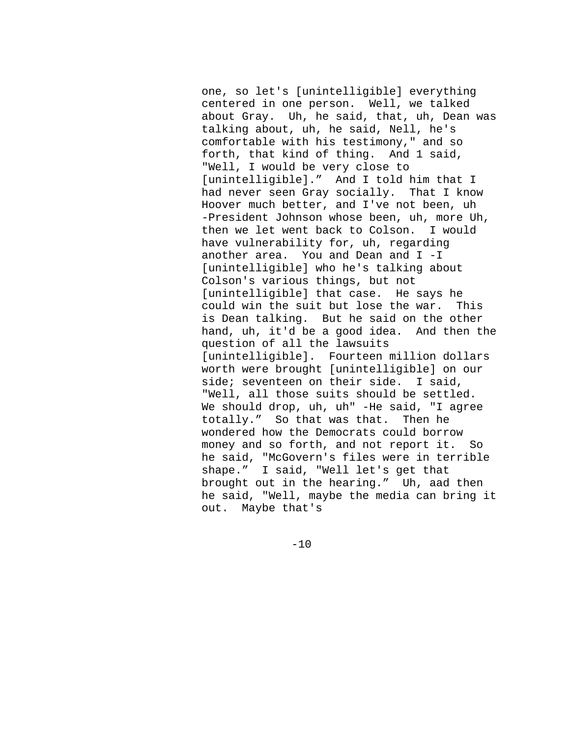one, so let's [unintelligible] everything centered in one person. Well, we talked about Gray. Uh, he said, that, uh, Dean was talking about, uh, he said, Nell, he's comfortable with his testimony," and so forth, that kind of thing. And 1 said, "Well, I would be very close to [unintelligible]." And I told him that I had never seen Gray socially. That I know Hoover much better, and I've not been, uh -President Johnson whose been, uh, more Uh, then we let went back to Colson. I would have vulnerability for, uh, regarding another area. You and Dean and I -I [unintelligible] who he's talking about Colson's various things, but not [unintelligible] that case. He says he could win the suit but lose the war. This is Dean talking. But he said on the other hand, uh, it'd be a good idea. And then the question of all the lawsuits [unintelligible]. Fourteen million dollars worth were brought [unintelligible] on our side; seventeen on their side. I said, "Well, all those suits should be settled. We should drop, uh, uh" -He said, "I agree totally." So that was that. Then he wondered how the Democrats could borrow money and so forth, and not report it. So he said, "McGovern's files were in terrible shape." I said, "Well let's get that brought out in the hearing." Uh, aad then he said, "Well, maybe the media can bring it out. Maybe that's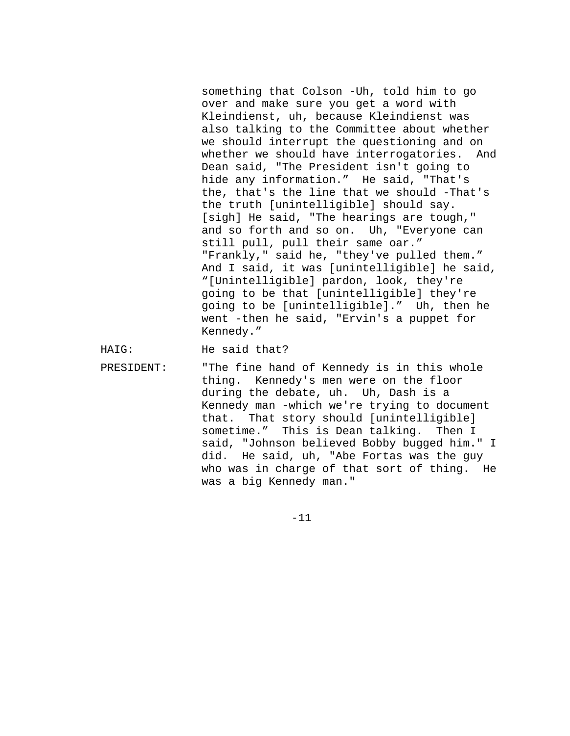something that Colson -Uh, told him to go over and make sure you get a word with Kleindienst, uh, because Kleindienst was also talking to the Committee about whether we should interrupt the questioning and on whether we should have interrogatories. And Dean said, "The President isn't going to hide any information." He said, "That's the, that's the line that we should -That's the truth [unintelligible] should say. [sigh] He said, "The hearings are tough," and so forth and so on. Uh, "Everyone can still pull, pull their same oar." "Frankly," said he, "they've pulled them." And I said, it was [unintelligible] he said, "[Unintelligible] pardon, look, they're going to be that [unintelligible] they're going to be [unintelligible]." Uh, then he went -then he said, "Ervin's a puppet for Kennedy."

HAIG: He said that?

PRESIDENT: "The fine hand of Kennedy is in this whole thing. Kennedy's men were on the floor during the debate, uh. Uh, Dash is a Kennedy man -which we're trying to document that. That story should [unintelligible] sometime." This is Dean talking. Then I said, "Johnson believed Bobby bugged him." I did. He said, uh, "Abe Fortas was the guy who was in charge of that sort of thing. He was a big Kennedy man."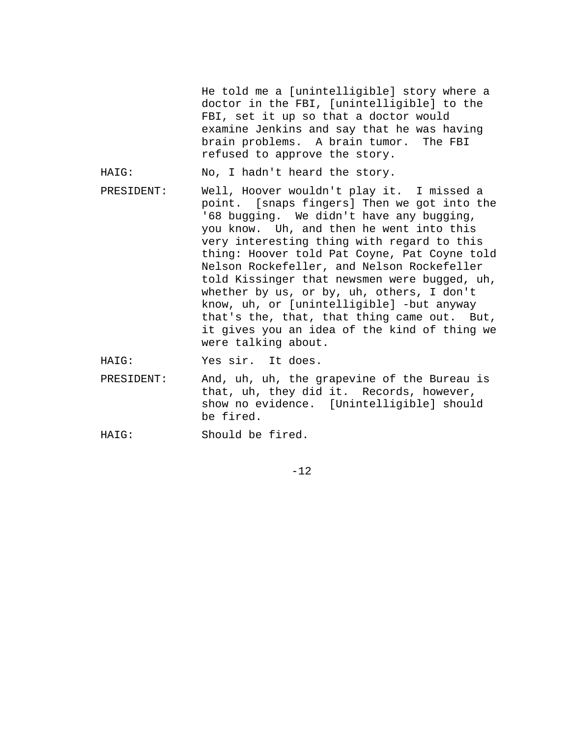He told me a [unintelligible] story where a doctor in the FBI, [unintelligible] to the FBI, set it up so that a doctor would examine Jenkins and say that he was having brain problems. A brain tumor. The FBI refused to approve the story.

HAIG: No, I hadn't heard the story.

PRESIDENT: Well, Hoover wouldn't play it. I missed a point. [snaps fingers] Then we got into the '68 bugging. We didn't have any bugging, you know. Uh, and then he went into this very interesting thing with regard to this thing: Hoover told Pat Coyne, Pat Coyne told Nelson Rockefeller, and Nelson Rockefeller told Kissinger that newsmen were bugged, uh, whether by us, or by, uh, others, I don't know, uh, or [unintelligible] -but anyway that's the, that, that thing came out. But, it gives you an idea of the kind of thing we were talking about.

HAIG: Yes sir. It does.

- PRESIDENT: And, uh, uh, the grapevine of the Bureau is that, uh, they did it. Records, however, show no evidence. [Unintelligible] should be fired.
- HAIG: Should be fired.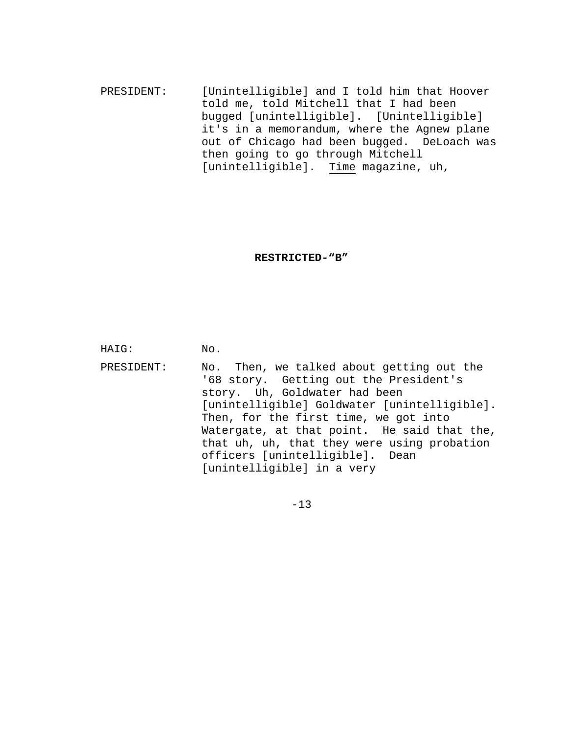PRESIDENT: [Unintelligible] and I told him that Hoover told me, told Mitchell that I had been bugged [unintelligible]. [Unintelligible] it's in a memorandum, where the Agnew plane out of Chicago had been bugged. DeLoach was then going to go through Mitchell [unintelligible]. Time magazine, uh,

### **RESTRICTED-"B"**

HAIG: No.

PRESIDENT: No. Then, we talked about getting out the '68 story. Getting out the President's story. Uh, Goldwater had been [unintelligible] Goldwater [unintelligible]. Then, for the first time, we got into Watergate, at that point. He said that the, that uh, uh, that they were using probation officers [unintelligible]. Dean [unintelligible] in a very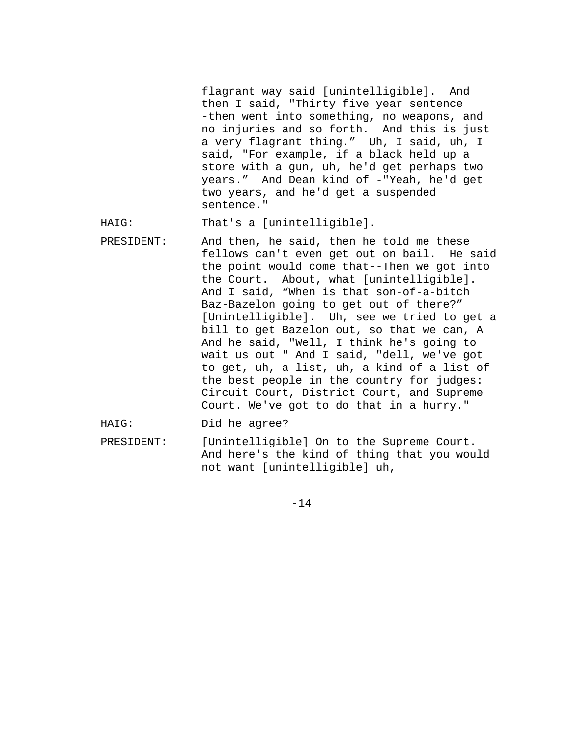flagrant way said [unintelligible]. And then I said, "Thirty five year sentence -then went into something, no weapons, and no injuries and so forth. And this is just a very flagrant thing." Uh, I said, uh, I said, "For example, if a black held up a store with a gun, uh, he'd get perhaps two years." And Dean kind of -"Yeah, he'd get two years, and he'd get a suspended sentence."

HAIG: That's a [unintelligible].

- PRESIDENT: And then, he said, then he told me these fellows can't even get out on bail. He said the point would come that--Then we got into the Court. About, what [unintelligible]. And I said, "When is that son-of-a-bitch Baz-Bazelon going to get out of there?" [Unintelligible]. Uh, see we tried to get a bill to get Bazelon out, so that we can, A And he said, "Well, I think he's going to wait us out " And I said, "dell, we've got to get, uh, a list, uh, a kind of a list of the best people in the country for judges: Circuit Court, District Court, and Supreme Court. We've got to do that in a hurry." HAIG: Did he agree?
- PRESIDENT: [Unintelligible] On to the Supreme Court. And here's the kind of thing that you would not want [unintelligible] uh,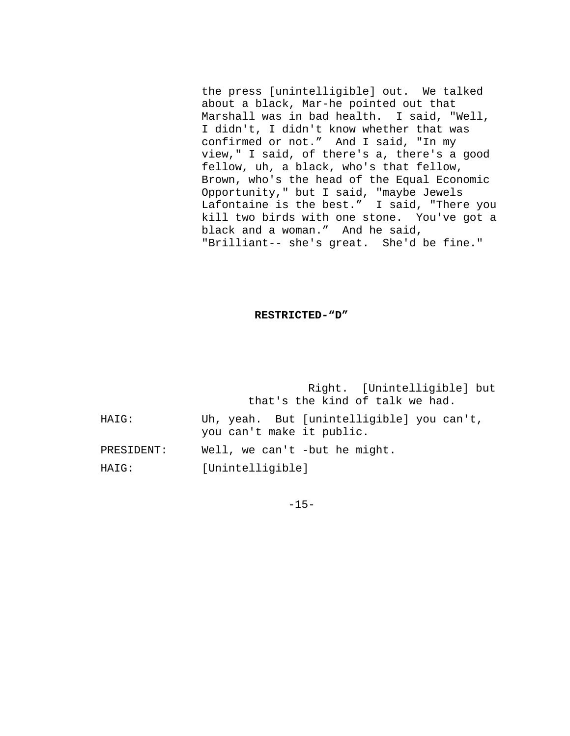the press [unintelligible] out. We talked about a black, Mar-he pointed out that Marshall was in bad health. I said, "Well, I didn't, I didn't know whether that was confirmed or not." And I said, "In my view," I said, of there's a, there's a good fellow, uh, a black, who's that fellow, Brown, who's the head of the Equal Economic Opportunity," but I said, "maybe Jewels Lafontaine is the best." I said, "There you kill two birds with one stone. You've got a black and a woman." And he said, "Brilliant-- she's great. She'd be fine."

# **RESTRICTED-"D"**

|            | Right. [Unintelligible] but<br>that's the kind of talk we had.         |
|------------|------------------------------------------------------------------------|
| HAIG:      | Uh, yeah. But [unintelligible] you can't,<br>you can't make it public. |
| PRESIDENT: | Well, we can't -but he might.                                          |
| HAIG:      | [Unintelligible]                                                       |

 $-15-$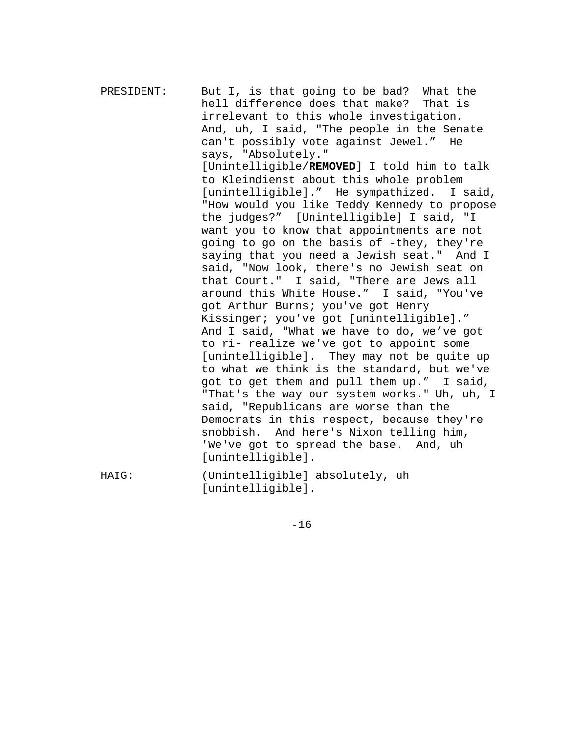PRESIDENT: But I, is that going to be bad? What the hell difference does that make? That is irrelevant to this whole investigation. And, uh, I said, "The people in the Senate can't possibly vote against Jewel." He says, "Absolutely." [Unintelligible/**REMOVED**] I told him to talk to Kleindienst about this whole problem [unintelligible]." He sympathized. I said, "How would you like Teddy Kennedy to propose the judges?" [Unintelligible] I said, "I want you to know that appointments are not going to go on the basis of -they, they're saying that you need a Jewish seat." And I said, "Now look, there's no Jewish seat on that Court." I said, "There are Jews all around this White House." I said, "You've got Arthur Burns; you've got Henry Kissinger; you've got [unintelligible]." And I said, "What we have to do, we've got to ri- realize we've got to appoint some [unintelligible]. They may not be quite up to what we think is the standard, but we've got to get them and pull them up." I said, "That's the way our system works." Uh, uh, I said, "Republicans are worse than the Democrats in this respect, because they're snobbish. And here's Nixon telling him, 'We've got to spread the base. And, uh [unintelligible]. HAIG: (Unintelligible] absolutely, uh [unintelligible].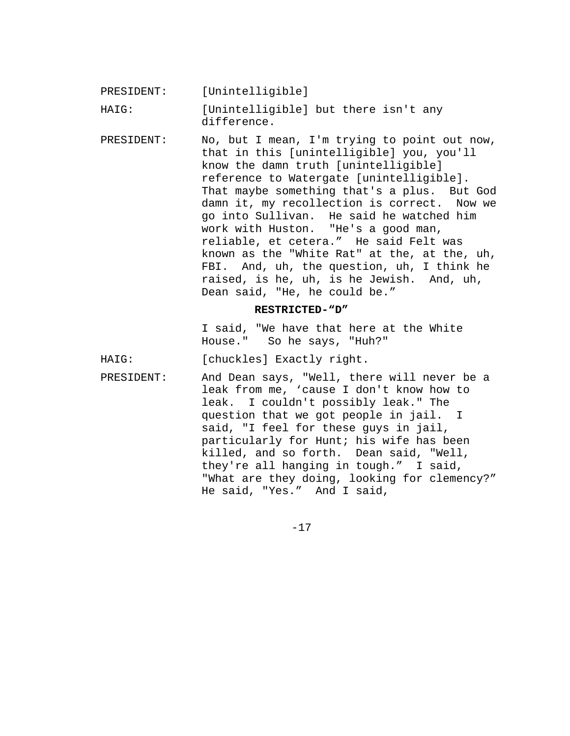PRESIDENT: [Unintelligible]

HAIG: [Unintelligible] but there isn't any difference.

PRESIDENT: No, but I mean, I'm trying to point out now, that in this [unintelligible] you, you'll know the damn truth [unintelligible] reference to Watergate [unintelligible]. That maybe something that's a plus. But God damn it, my recollection is correct. Now we go into Sullivan. He said he watched him work with Huston. "He's a good man, reliable, et cetera." He said Felt was known as the "White Rat" at the, at the, uh, FBI. And, uh, the question, uh, I think he raised, is he, uh, is he Jewish. And, uh, Dean said, "He, he could be."

## **RESTRICTED-"D"**

I said, "We have that here at the White House." So he says, "Huh?"

HAIG: [chuckles] Exactly right.

PRESIDENT: And Dean says, "Well, there will never be a leak from me, 'cause I don't know how to leak. I couldn't possibly leak." The question that we got people in jail. I said, "I feel for these guys in jail, particularly for Hunt; his wife has been killed, and so forth. Dean said, "Well, they're all hanging in tough." I said, "What are they doing, looking for clemency?" He said, "Yes." And I said,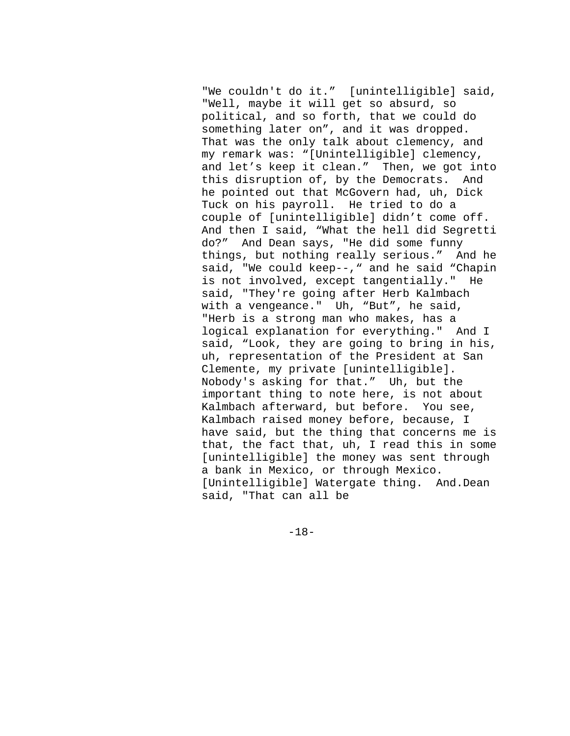"We couldn't do it." [unintelligible] said, "Well, maybe it will get so absurd, so political, and so forth, that we could do something later on", and it was dropped. That was the only talk about clemency, and my remark was: "[Unintelligible] clemency, and let's keep it clean." Then, we got into this disruption of, by the Democrats. And he pointed out that McGovern had, uh, Dick Tuck on his payroll. He tried to do a couple of [unintelligible] didn't come off. And then I said, "What the hell did Segretti do?" And Dean says, "He did some funny things, but nothing really serious." And he said, "We could keep--," and he said "Chapin is not involved, except tangentially." He said, "They're going after Herb Kalmbach with a vengeance." Uh, "But", he said, "Herb is a strong man who makes, has a logical explanation for everything." And I said, "Look, they are going to bring in his, uh, representation of the President at San Clemente, my private [unintelligible]. Nobody's asking for that." Uh, but the important thing to note here, is not about Kalmbach afterward, but before. You see, Kalmbach raised money before, because, I have said, but the thing that concerns me is that, the fact that, uh, I read this in some [unintelligible] the money was sent through a bank in Mexico, or through Mexico. [Unintelligible] Watergate thing. And.Dean said, "That can all be

-18-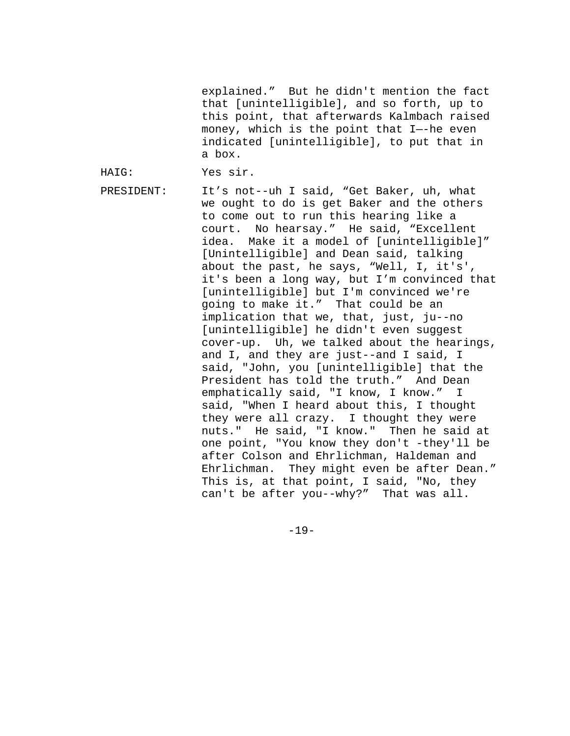explained." But he didn't mention the fact that [unintelligible], and so forth, up to this point, that afterwards Kalmbach raised money, which is the point that I—-he even indicated [unintelligible], to put that in a box.

HAIG: Yes sir.

PRESIDENT: It's not--uh I said, "Get Baker, uh, what we ought to do is get Baker and the others to come out to run this hearing like a court. No hearsay." He said, "Excellent idea. Make it a model of [unintelligible]" [Unintelligible] and Dean said, talking about the past, he says, "Well, I, it's', it's been a long way, but I'm convinced that [unintelligible] but I'm convinced we're going to make it." That could be an implication that we, that, just, ju--no [unintelligible] he didn't even suggest cover-up. Uh, we talked about the hearings, and I, and they are just--and I said, I said, "John, you [unintelligible] that the President has told the truth." And Dean emphatically said, "I know, I know." I said, "When I heard about this, I thought they were all crazy. I thought they were nuts." He said, "I know." Then he said at one point, "You know they don't -they'll be after Colson and Ehrlichman, Haldeman and Ehrlichman. They might even be after Dean." This is, at that point, I said, "No, they can't be after you--why?" That was all.

-19-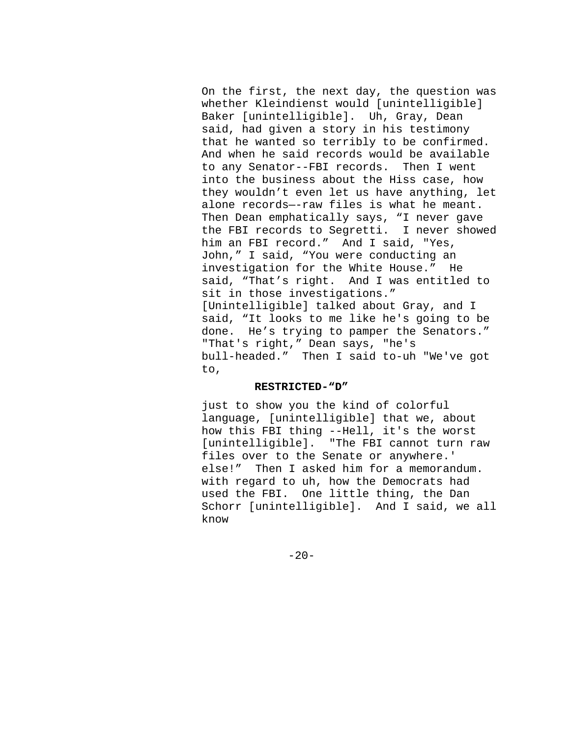On the first, the next day, the question was whether Kleindienst would [unintelligible] Baker [unintelligible]. Uh, Gray, Dean said, had given a story in his testimony that he wanted so terribly to be confirmed. And when he said records would be available to any Senator--FBI records. Then I went into the business about the Hiss case, how they wouldn't even let us have anything, let alone records—-raw files is what he meant. Then Dean emphatically says, "I never gave the FBI records to Segretti. I never showed him an FBI record." And I said, "Yes, John," I said, "You were conducting an investigation for the White House." He said, "That's right. And I was entitled to sit in those investigations." [Unintelligible] talked about Gray, and I said, "It looks to me like he's going to be done. He's trying to pamper the Senators." "That's right," Dean says, "he's bull-headed." Then I said to-uh "We've got to,

## **RESTRICTED-"D"**

just to show you the kind of colorful language, [unintelligible] that we, about how this FBI thing --Hell, it's the worst [unintelligible]. "The FBI cannot turn raw files over to the Senate or anywhere.' else!" Then I asked him for a memorandum. with regard to uh, how the Democrats had used the FBI. One little thing, the Dan Schorr [unintelligible]. And I said, we all know

 $-20-$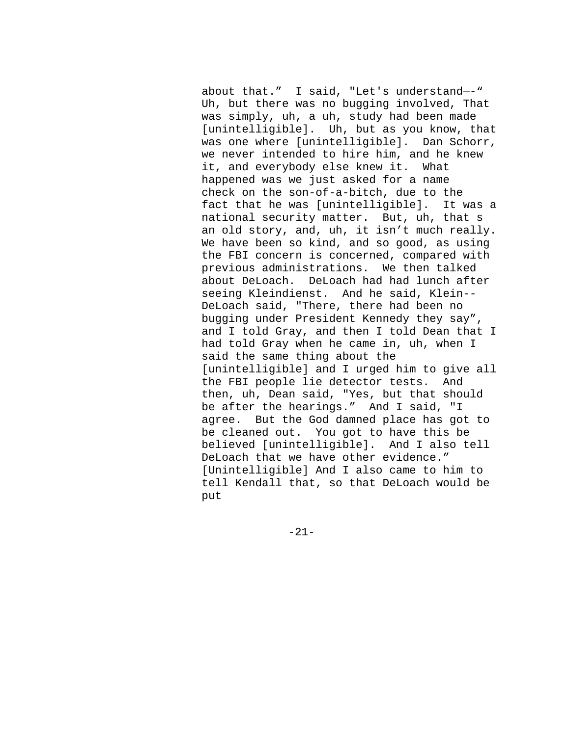about that." I said, "Let's understand—-" Uh, but there was no bugging involved, That was simply, uh, a uh, study had been made [unintelligible]. Uh, but as you know, that was one where [unintelligible]. Dan Schorr, we never intended to hire him, and he knew it, and everybody else knew it. What happened was we just asked for a name check on the son-of-a-bitch, due to the fact that he was [unintelligible]. It was a national security matter. But, uh, that s an old story, and, uh, it isn't much really. We have been so kind, and so good, as using the FBI concern is concerned, compared with previous administrations. We then talked about DeLoach. DeLoach had had lunch after seeing Kleindienst. And he said, Klein-- DeLoach said, "There, there had been no bugging under President Kennedy they say", and I told Gray, and then I told Dean that I had told Gray when he came in, uh, when I said the same thing about the [unintelligible] and I urged him to give all the FBI people lie detector tests. And then, uh, Dean said, "Yes, but that should be after the hearings." And I said, "I agree. But the God damned place has got to be cleaned out. You got to have this be believed [unintelligible]. And I also tell DeLoach that we have other evidence." [Unintelligible] And I also came to him to tell Kendall that, so that DeLoach would be put

-21-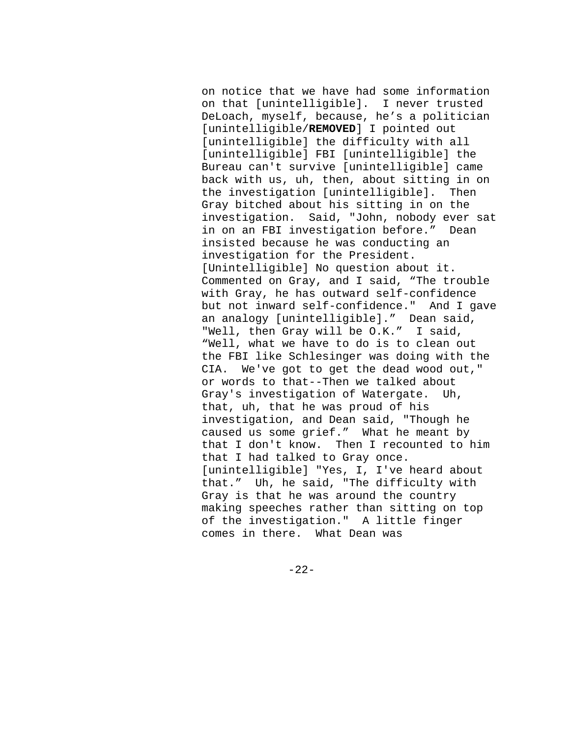on notice that we have had some information on that [unintelligible]. I never trusted DeLoach, myself, because, he's a politician [unintelligible/**REMOVED**] I pointed out [unintelligible] the difficulty with all [unintelligible] FBI [unintelligible] the Bureau can't survive [unintelligible] came back with us, uh, then, about sitting in on the investigation [unintelligible]. Then Gray bitched about his sitting in on the investigation. Said, "John, nobody ever sat in on an FBI investigation before." Dean insisted because he was conducting an investigation for the President. [Unintelligible] No question about it. Commented on Gray, and I said, "The trouble with Gray, he has outward self-confidence but not inward self-confidence." And I gave an analogy [unintelligible]." Dean said, "Well, then Gray will be O.K." I said, "Well, what we have to do is to clean out the FBI like Schlesinger was doing with the CIA. We've got to get the dead wood out," or words to that--Then we talked about Gray's investigation of Watergate. Uh, that, uh, that he was proud of his investigation, and Dean said, "Though he caused us some grief." What he meant by that I don't know. Then I recounted to him that I had talked to Gray once. [unintelligible] "Yes, I, I've heard about that." Uh, he said, "The difficulty with Gray is that he was around the country making speeches rather than sitting on top of the investigation." A little finger comes in there. What Dean was

-22-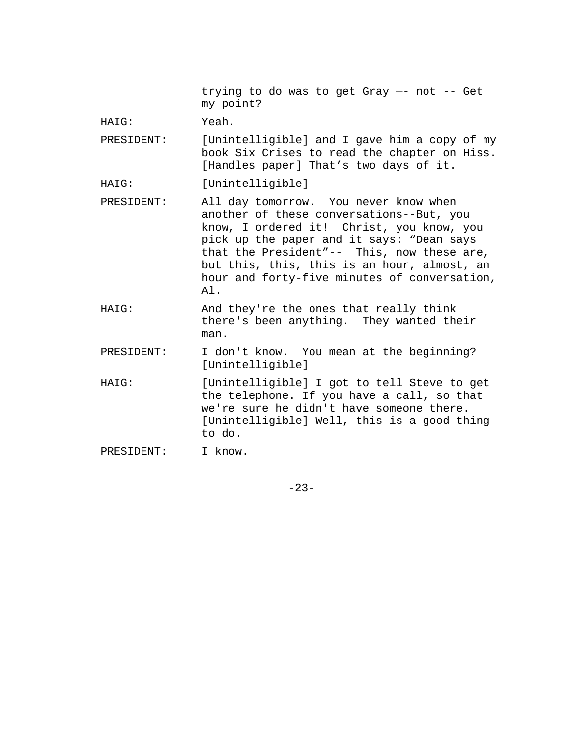trying to do was to get Gray —- not -- Get my point?

HAIG: Yeah.

PRESIDENT: [Unintelligible] and I gave him a copy of my book Six Crises to read the chapter on Hiss. [Handles paper] That's two days of it.

HAIG: [Unintelligible]

- PRESIDENT: All day tomorrow. You never know when another of these conversations--But, you know, I ordered it! Christ, you know, you pick up the paper and it says: "Dean says that the President"-- This, now these are, but this, this, this is an hour, almost, an hour and forty-five minutes of conversation, Al.
- HAIG: And they're the ones that really think there's been anything. They wanted their man.
- PRESIDENT: I don't know. You mean at the beginning? [Unintelligible]
- HAIG: [Unintelligible] I got to tell Steve to get the telephone. If you have a call, so that we're sure he didn't have someone there. [Unintelligible] Well, this is a good thing to do.
- PRESIDENT: I know.

 $-23-$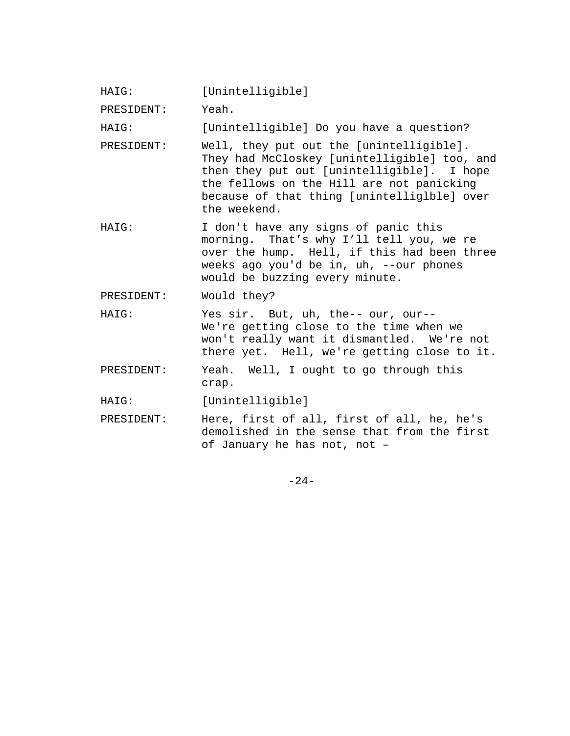| HAIG:      | [Unintelligible]                                                                                                                                                                                                                                   |
|------------|----------------------------------------------------------------------------------------------------------------------------------------------------------------------------------------------------------------------------------------------------|
| PRESIDENT: | Yeah.                                                                                                                                                                                                                                              |
| HAIG:      | [Unintelligible] Do you have a question?                                                                                                                                                                                                           |
| PRESIDENT: | Well, they put out the [unintelligible].<br>They had McCloskey [unintelligible] too, and<br>then they put out [unintelligible]. I hope<br>the fellows on the Hill are not panicking<br>because of that thing [unintelliglble] over<br>the weekend. |
| HAIG:      | I don't have any signs of panic this<br>morning. That's why I'll tell you, we re<br>over the hump. Hell, if this had been three<br>weeks ago you'd be in, uh, --our phones<br>would be buzzing every minute.                                       |
| PRESIDENT: | Would they?                                                                                                                                                                                                                                        |
| HAIG:      | Yes sir. But, uh, the-- our, our--<br>We're getting close to the time when we<br>won't really want it dismantled. We're not<br>there yet. Hell, we're getting close to it.                                                                         |
| PRESIDENT: | Yeah. Well, I ought to go through this<br>crap.                                                                                                                                                                                                    |
| HAIG:      | [Unintelligible]                                                                                                                                                                                                                                   |
| PRESIDENT: | Here, first of all, first of all, he, he's<br>demolished in the sense that from the first<br>of January he has not, not -                                                                                                                          |

-24-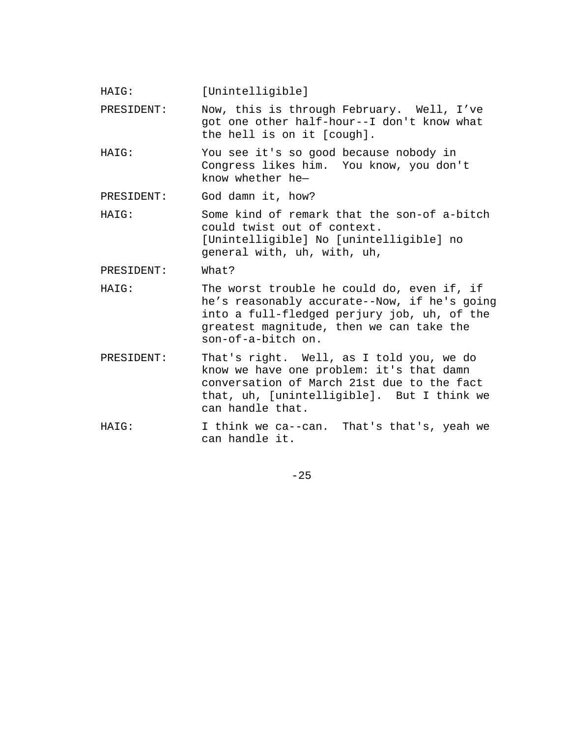HAIG: [Unintelligible]

PRESIDENT: Now, this is through February. Well, I've got one other half-hour--I don't know what the hell is on it [cough].

HAIG: You see it's so good because nobody in Congress likes him. You know, you don't know whether he—

PRESIDENT: God damn it, how?

HAIG: Some kind of remark that the son-of a-bitch could twist out of context. [Unintelligible] No [unintelligible] no general with, uh, with, uh,

PRESIDENT: What?

- HAIG: The worst trouble he could do, even if, if he's reasonably accurate--Now, if he's going into a full-fledged perjury job, uh, of the greatest magnitude, then we can take the son-of-a-bitch on.
- PRESIDENT: That's right. Well, as I told you, we do know we have one problem: it's that damn conversation of March 21st due to the fact that, uh, [unintelligible]. But I think we can handle that.
- HAIG: I think we ca--can. That's that's, yeah we can handle it.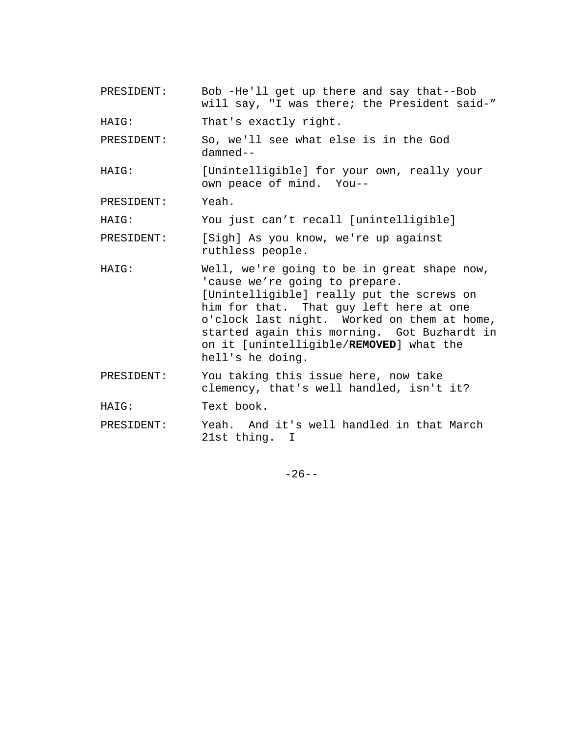| PRESIDENT: | Bob -He'll get up there and say that--Bob<br>will say, "I was there; the President said-"                                                                                                                                                                                                                                          |
|------------|------------------------------------------------------------------------------------------------------------------------------------------------------------------------------------------------------------------------------------------------------------------------------------------------------------------------------------|
| HAIG:      | That's exactly right.                                                                                                                                                                                                                                                                                                              |
| PRESIDENT: | So, we'll see what else is in the God<br>$d$ amned $-$                                                                                                                                                                                                                                                                             |
| HAIG:      | [Unintelligible] for your own, really your<br>own peace of mind. You--                                                                                                                                                                                                                                                             |
| PRESIDENT: | Yeah.                                                                                                                                                                                                                                                                                                                              |
| HAIG:      | You just can't recall [unintelligible]                                                                                                                                                                                                                                                                                             |
| PRESIDENT: | [Sigh] As you know, we're up against<br>ruthless people.                                                                                                                                                                                                                                                                           |
| HAIG:      | Well, we're going to be in great shape now,<br>'cause we're going to prepare.<br>[Unintelligible] really put the screws on<br>him for that. That guy left here at one<br>o'clock last night. Worked on them at home,<br>started again this morning. Got Buzhardt in<br>on it [unintelligible/REMOVED] what the<br>hell's he doing. |
| PRESIDENT: | You taking this issue here, now take<br>clemency, that's well handled, isn't it?                                                                                                                                                                                                                                                   |
| HAIG:      | Text book.                                                                                                                                                                                                                                                                                                                         |
| PRESIDENT: | Yeah. And it's well handled in that March<br>21st thing. I                                                                                                                                                                                                                                                                         |

-26--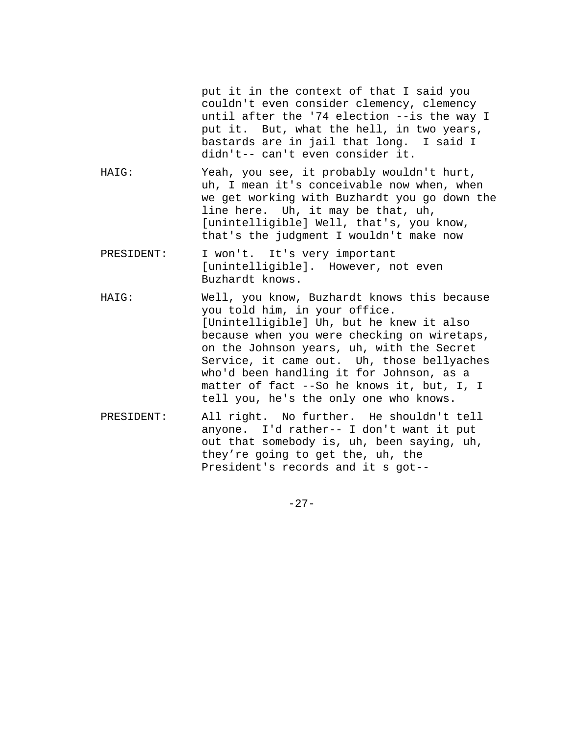put it in the context of that I said you couldn't even consider clemency, clemency until after the '74 election --is the way I put it. But, what the hell, in two years, bastards are in jail that long. I said I didn't-- can't even consider it.

- HAIG: Yeah, you see, it probably wouldn't hurt, uh, I mean it's conceivable now when, when we get working with Buzhardt you go down the line here. Uh, it may be that, uh, [unintelligible] Well, that's, you know, that's the judgment I wouldn't make now
- PRESIDENT: I won't. It's very important [unintelligible]. However, not even Buzhardt knows.
- HAIG: Well, you know, Buzhardt knows this because you told him, in your office. [Unintelligible] Uh, but he knew it also because when you were checking on wiretaps, on the Johnson years, uh, with the Secret Service, it came out. Uh, those bellyaches who'd been handling it for Johnson, as a matter of fact --So he knows it, but, I, I tell you, he's the only one who knows.
- PRESIDENT: All right. No further. He shouldn't tell anyone. I'd rather-- I don't want it put out that somebody is, uh, been saying, uh, they're going to get the, uh, the President's records and it s got--

-27-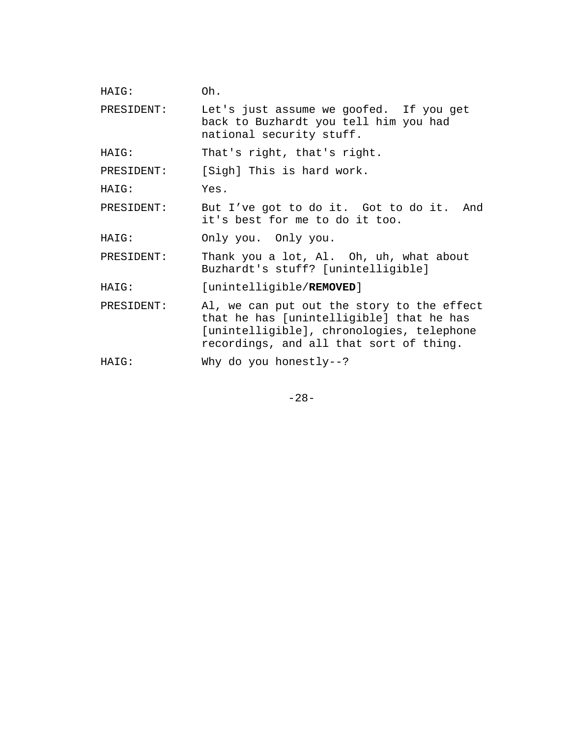| HAIG: | Oh. |
|-------|-----|
|-------|-----|

PRESIDENT: Let's just assume we goofed. If you get back to Buzhardt you tell him you had national security stuff.

HAIG: That's right, that's right.

PRESIDENT: [Sigh] This is hard work.

HAIG: Yes.

PRESIDENT: But I've got to do it. Got to do it. And it's best for me to do it too.

HAIG: Only you. Only you.

PRESIDENT: Thank you a lot, Al. Oh, uh, what about Buzhardt's stuff? [unintelligible]

HAIG: [unintelligible/**REMOVED**]

PRESIDENT: Al, we can put out the story to the effect that he has [unintelligible] that he has [unintelligible], chronologies, telephone recordings, and all that sort of thing.

HAIG: Why do you honestly--?

-28-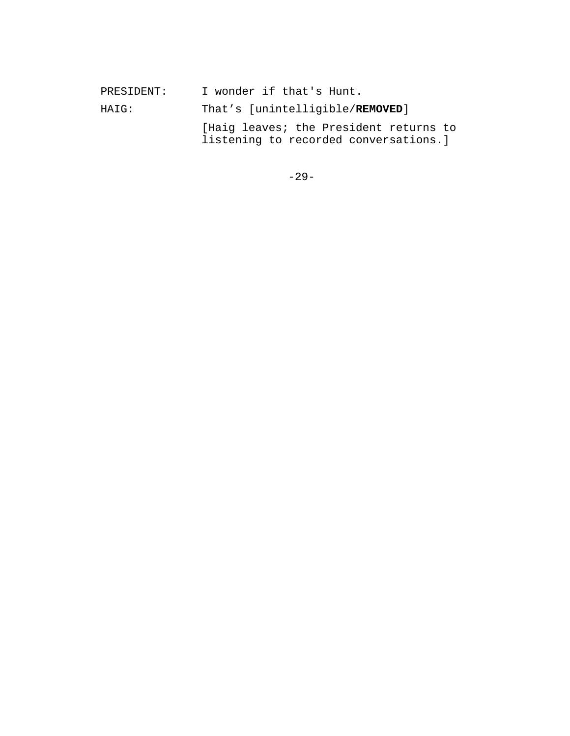| PRESIDENT: | I wonder if that's Hunt.                                                        |
|------------|---------------------------------------------------------------------------------|
| HAIG:      | That's [unintelligible/REMOVED]                                                 |
|            | [Haig leaves; the President returns to<br>listening to recorded conversations.] |

-29-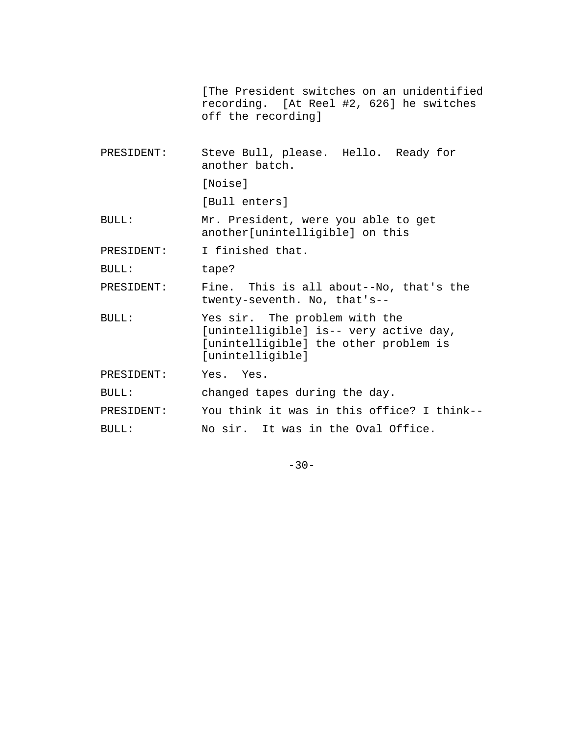|            | The President switches on an unidentified<br>recording. [At Reel #2, 626] he switches<br>off the recording]                          |
|------------|--------------------------------------------------------------------------------------------------------------------------------------|
| PRESIDENT: | Steve Bull, please. Hello. Ready for<br>another batch.                                                                               |
|            | [Noise]                                                                                                                              |
|            | [Bull enters]                                                                                                                        |
| BULL:      | Mr. President, were you able to get<br>another[unintelligible] on this                                                               |
| PRESIDENT: | I finished that.                                                                                                                     |
| BULL:      | tape?                                                                                                                                |
| PRESIDENT: | Fine. This is all about--No, that's the<br>twenty-seventh. No, that's--                                                              |
| BULL:      | Yes sir. The problem with the<br>[unintelligible] is-- very active day,<br>[unintelligible] the other problem is<br>[unintelligible] |
| PRESIDENT: | Yes. Yes.                                                                                                                            |
| BULL:      | changed tapes during the day.                                                                                                        |
| PRESIDENT: | You think it was in this office? I think--                                                                                           |
| BULL:      | No sir. It was in the Oval Office.                                                                                                   |

-30-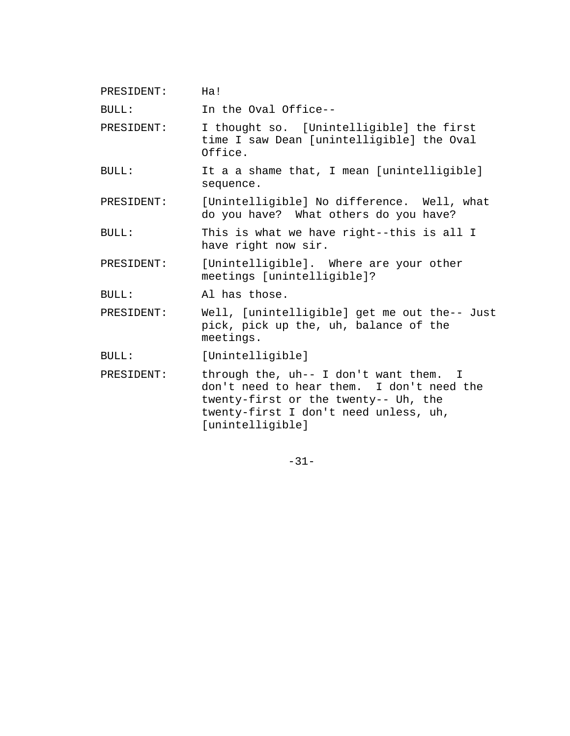PRESIDENT: Ha!

BULL: In the Oval Office--

PRESIDENT: I thought so. [Unintelligible] the first time I saw Dean [unintelligible] the Oval Office.

BULL: It a a shame that, I mean [unintelligible] sequence.

PRESIDENT: [Unintelligible] No difference. Well, what do you have? What others do you have?

BULL: This is what we have right--this is all I have right now sir.

PRESIDENT: [Unintelligible]. Where are your other meetings [unintelligible]?

BULL: Al has those.

PRESIDENT: Well, [unintelligible] get me out the-- Just pick, pick up the, uh, balance of the meetings.

BULL: [Unintelligible]

PRESIDENT: through the, uh-- I don't want them. I don't need to hear them. I don't need the twenty-first or the twenty-- Uh, the twenty-first I don't need unless, uh, [unintelligible]

-31-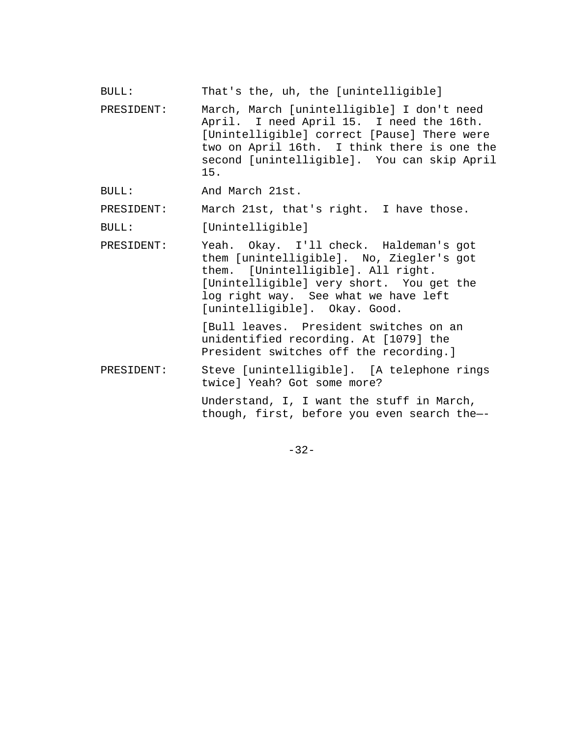BULL: That's the, uh, the [unintelligible]

- PRESIDENT: March, March [unintelligible] I don't need April. I need April 15. I need the 16th. [Unintelligible] correct [Pause] There were two on April 16th. I think there is one the second [unintelligible]. You can skip April 15.
- BULL: And March 21st.

PRESIDENT: March 21st, that's right. I have those.

BULL: [Unintelligible]

PRESIDENT: Yeah. Okay. I'll check. Haldeman's got them [unintelligible]. No, Ziegler's got them. [Unintelligible]. All right. [Unintelligible] very short. You get the log right way. See what we have left [unintelligible]. Okay. Good.

> [Bull leaves. President switches on an unidentified recording. At [1079] the President switches off the recording.]

PRESIDENT: Steve [unintelligible]. [A telephone rings twice] Yeah? Got some more?

> Understand, I, I want the stuff in March, though, first, before you even search the—-

> > -32-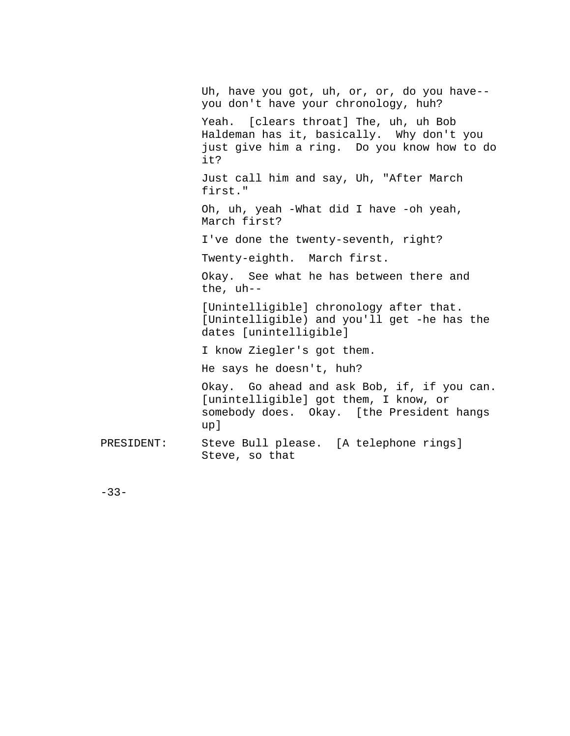Uh, have you got, uh, or, or, do you have- you don't have your chronology, huh? Yeah. [clears throat] The, uh, uh Bob Haldeman has it, basically. Why don't you just give him a ring. Do you know how to do it? Just call him and say, Uh, "After March first." Oh, uh, yeah -What did I have -oh yeah, March first? I've done the twenty-seventh, right? Twenty-eighth. March first. Okay. See what he has between there and the, uh-- [Unintelligible] chronology after that. [Unintelligible) and you'll get -he has the dates [unintelligible] I know Ziegler's got them. He says he doesn't, huh? Okay. Go ahead and ask Bob, if, if you can. [unintelligible] got them, I know, or somebody does. Okay. [the President hangs up] PRESIDENT: Steve Bull please. [A telephone rings] Steve, so that

-33-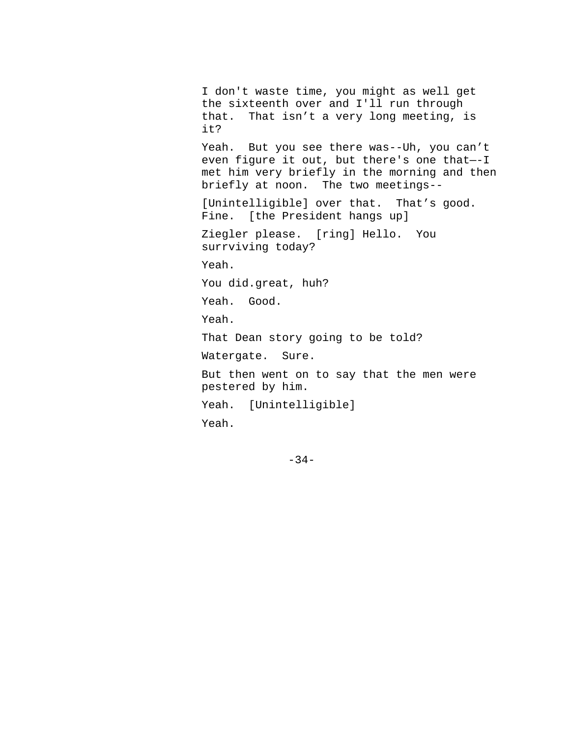I don't waste time, you might as well get the sixteenth over and I'll run through that. That isn't a very long meeting, is it? Yeah. But you see there was--Uh, you can't even figure it out, but there's one that—-I met him very briefly in the morning and then briefly at noon. The two meetings-- [Unintelligible] over that. That's good. Fine. [the President hangs up] Ziegler please. [ring] Hello. You surrviving today? Yeah. You did.great, huh? Yeah. Good. Yeah. That Dean story going to be told? Watergate. Sure. But then went on to say that the men were pestered by him. Yeah. [Unintelligible] Yeah.

-34-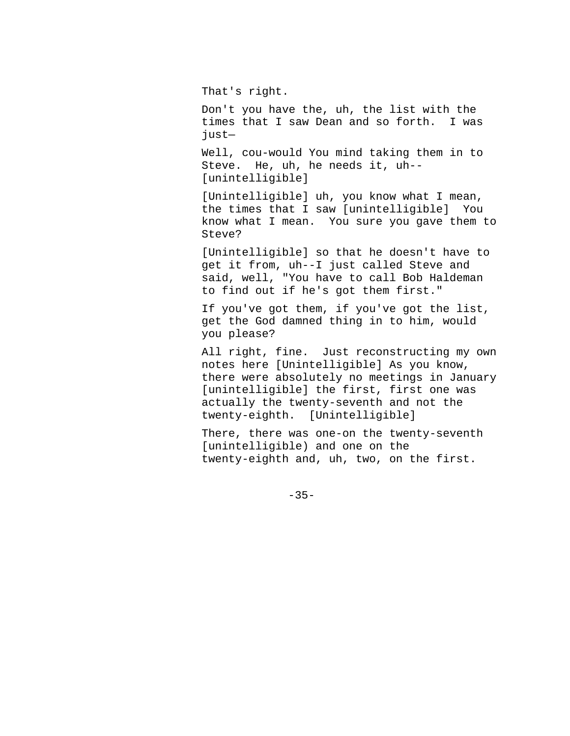That's right.

Don't you have the, uh, the list with the times that I saw Dean and so forth. I was just—

Well, cou-would You mind taking them in to Steve. He, uh, he needs it, uh-- [unintelligible]

[Unintelligible] uh, you know what I mean, the times that I saw [unintelligible] You know what I mean. You sure you gave them to Steve?

[Unintelligible] so that he doesn't have to get it from, uh--I just called Steve and said, well, "You have to call Bob Haldeman to find out if he's got them first."

If you've got them, if you've got the list, get the God damned thing in to him, would you please?

All right, fine. Just reconstructing my own notes here [Unintelligible] As you know, there were absolutely no meetings in January [unintelligible] the first, first one was actually the twenty-seventh and not the twenty-eighth. [Unintelligible]

There, there was one-on the twenty-seventh [unintelligible) and one on the twenty-eighth and, uh, two, on the first.

 $-35-$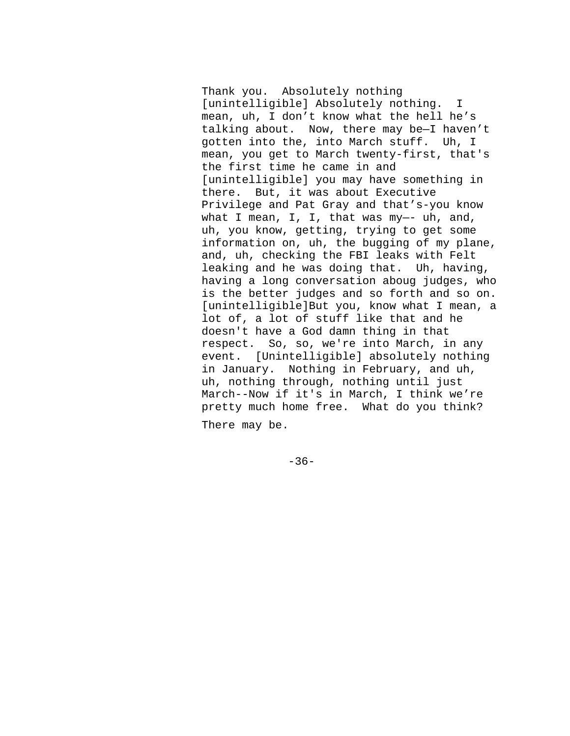Thank you. Absolutely nothing [unintelligible] Absolutely nothing. I mean, uh, I don't know what the hell he's talking about. Now, there may be—I haven't gotten into the, into March stuff. Uh, I mean, you get to March twenty-first, that's the first time he came in and [unintelligible] you may have something in there. But, it was about Executive Privilege and Pat Gray and that's-you know what I mean, I, I, that was my—- uh, and, uh, you know, getting, trying to get some information on, uh, the bugging of my plane, and, uh, checking the FBI leaks with Felt leaking and he was doing that. Uh, having, having a long conversation aboug judges, who is the better judges and so forth and so on. [unintelligible]But you, know what I mean, a lot of, a lot of stuff like that and he doesn't have a God damn thing in that respect. So, so, we're into March, in any event. [Unintelligible] absolutely nothing in January. Nothing in February, and uh, uh, nothing through, nothing until just March--Now if it's in March, I think we're pretty much home free. What do you think?

There may be.

-36-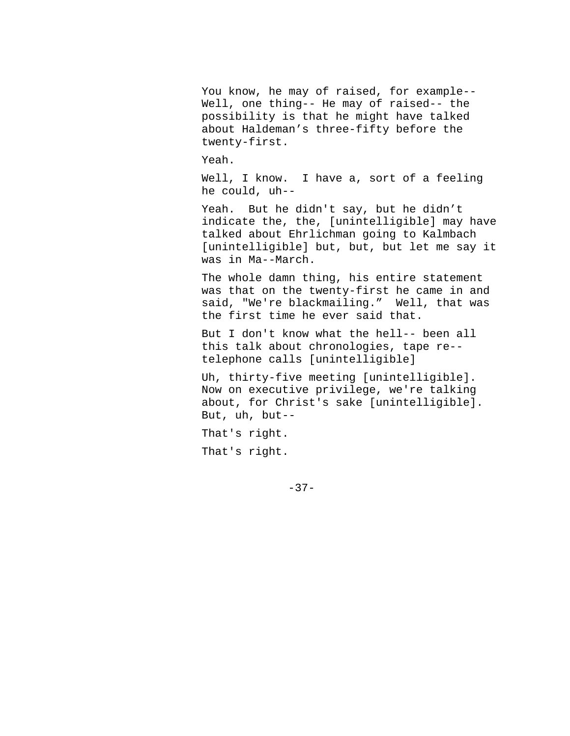You know, he may of raised, for example-- Well, one thing-- He may of raised-- the possibility is that he might have talked about Haldeman's three-fifty before the twenty-first.

Yeah.

Well, I know. I have a, sort of a feeling he could, uh--

Yeah. But he didn't say, but he didn't indicate the, the, [unintelligible] may have talked about Ehrlichman going to Kalmbach [unintelligible] but, but, but let me say it was in Ma--March.

The whole damn thing, his entire statement was that on the twenty-first he came in and said, "We're blackmailing." Well, that was the first time he ever said that.

But I don't know what the hell-- been all this talk about chronologies, tape re- telephone calls [unintelligible]

Uh, thirty-five meeting [unintelligible]. Now on executive privilege, we're talking about, for Christ's sake [unintelligible]. But, uh, but--

That's right.

That's right.

 $-37-$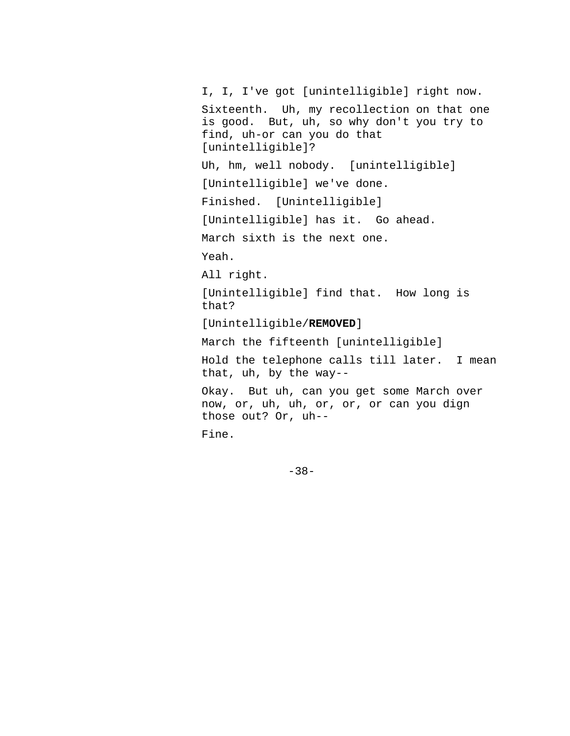I, I, I've got [unintelligible] right now. Sixteenth. Uh, my recollection on that one is good. But, uh, so why don't you try to find, uh-or can you do that [unintelligible]? Uh, hm, well nobody. [unintelligible] [Unintelligible] we've done. Finished. [Unintelligible] [Unintelligible] has it. Go ahead. March sixth is the next one. Yeah. All right. [Unintelligible] find that. How long is that? [Unintelligible/**REMOVED**] March the fifteenth [unintelligible] Hold the telephone calls till later. I mean that, uh, by the way-- Okay. But uh, can you get some March over now, or, uh, uh, or, or, or can you dign those out? Or, uh-- Fine.

-38-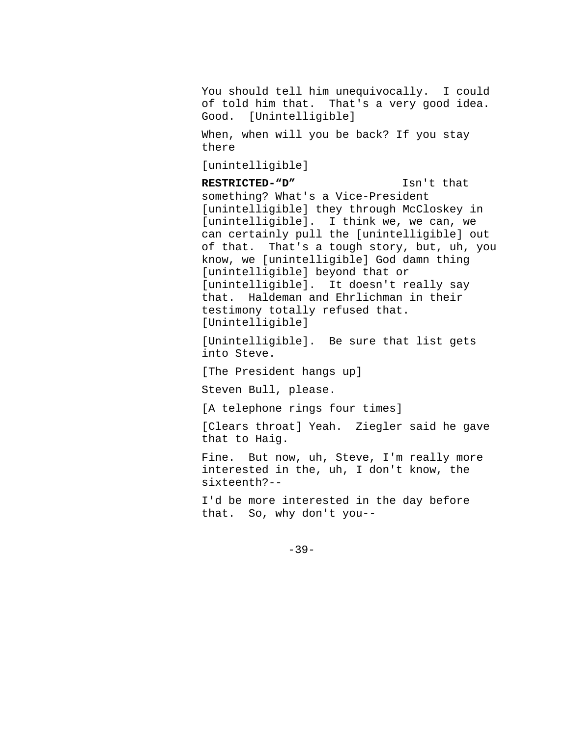You should tell him unequivocally. I could of told him that. That's a very good idea. Good. [Unintelligible]

When, when will you be back? If you stay there

[unintelligible]

**RESTRICTED-"D"** Isn't that something? What's a Vice-President [unintelligible] they through McCloskey in [unintelligible]. I think we, we can, we can certainly pull the [unintelligible] out of that. That's a tough story, but, uh, you know, we [unintelligible] God damn thing [unintelligible] beyond that or [unintelligible]. It doesn't really say that. Haldeman and Ehrlichman in their testimony totally refused that. [Unintelligible]

[Unintelligible]. Be sure that list gets into Steve.

[The President hangs up]

Steven Bull, please.

[A telephone rings four times]

[Clears throat] Yeah. Ziegler said he gave that to Haig.

Fine. But now, uh, Steve, I'm really more interested in the, uh, I don't know, the sixteenth?--

I'd be more interested in the day before that. So, why don't you--

 $-39-$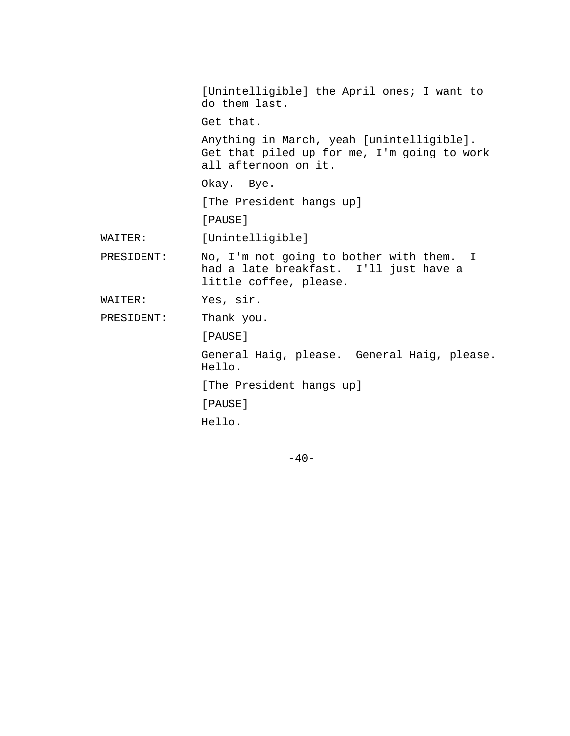[Unintelligible] the April ones; I want to do them last. Get that. Anything in March, yeah [unintelligible]. Get that piled up for me, I'm going to work all afternoon on it. Okay. Bye. [The President hangs up] [PAUSE] WAITER: [Unintelligible] PRESIDENT: No, I'm not going to bother with them. I had a late breakfast. I'll just have a little coffee, please. WAITER: Yes, sir. PRESIDENT: Thank you. [PAUSE] General Haig, please. General Haig, please. Hello. [The President hangs up] [PAUSE] Hello.

 $-40-$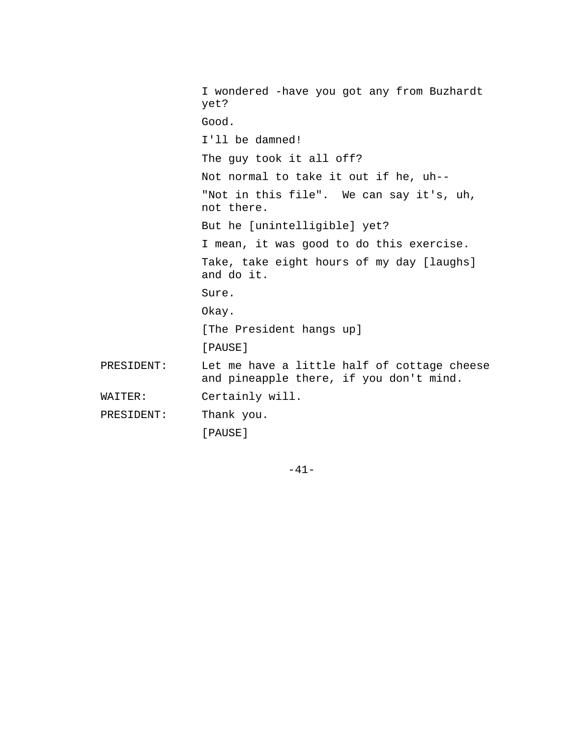I wondered -have you got any from Buzhardt yet? Good. I'll be damned! The guy took it all off? Not normal to take it out if he, uh-- "Not in this file". We can say it's, uh, not there. But he [unintelligible] yet? I mean, it was good to do this exercise. Take, take eight hours of my day [laughs] and do it. Sure. Okay. [The President hangs up] [PAUSE] PRESIDENT: Let me have a little half of cottage cheese and pineapple there, if you don't mind. WAITER: Certainly will. PRESIDENT: Thank you. [PAUSE]

-41-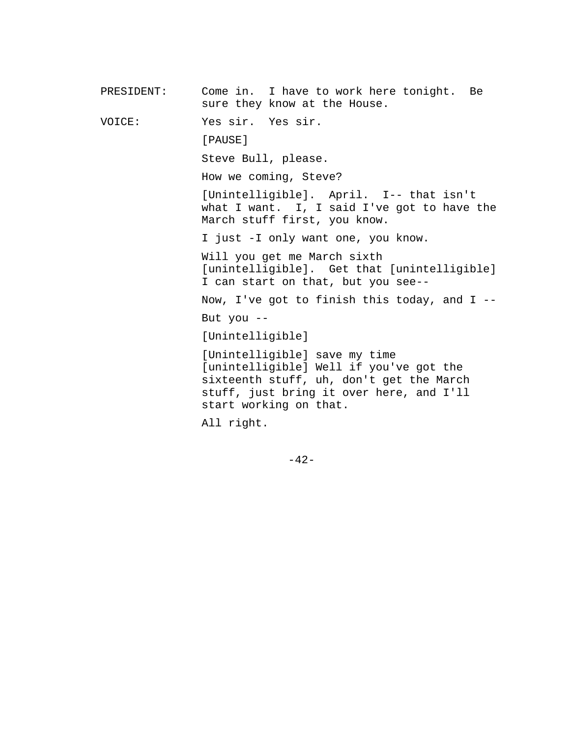PRESIDENT: Come in. I have to work here tonight. Be sure they know at the House. VOICE: Yes sir. Yes sir. [PAUSE] Steve Bull, please. How we coming, Steve? [Unintelligible]. April. I-- that isn't what I want. I, I said I've got to have the March stuff first, you know. I just -I only want one, you know. Will you get me March sixth [unintelligible]. Get that [unintelligible] I can start on that, but you see-- Now, I've got to finish this today, and I -- But you -- [Unintelligible] [Unintelligible] save my time [unintelligible] Well if you've got the sixteenth stuff, uh, don't get the March stuff, just bring it over here, and I'll start working on that. All right.

 $-42-$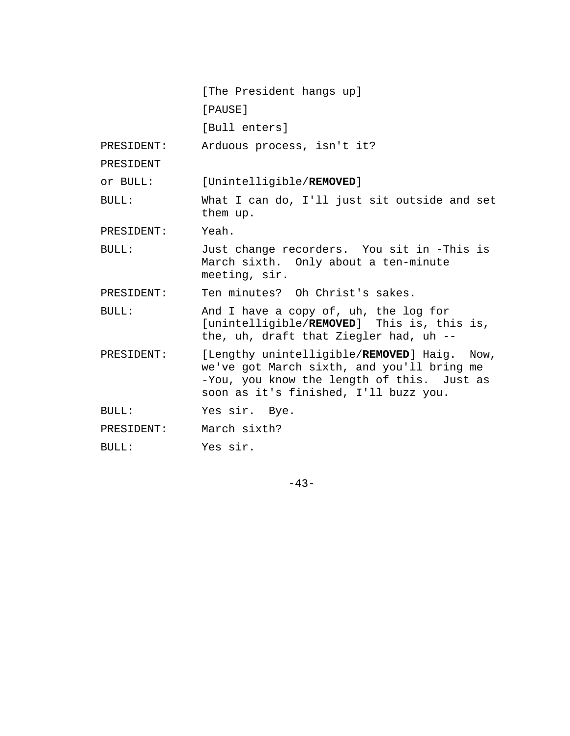|            | [The President hangs up]                                                                                                                                                         |
|------------|----------------------------------------------------------------------------------------------------------------------------------------------------------------------------------|
|            | [PAUSE]                                                                                                                                                                          |
|            | [Bull enters]                                                                                                                                                                    |
| PRESIDENT: | Arduous process, isn't it?                                                                                                                                                       |
| PRESIDENT  |                                                                                                                                                                                  |
| or BULL:   | [Unintelligible/REMOVED]                                                                                                                                                         |
| BULL:      | What I can do, I'll just sit outside and set<br>them up.                                                                                                                         |
| PRESIDENT: | Yeah.                                                                                                                                                                            |
| BULL:      | Just change recorders. You sit in -This is<br>March sixth. Only about a ten-minute<br>meeting, sir.                                                                              |
| PRESIDENT: | Ten minutes? Oh Christ's sakes.                                                                                                                                                  |
| BULL:      | And I have a copy of, uh, the log for<br>[unintelligible/REMOVED] This is, this is,<br>the, uh, draft that Ziegler had, uh --                                                    |
| PRESIDENT: | [Lengthy unintelligible/REMOVED] Haig. Now,<br>we've got March sixth, and you'll bring me<br>-You, you know the length of this. Just as<br>soon as it's finished, I'll buzz you. |
| BULL:      | Yes sir. Bye.                                                                                                                                                                    |
| PRESIDENT: | March sixth?                                                                                                                                                                     |
| BULL:      | Yes sir.                                                                                                                                                                         |
|            |                                                                                                                                                                                  |

-43-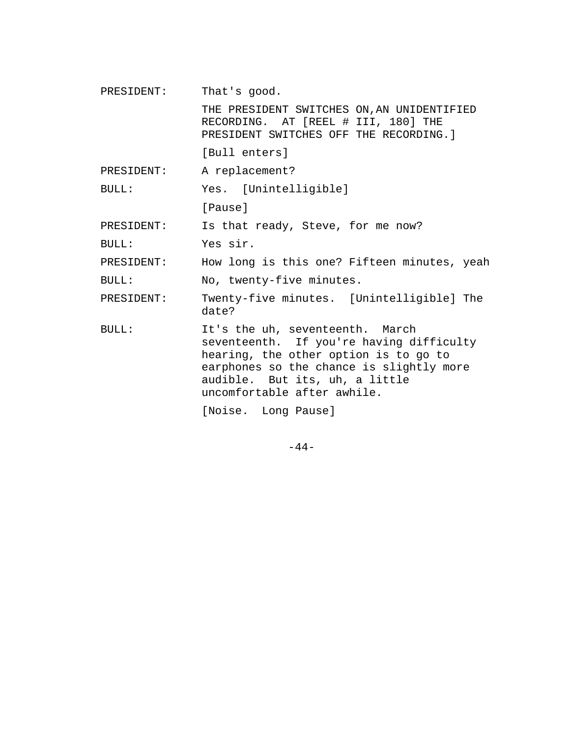| PRESIDENT: | That's good.                                                                                                                                                                                                                      |
|------------|-----------------------------------------------------------------------------------------------------------------------------------------------------------------------------------------------------------------------------------|
|            | THE PRESIDENT SWITCHES ON, AN UNIDENTIFIED<br>RECORDING. AT [REEL # III, 180] THE<br>PRESIDENT SWITCHES OFF THE RECORDING. ]                                                                                                      |
|            | [Bull enters]                                                                                                                                                                                                                     |
| PRESIDENT: | A replacement?                                                                                                                                                                                                                    |
| BULL:      | Yes. [Unintelligible]                                                                                                                                                                                                             |
|            | [Pause]                                                                                                                                                                                                                           |
| PRESIDENT: | Is that ready, Steve, for me now?                                                                                                                                                                                                 |
| BULL:      | Yes sir.                                                                                                                                                                                                                          |
| PRESIDENT: | How long is this one? Fifteen minutes, yeah                                                                                                                                                                                       |
| BULL:      | No, twenty-five minutes.                                                                                                                                                                                                          |
| PRESIDENT: | Twenty-five minutes. [Unintelligible] The<br>date?                                                                                                                                                                                |
| BULL:      | It's the uh, seventeenth. March<br>seventeenth. If you're having difficulty<br>hearing, the other option is to go to<br>earphones so the chance is slightly more<br>audible. But its, uh, a little<br>uncomfortable after awhile. |
|            | [Noise. Long Pause]                                                                                                                                                                                                               |
|            |                                                                                                                                                                                                                                   |

-44-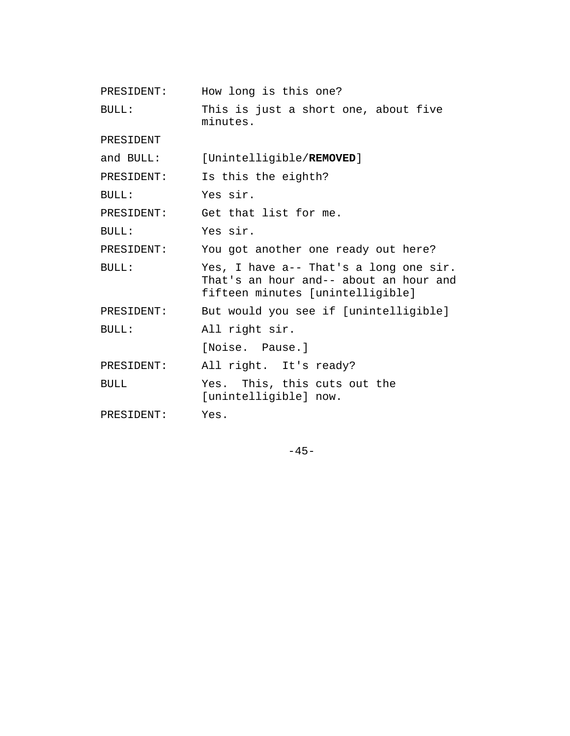| PRESIDENT:  | How long is this one?                                                                                                |
|-------------|----------------------------------------------------------------------------------------------------------------------|
| BULL:       | This is just a short one, about five<br>minutes.                                                                     |
| PRESIDENT   |                                                                                                                      |
| and BULL:   | [Unintelligible/REMOVED]                                                                                             |
| PRESIDENT:  | Is this the eighth?                                                                                                  |
| BULL:       | Yes sir.                                                                                                             |
| PRESIDENT:  | Get that list for me.                                                                                                |
| BULL:       | Yes sir.                                                                                                             |
| PRESIDENT:  | You got another one ready out here?                                                                                  |
| BULL:       | Yes, I have a-- That's a long one sir.<br>That's an hour and-- about an hour and<br>fifteen minutes [unintelligible] |
| PRESIDENT:  | But would you see if [unintelligible]                                                                                |
| BULL:       | All right sir.                                                                                                       |
|             | [Noise. Pause.]                                                                                                      |
| PRESIDENT:  | All right. It's ready?                                                                                               |
| <b>BULL</b> | Yes. This, this cuts out the<br>[unintelligible] now.                                                                |
| PRESIDENT:  | Yes.                                                                                                                 |

-45-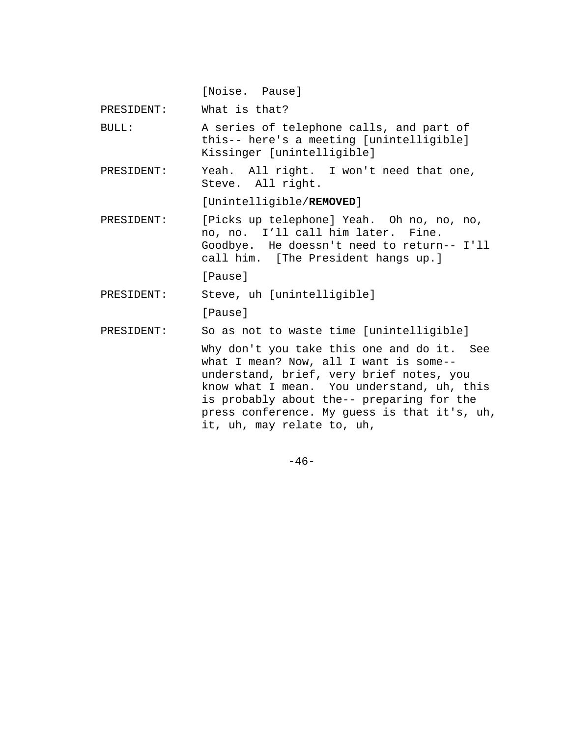[Noise. Pause]

PRESIDENT: What is that?

BULL: A series of telephone calls, and part of this-- here's a meeting [unintelligible] Kissinger [unintelligible]

PRESIDENT: Yeah. All right. I won't need that one, Steve. All right.

[Unintelligible/**REMOVED**]

PRESIDENT: [Picks up telephone] Yeah. Oh no, no, no, no, no. I'll call him later. Fine. Goodbye. He doessn't need to return-- I'll call him. [The President hangs up.]

[Pause]

PRESIDENT: Steve, uh [unintelligible]

[Pause]

PRESIDENT: So as not to waste time [unintelligible]

Why don't you take this one and do it. See what I mean? Now, all I want is some- understand, brief, very brief notes, you know what I mean. You understand, uh, this is probably about the-- preparing for the press conference. My guess is that it's, uh, it, uh, may relate to, uh,

 $-46-$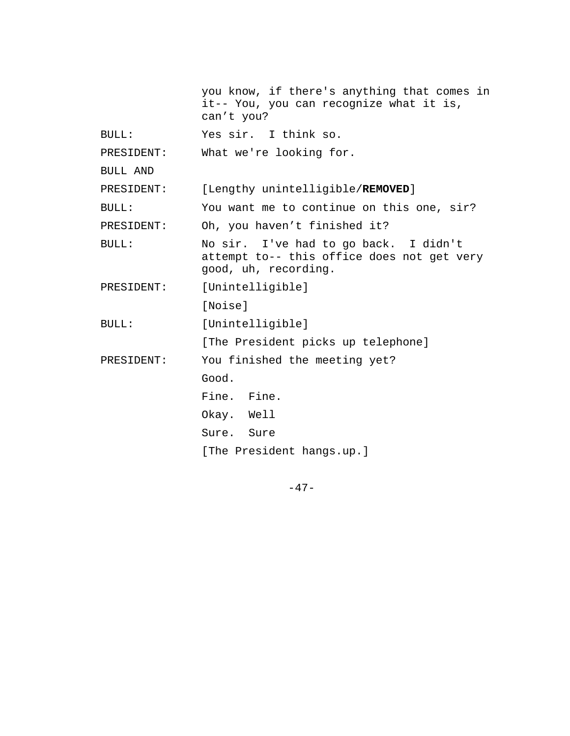|                 | you know, if there's anything that comes in<br>it-- You, you can recognize what it is,<br>can't you?        |
|-----------------|-------------------------------------------------------------------------------------------------------------|
| BULL:           | Yes sir. I think so.                                                                                        |
| PRESIDENT:      | What we're looking for.                                                                                     |
| <b>BULL AND</b> |                                                                                                             |
| PRESIDENT:      | [Lengthy unintelligible/REMOVED]                                                                            |
| BULL:           | You want me to continue on this one, sir?                                                                   |
| PRESIDENT:      | Oh, you haven't finished it?                                                                                |
| BULL:           | No sir. I've had to go back. I didn't<br>attempt to-- this office does not get very<br>good, uh, recording. |
| PRESIDENT:      | [Unintelligible]                                                                                            |
|                 | [Noise]                                                                                                     |
| BULL:           | [Unintelligible]                                                                                            |
|                 | [The President picks up telephone]                                                                          |
| PRESIDENT:      | You finished the meeting yet?                                                                               |
|                 | Good.                                                                                                       |
|                 | Fine. Fine.                                                                                                 |
|                 | Okay. Well                                                                                                  |
|                 | Sure. Sure                                                                                                  |
|                 | [The President hangs.up.]                                                                                   |

-47-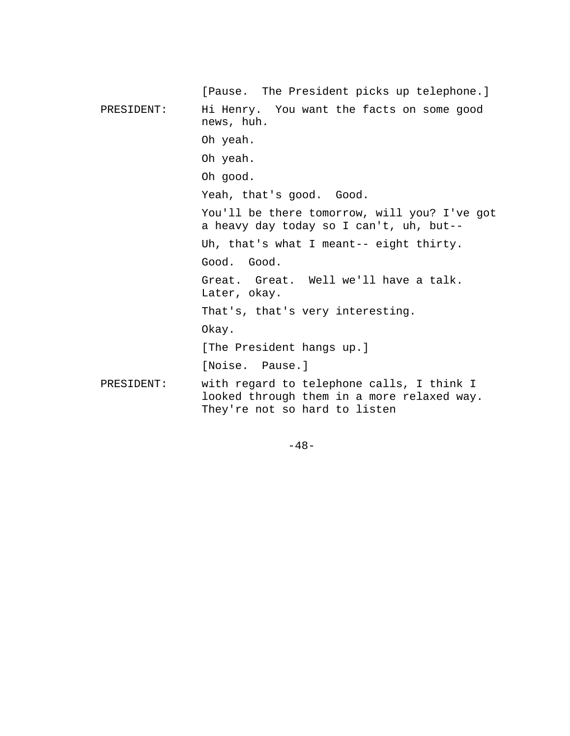[Pause. The President picks up telephone.] PRESIDENT: Hi Henry. You want the facts on some good news, huh. Oh yeah. Oh yeah. Oh good. Yeah, that's good. Good. You'll be there tomorrow, will you? I've got a heavy day today so I can't, uh, but-- Uh, that's what I meant-- eight thirty. Good. Good. Great. Great. Well we'll have a talk. Later, okay. That's, that's very interesting. Okay. [The President hangs up.] [Noise. Pause.] PRESIDENT: with regard to telephone calls, I think I looked through them in a more relaxed way. They're not so hard to listen

-48-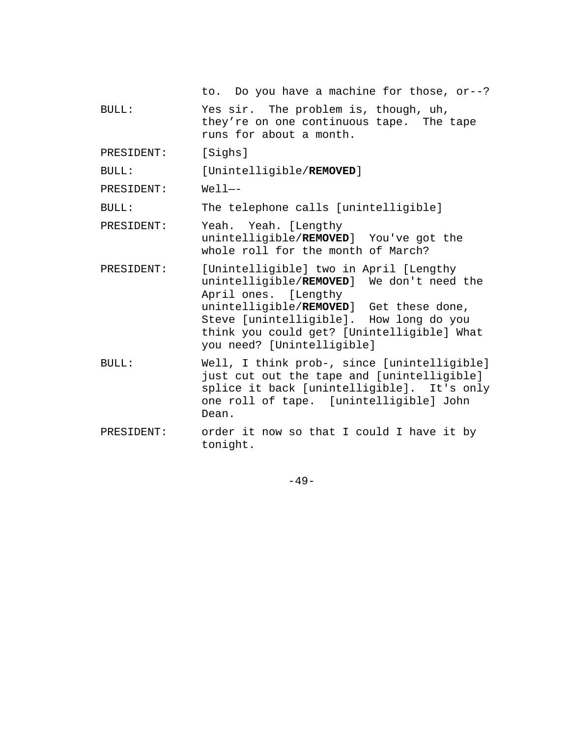|            | to. Do you have a machine for those, or--?                                                                                                                                                                                                                                    |  |
|------------|-------------------------------------------------------------------------------------------------------------------------------------------------------------------------------------------------------------------------------------------------------------------------------|--|
| BULL:      | Yes sir. The problem is, though, uh,<br>they're on one continuous tape. The tape<br>runs for about a month.                                                                                                                                                                   |  |
| PRESIDENT: | [Sighs]                                                                                                                                                                                                                                                                       |  |
| BULL:      | [Unintelligible/REMOVED]                                                                                                                                                                                                                                                      |  |
| PRESIDENT: | $Well1--$                                                                                                                                                                                                                                                                     |  |
| BULL:      | The telephone calls [unintelligible]                                                                                                                                                                                                                                          |  |
| PRESIDENT: | Yeah. Yeah. [Lengthy<br>unintelligible/REMOVED] You've got the<br>whole roll for the month of March?                                                                                                                                                                          |  |
| PRESIDENT: | [Unintelligible] two in April [Lengthy<br>unintelligible/REMOVED] We don't need the<br>April ones. [Lengthy<br>unintelligible/REMOVED] Get these done,<br>Steve [unintelligible]. How long do you<br>think you could get? [Unintelligible] What<br>you need? [Unintelligible] |  |
| BULL:      | Well, I think prob-, since [unintelligible]<br>just cut out the tape and [unintelligible]<br>splice it back [unintelligible]. It's only<br>one roll of tape. [unintelligible] John<br>Dean.                                                                                   |  |
| PRESIDENT: | order it now so that I could I have it by<br>tonight.                                                                                                                                                                                                                         |  |

-49-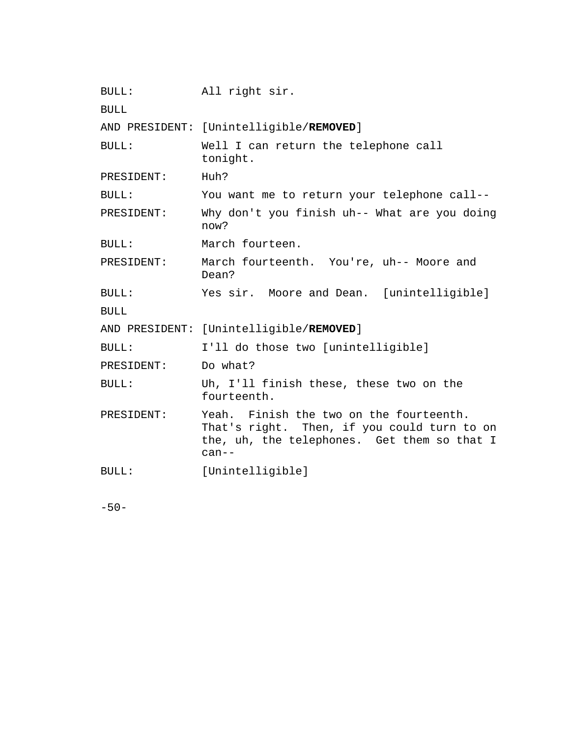| BULL:       | All right sir.                                                                                                                                   |
|-------------|--------------------------------------------------------------------------------------------------------------------------------------------------|
| <b>BULL</b> |                                                                                                                                                  |
|             | AND PRESIDENT: [Unintelligible/REMOVED]                                                                                                          |
| BULL:       | Well I can return the telephone call<br>tonight.                                                                                                 |
| PRESIDENT:  | Huh?                                                                                                                                             |
| BULL:       | You want me to return your telephone call--                                                                                                      |
| PRESIDENT:  | Why don't you finish uh-- What are you doing<br>now?                                                                                             |
| BULL:       | March fourteen.                                                                                                                                  |
| PRESIDENT:  | March fourteenth. You're, uh-- Moore and<br>Dean?                                                                                                |
| BULL:       | Yes sir. Moore and Dean. [unintelligible]                                                                                                        |
| <b>BULL</b> |                                                                                                                                                  |
|             | AND PRESIDENT: [Unintelligible/REMOVED]                                                                                                          |
| BULL:       | I'll do those two [unintelligible]                                                                                                               |
| PRESIDENT:  | Do what?                                                                                                                                         |
| BULL:       | Uh, I'll finish these, these two on the<br>fourteenth.                                                                                           |
| PRESIDENT:  | Yeah. Finish the two on the fourteenth.<br>That's right. Then, if you could turn to on<br>the, uh, the telephones. Get them so that I<br>$can--$ |
| BULL:       | [Unintelligible]                                                                                                                                 |
|             |                                                                                                                                                  |

-50-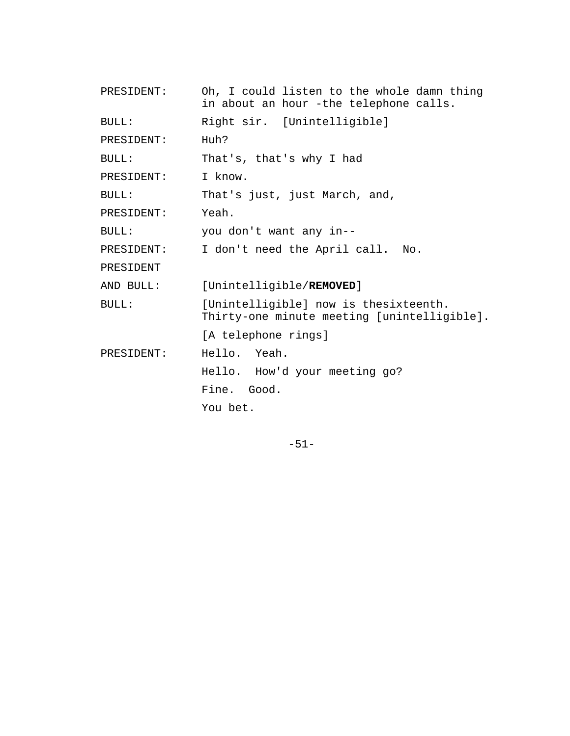| Oh, I could listen to the whole damn thing<br>in about an hour -the telephone calls. |
|--------------------------------------------------------------------------------------|
| Right sir. [Unintelligible]                                                          |
| Huh?                                                                                 |
| That's, that's why I had                                                             |
| I know.                                                                              |
| That's just, just March, and,                                                        |
| Yeah.                                                                                |
| you don't want any in--                                                              |
| I don't need the April call.<br>No.                                                  |
|                                                                                      |
| [Unintelligible/REMOVED]                                                             |
| [Unintelligible] now is thesixteenth.<br>Thirty-one minute meeting [unintelligible]. |
| [A telephone rings]                                                                  |
| Hello. Yeah.                                                                         |
| Hello. How'd your meeting go?                                                        |
| Fine. Good.                                                                          |
| You bet.                                                                             |
|                                                                                      |

-51-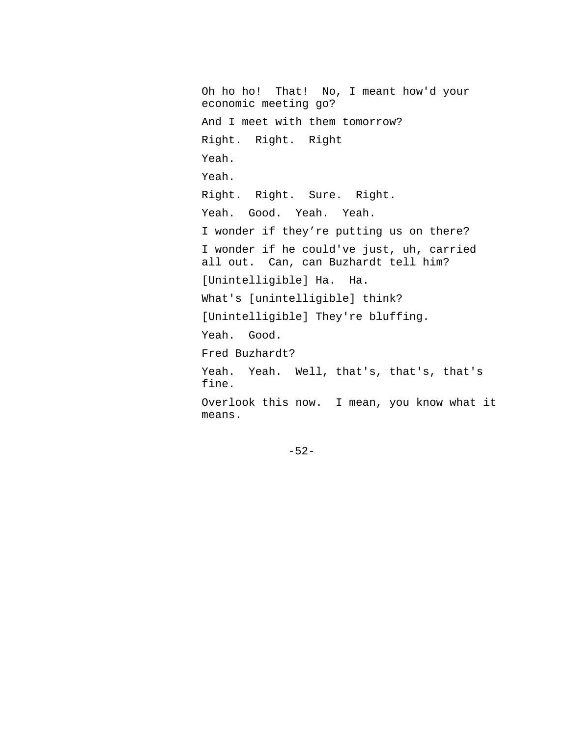Oh ho ho! That! No, I meant how'd your economic meeting go? And I meet with them tomorrow? Right. Right. Right Yeah. Yeah. Right. Right. Sure. Right. Yeah. Good. Yeah. Yeah. I wonder if they're putting us on there? I wonder if he could've just, uh, carried all out. Can, can Buzhardt tell him? [Unintelligible] Ha. Ha. What's [unintelligible] think? [Unintelligible] They're bluffing. Yeah. Good. Fred Buzhardt? Yeah. Yeah. Well, that's, that's, that's fine. Overlook this now. I mean, you know what it means.

-52-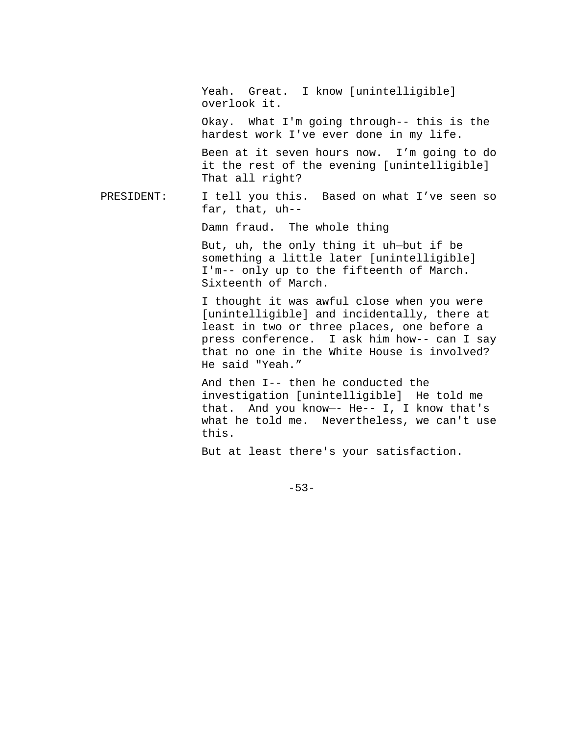Yeah. Great. I know [unintelligible] overlook it.

Okay. What I'm going through-- this is the hardest work I've ever done in my life.

Been at it seven hours now. I'm going to do it the rest of the evening [unintelligible] That all right?

PRESIDENT: I tell you this. Based on what I've seen so far, that, uh--

Damn fraud. The whole thing

But, uh, the only thing it uh—but if be something a little later [unintelligible] I'm-- only up to the fifteenth of March. Sixteenth of March.

I thought it was awful close when you were [unintelligible] and incidentally, there at least in two or three places, one before a press conference. I ask him how-- can I say that no one in the White House is involved? He said "Yeah."

And then I-- then he conducted the investigation [unintelligible] He told me that. And you know—- He-- I, I know that's what he told me. Nevertheless, we can't use this.

But at least there's your satisfaction.

-53-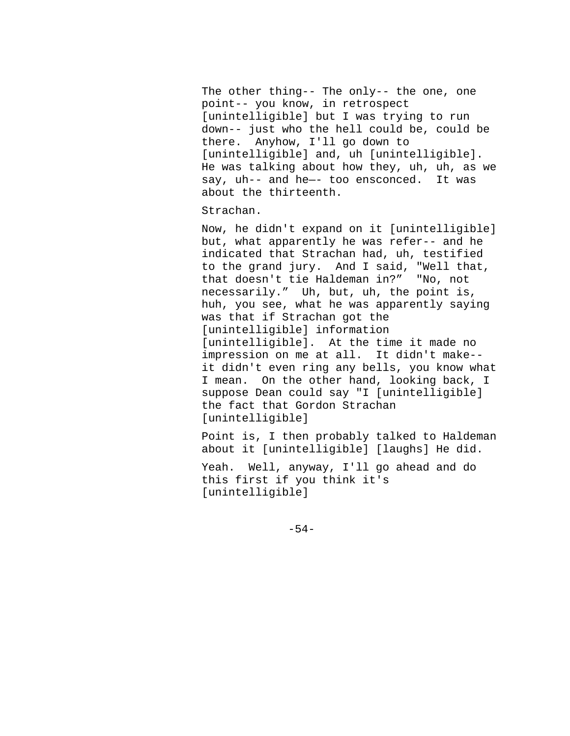The other thing-- The only-- the one, one point-- you know, in retrospect [unintelligible] but I was trying to run down-- just who the hell could be, could be there. Anyhow, I'll go down to [unintelligible] and, uh [unintelligible]. He was talking about how they, uh, uh, as we say, uh-- and he—- too ensconced. It was about the thirteenth.

Strachan.

Now, he didn't expand on it [unintelligible] but, what apparently he was refer-- and he indicated that Strachan had, uh, testified to the grand jury. And I said, "Well that, that doesn't tie Haldeman in?" "No, not necessarily." Uh, but, uh, the point is, huh, you see, what he was apparently saying was that if Strachan got the [unintelligible] information [unintelligible]. At the time it made no impression on me at all. It didn't make- it didn't even ring any bells, you know what I mean. On the other hand, looking back, I suppose Dean could say "I [unintelligible] the fact that Gordon Strachan [unintelligible]

Point is, I then probably talked to Haldeman about it [unintelligible] [laughs] He did.

Yeah. Well, anyway, I'll go ahead and do this first if you think it's [unintelligible]

 $-54-$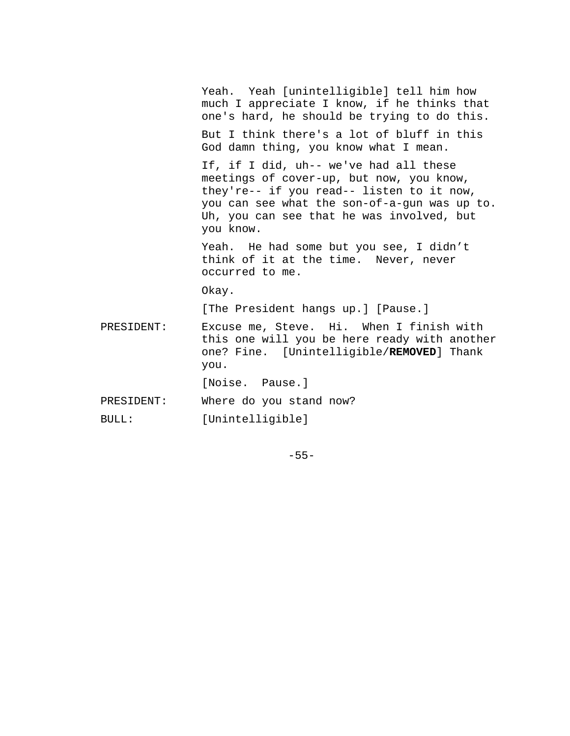| But I think there's a lot of bluff in this<br>God damn thing, you know what I mean.                                                                                                                                                       |
|-------------------------------------------------------------------------------------------------------------------------------------------------------------------------------------------------------------------------------------------|
|                                                                                                                                                                                                                                           |
| If, if I did, uh-- we've had all these<br>meetings of cover-up, but now, you know,<br>they're-- if you read-- listen to it now,<br>you can see what the son-of-a-gun was up to.<br>Uh, you can see that he was involved, but<br>you know. |
| Yeah. He had some but you see, I didn't<br>think of it at the time. Never, never<br>occurred to me.                                                                                                                                       |
| Okay.                                                                                                                                                                                                                                     |
| [The President hangs up.] [Pause.]                                                                                                                                                                                                        |
| Excuse me, Steve. Hi. When I finish with<br>PRESIDENT:<br>this one will you be here ready with another<br>one? Fine. [Unintelligible/REMOVED] Thank<br>you.                                                                               |
| [Noise. Pause.]                                                                                                                                                                                                                           |
| Where do you stand now?<br>PRESIDENT:                                                                                                                                                                                                     |
| [Unintelligible]<br>BULL:                                                                                                                                                                                                                 |

-55-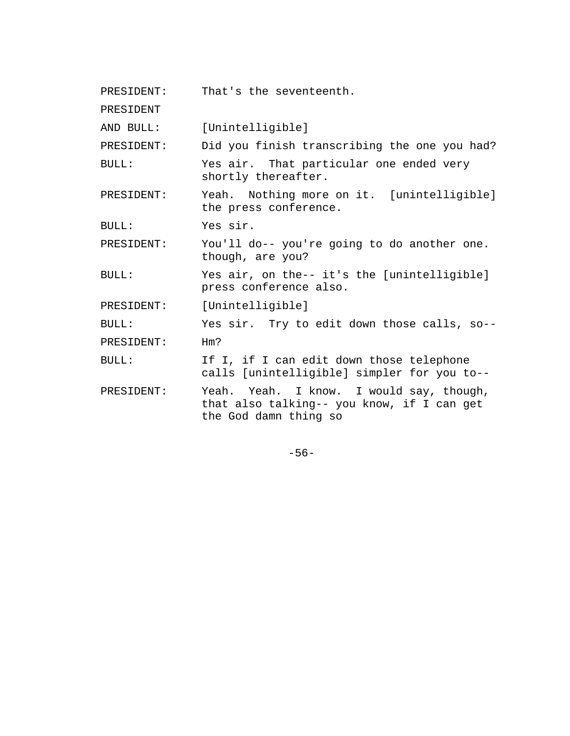PRESIDENT: That's the seventeenth.

PRESIDENT

AND BULL: [Unintelligible]

PRESIDENT: Did you finish transcribing the one you had?

BULL: Yes air. That particular one ended very shortly thereafter.

PRESIDENT: Yeah. Nothing more on it. [unintelligible] the press conference.

BULL: Yes sir.

PRESIDENT: You'll do-- you're going to do another one. though, are you?

BULL: Yes air, on the-- it's the [unintelligible] press conference also.

PRESIDENT: [Unintelligible]

BULL: Yes sir. Try to edit down those calls, so--

PRESIDENT: Hm?

BULL: If I, if I can edit down those telephone calls [unintelligible] simpler for you to--

PRESIDENT: Yeah. Yeah. I know. I would say, though, that also talking-- you know, if I can get the God damn thing so

-56-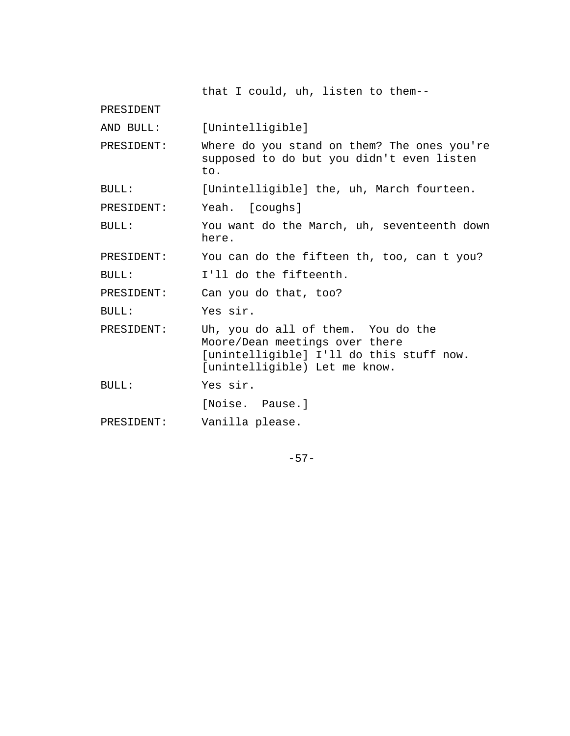|            | that I could, uh, listen to them--                                                                                                                |  |
|------------|---------------------------------------------------------------------------------------------------------------------------------------------------|--|
| PRESIDENT  |                                                                                                                                                   |  |
| AND BULL:  | [Unintelligible]                                                                                                                                  |  |
| PRESIDENT: | Where do you stand on them? The ones you're<br>supposed to do but you didn't even listen<br>to.                                                   |  |
| BULL:      | [Unintelligible] the, uh, March fourteen.                                                                                                         |  |
| PRESIDENT: | Yeah. [coughs]                                                                                                                                    |  |
| BULL:      | You want do the March, uh, seventeenth down<br>here.                                                                                              |  |
| PRESIDENT: | You can do the fifteen th, too, can t you?                                                                                                        |  |
| BULL:      | I'll do the fifteenth.                                                                                                                            |  |
| PRESIDENT: | Can you do that, too?                                                                                                                             |  |
| BULL:      | Yes sir.                                                                                                                                          |  |
| PRESIDENT: | Uh, you do all of them. You do the<br>Moore/Dean meetings over there<br>[unintelligible] I'll do this stuff now.<br>[unintelligible) Let me know. |  |
| BULL:      | Yes sir.                                                                                                                                          |  |
|            | [Noise. Pause.]                                                                                                                                   |  |
| PRESIDENT: | Vanilla please.                                                                                                                                   |  |

-57-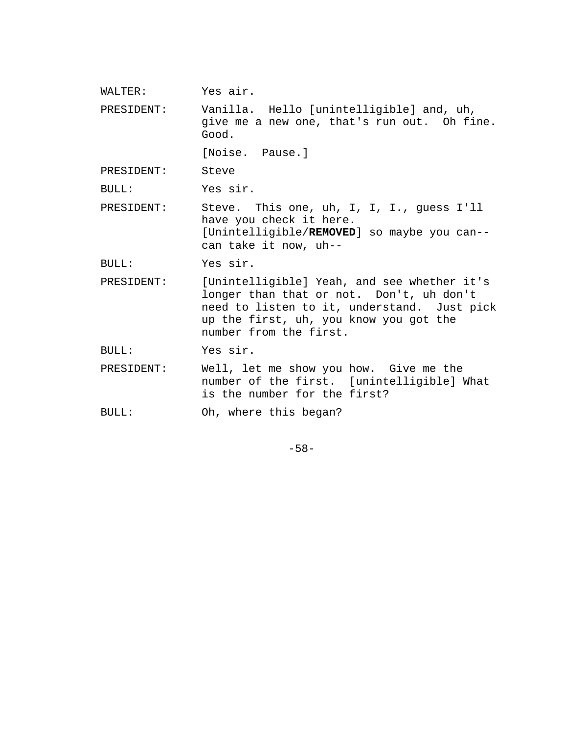WALTER: Yes air. PRESIDENT: Vanilla. Hello [unintelligible] and, uh, give me a new one, that's run out. Oh fine. Good. [Noise. Pause.] PRESIDENT: Steve BULL: Yes sir. PRESIDENT: Steve. This one, uh, I, I, I., guess I'll have you check it here. [Unintelligible/**REMOVED**] so maybe you can- can take it now, uh-- BULL: Yes sir. PRESIDENT: [Unintelligible] Yeah, and see whether it's longer than that or not. Don't, uh don't need to listen to it, understand. Just pick up the first, uh, you know you got the number from the first. BULL: Yes sir. PRESIDENT: Well, let me show you how. Give me the number of the first. [unintelligible] What is the number for the first? BULL: Oh, where this began?

-58-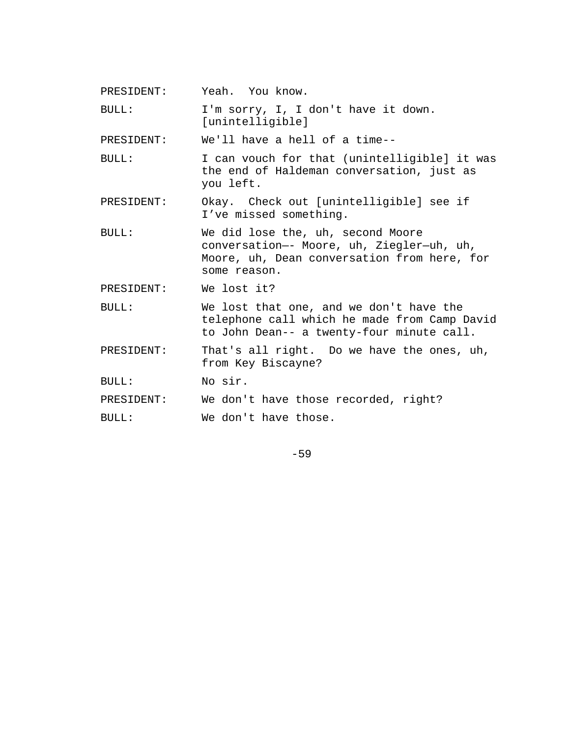| PRESIDENT: | Yeah. You know.                                                                                                                               |
|------------|-----------------------------------------------------------------------------------------------------------------------------------------------|
| BULL:      | I'm sorry, I, I don't have it down.<br>[unintelligible]                                                                                       |
| PRESIDENT: | We'll have a hell of a time--                                                                                                                 |
| BULL:      | I can vouch for that (unintelligible) it was<br>the end of Haldeman conversation, just as<br>you left.                                        |
| PRESIDENT: | Okay. Check out [unintelligible] see if<br>I've missed something.                                                                             |
| BULL:      | We did lose the, uh, second Moore<br>conversation-- Moore, uh, Ziegler-uh, uh,<br>Moore, uh, Dean conversation from here, for<br>some reason. |
| PRESIDENT: | We lost it?                                                                                                                                   |
| BULL:      | We lost that one, and we don't have the<br>telephone call which he made from Camp David<br>to John Dean-- a twenty-four minute call.          |
| PRESIDENT: | That's all right. Do we have the ones, uh,<br>from Key Biscayne?                                                                              |
| BULL:      | No sir.                                                                                                                                       |
| PRESIDENT: | We don't have those recorded, right?                                                                                                          |
| BULL:      | We don't have those.                                                                                                                          |

-59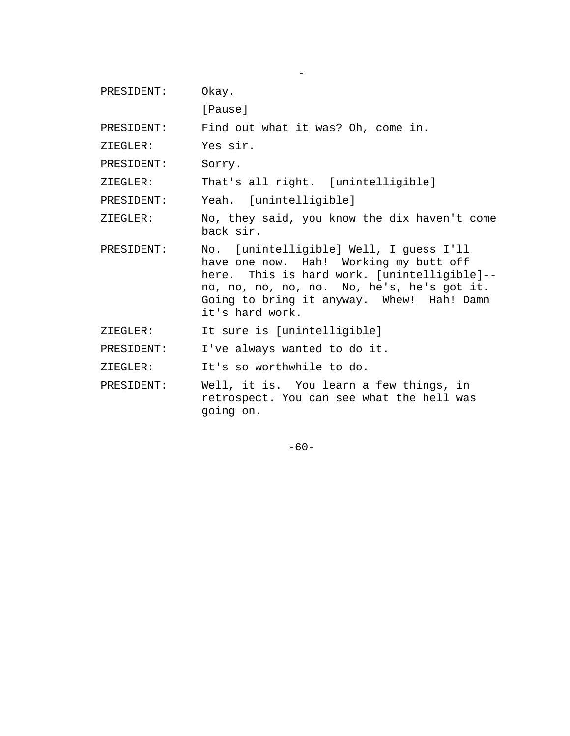| PRESIDENT: | Okay. |
|------------|-------|
|------------|-------|

[Pause]

PRESIDENT: Find out what it was? Oh, come in.

ZIEGLER: Yes sir.

PRESIDENT: Sorry.

ZIEGLER: That's all right. [unintelligible]

PRESIDENT: Yeah. [unintelligible]

ZIEGLER: No, they said, you know the dix haven't come back sir.

-

PRESIDENT: No. [unintelligible] Well, I guess I'll have one now. Hah! Working my butt off here. This is hard work. [unintelligible]- no, no, no, no, no. No, he's, he's got it. Going to bring it anyway. Whew! Hah! Damn it's hard work.

ZIEGLER: It sure is [unintelligible]

PRESIDENT: I've always wanted to do it.

ZIEGLER: It's so worthwhile to do.

PRESIDENT: Well, it is. You learn a few things, in retrospect. You can see what the hell was going on.

-60-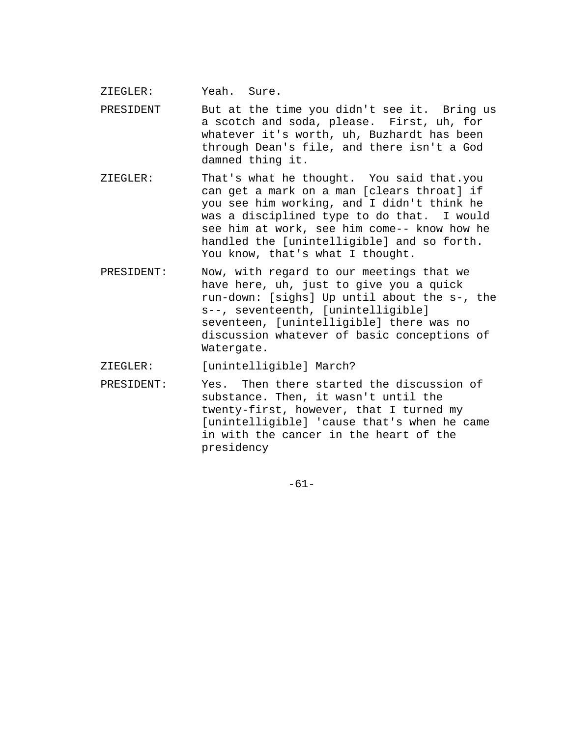- ZIEGLER: Yeah. Sure.
- PRESIDENT But at the time you didn't see it. Bring us a scotch and soda, please. First, uh, for whatever it's worth, uh, Buzhardt has been through Dean's file, and there isn't a God damned thing it.
- ZIEGLER: That's what he thought. You said that.you can get a mark on a man [clears throat] if you see him working, and I didn't think he was a disciplined type to do that. I would see him at work, see him come-- know how he handled the [unintelligible] and so forth. You know, that's what I thought.
- PRESIDENT: Now, with regard to our meetings that we have here, uh, just to give you a quick run-down: [sighs] Up until about the s-, the s--, seventeenth, [unintelligible] seventeen, [unintelligible] there was no discussion whatever of basic conceptions of Watergate.
- ZIEGLER: [unintelligible] March?
- PRESIDENT: Yes. Then there started the discussion of substance. Then, it wasn't until the twenty-first, however, that I turned my [unintelligible] 'cause that's when he came in with the cancer in the heart of the presidency

-61-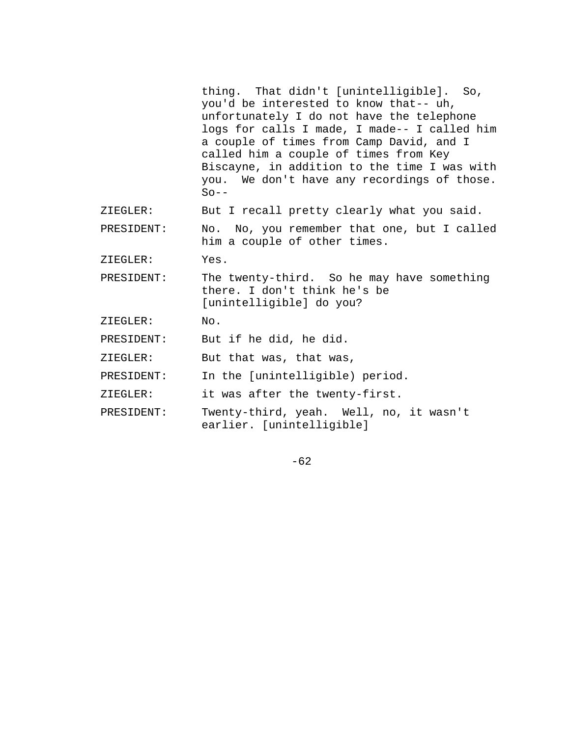thing. That didn't [unintelligible]. So, you'd be interested to know that-- uh, unfortunately I do not have the telephone logs for calls I made, I made-- I called him a couple of times from Camp David, and I called him a couple of times from Key Biscayne, in addition to the time I was with you. We don't have any recordings of those.  $So --$ 

ZIEGLER: But I recall pretty clearly what you said.

PRESIDENT: No. No, you remember that one, but I called him a couple of other times.

ZIEGLER: Yes.

PRESIDENT: The twenty-third. So he may have something there. I don't think he's be [unintelligible] do you?

ZIEGLER: No.

PRESIDENT: But if he did, he did.

ZIEGLER: But that was, that was,

- PRESIDENT: In the [unintelligible) period.
- ZIEGLER: it was after the twenty-first.
- PRESIDENT: Twenty-third, yeah. Well, no, it wasn't earlier. [unintelligible]

-62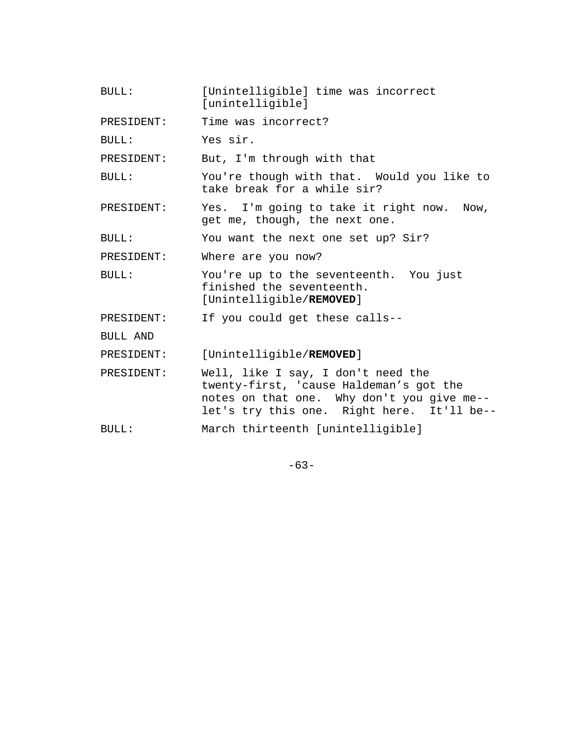BULL: [Unintelligible] time was incorrect [unintelligible]

PRESIDENT: Time was incorrect?

BULL: Yes sir.

PRESIDENT: But, I'm through with that

BULL: You're though with that. Would you like to take break for a while sir?

PRESIDENT: Yes. I'm going to take it right now. Now, get me, though, the next one.

BULL: You want the next one set up? Sir?

PRESIDENT: Where are you now?

BULL: You're up to the seventeenth. You just finished the seventeenth. [Unintelligible/**REMOVED**]

PRESIDENT: If you could get these calls--

BULL AND

PRESIDENT: [Unintelligible/**REMOVED**]

PRESIDENT: Well, like I say, I don't need the twenty-first, 'cause Haldeman's got the notes on that one. Why don't you give me- let's try this one. Right here. It'll be--

BULL: March thirteenth [unintelligible]

-63-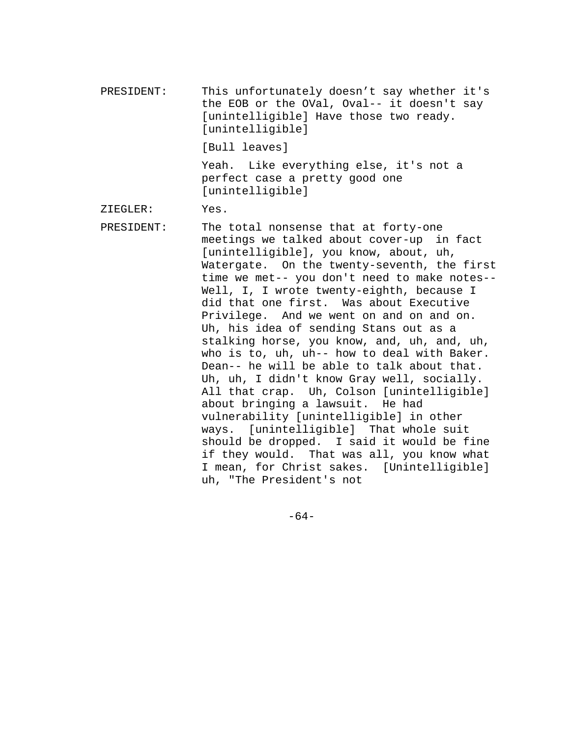PRESIDENT: This unfortunately doesn't say whether it's the EOB or the OVal, Oval-- it doesn't say [unintelligible] Have those two ready. [unintelligible]

[Bull leaves]

Yeah. Like everything else, it's not a perfect case a pretty good one [unintelligible]

ZIEGLER: Yes.

PRESIDENT: The total nonsense that at forty-one meetings we talked about cover-up in fact [unintelligible], you know, about, uh, Watergate. On the twenty-seventh, the first time we met-- you don't need to make notes-- Well, I, I wrote twenty-eighth, because I did that one first. Was about Executive Privilege. And we went on and on and on. Uh, his idea of sending Stans out as a stalking horse, you know, and, uh, and, uh, who is to, uh, uh-- how to deal with Baker. Dean-- he will be able to talk about that. Uh, uh, I didn't know Gray well, socially. All that crap. Uh, Colson [unintelligible] about bringing a lawsuit. He had vulnerability [unintelligible] in other ways. [unintelligible] That whole suit should be dropped. I said it would be fine if they would. That was all, you know what I mean, for Christ sakes. [Unintelligible] uh, "The President's not

-64-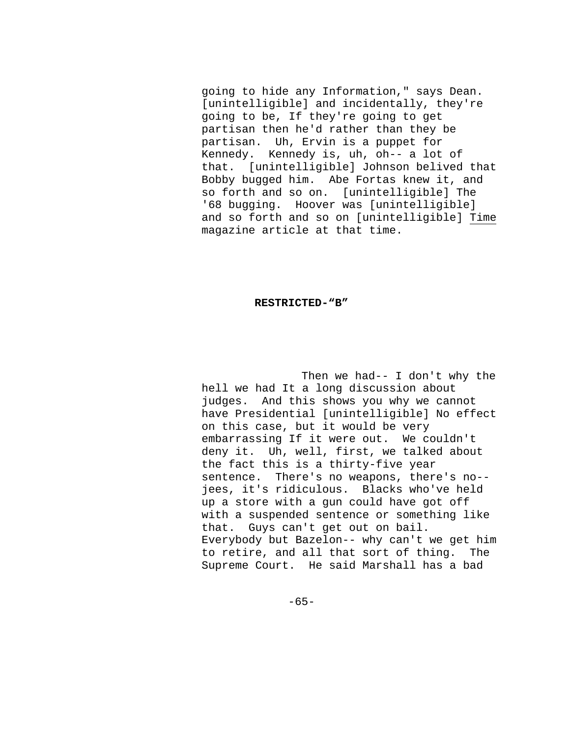going to hide any Information," says Dean. [unintelligible] and incidentally, they're going to be, If they're going to get partisan then he'd rather than they be partisan. Uh, Ervin is a puppet for Kennedy. Kennedy is, uh, oh-- a lot of that. [unintelligible] Johnson belived that Bobby bugged him. Abe Fortas knew it, and so forth and so on. [unintelligible] The '68 bugging. Hoover was [unintelligible] and so forth and so on [unintelligible] Time magazine article at that time.

## **RESTRICTED-"B"**

Then we had-- I don't why the hell we had It a long discussion about judges. And this shows you why we cannot have Presidential [unintelligible] No effect on this case, but it would be very embarrassing If it were out. We couldn't deny it. Uh, well, first, we talked about the fact this is a thirty-five year sentence. There's no weapons, there's no- jees, it's ridiculous. Blacks who've held up a store with a gun could have got off with a suspended sentence or something like that. Guys can't get out on bail. Everybody but Bazelon-- why can't we get him to retire, and all that sort of thing. The Supreme Court. He said Marshall has a bad

 $-65-$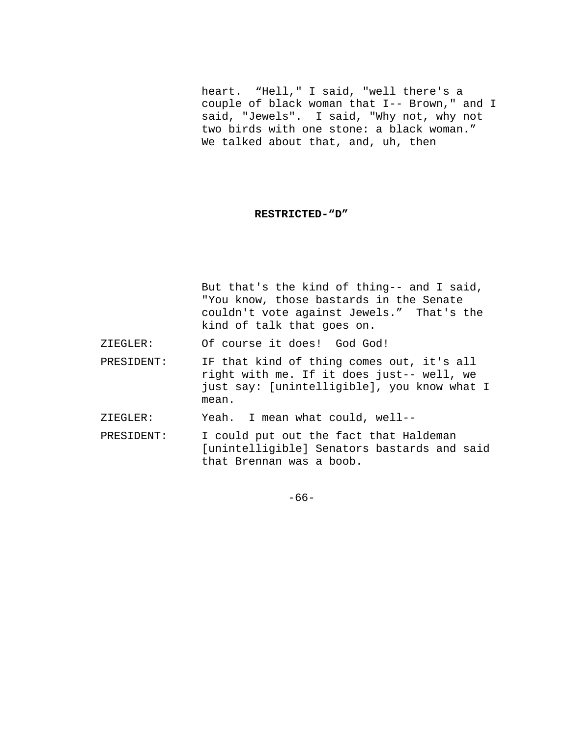heart. "Hell," I said, "well there's a couple of black woman that I-- Brown," and I said, "Jewels". I said, "Why not, why not two birds with one stone: a black woman." We talked about that, and, uh, then

## **RESTRICTED-"D"**

But that's the kind of thing-- and I said, "You know, those bastards in the Senate couldn't vote against Jewels." That's the kind of talk that goes on.

- ZIEGLER: Of course it does! God God!
- PRESIDENT: IF that kind of thing comes out, it's all right with me. If it does just-- well, we just say: [unintelligible], you know what I mean.

ZIEGLER: Yeah. I mean what could, well--

PRESIDENT: I could put out the fact that Haldeman [unintelligible] Senators bastards and said that Brennan was a boob.

-66-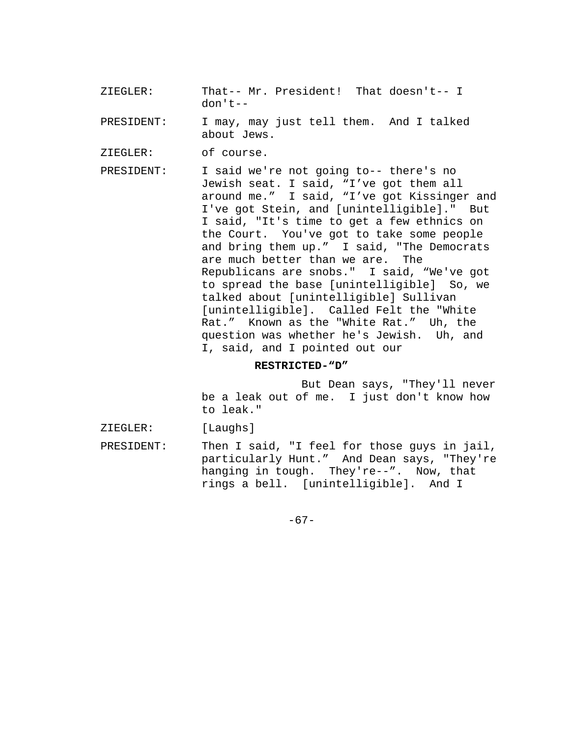ZIEGLER: That-- Mr. President! That doesn't-- I don't--

PRESIDENT: I may, may just tell them. And I talked about Jews.

ZIEGLER: of course.

PRESIDENT: I said we're not going to-- there's no Jewish seat. I said, "I've got them all around me." I said, "I've got Kissinger and I've got Stein, and [unintelligible]." But I said, "It's time to get a few ethnics on the Court. You've got to take some people and bring them up." I said, "The Democrats are much better than we are. The Republicans are snobs." I said, "We've got to spread the base [unintelligible] So, we talked about [unintelligible] Sullivan [unintelligible]. Called Felt the "White Rat." Known as the "White Rat." Uh, the question was whether he's Jewish. Uh, and I, said, and I pointed out our

## **RESTRICTED-"D"**

But Dean says, "They'll never be a leak out of me. I just don't know how to leak."

ZIEGLER: [Laughs]

PRESIDENT: Then I said, "I feel for those guys in jail, particularly Hunt." And Dean says, "They're hanging in tough. They're--". Now, that rings a bell. [unintelligible]. And I

-67-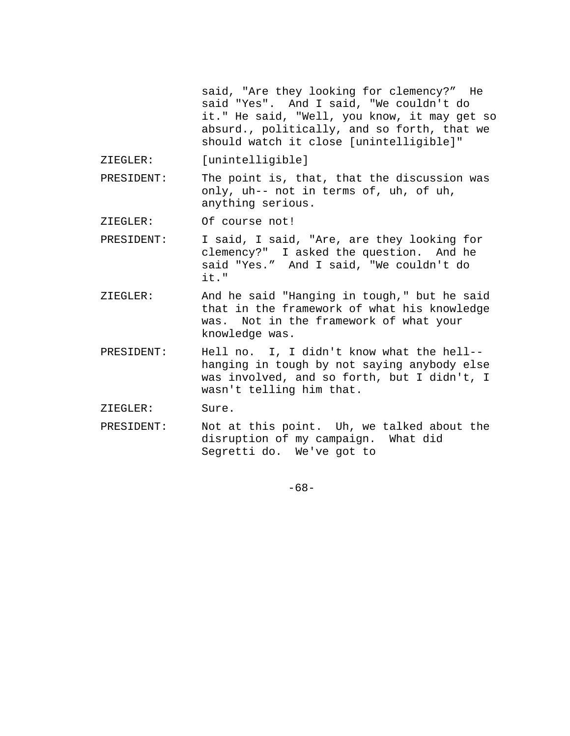said, "Are they looking for clemency?" He said "Yes". And I said, "We couldn't do it." He said, "Well, you know, it may get so absurd., politically, and so forth, that we should watch it close [unintelligible]"

- ZIEGLER: [unintelligible]
- PRESIDENT: The point is, that, that the discussion was only, uh-- not in terms of, uh, of uh, anything serious.
- ZIEGLER: Of course not!
- PRESIDENT: I said, I said, "Are, are they looking for clemency?" I asked the question. And he said "Yes." And I said, "We couldn't do it."
- ZIEGLER: And he said "Hanging in tough," but he said that in the framework of what his knowledge was. Not in the framework of what your knowledge was.
- PRESIDENT: Hell no. I, I didn't know what the hell- hanging in tough by not saying anybody else was involved, and so forth, but I didn't, I wasn't telling him that.
- ZIEGLER: Sure.
- PRESIDENT: Not at this point. Uh, we talked about the disruption of my campaign. What did Segretti do. We've got to

-68-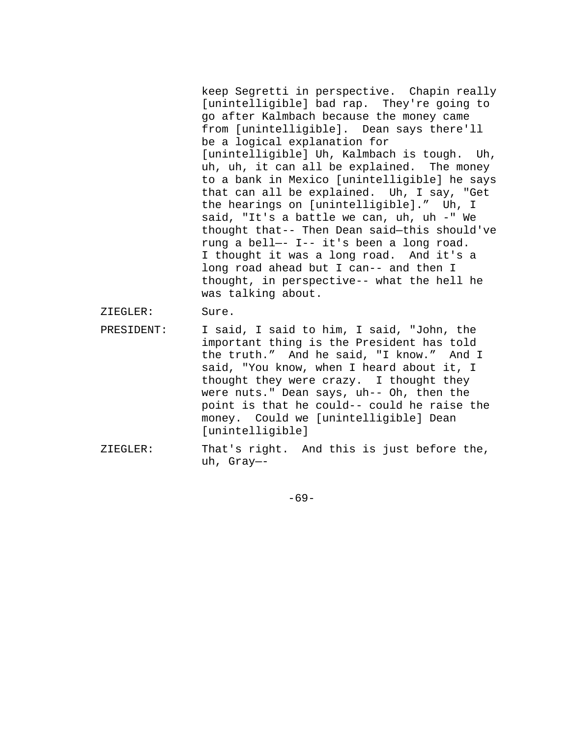keep Segretti in perspective. Chapin really [unintelligible] bad rap. They're going to go after Kalmbach because the money came from [unintelligible]. Dean says there'll be a logical explanation for [unintelligible] Uh, Kalmbach is tough. Uh, uh, uh, it can all be explained. The money to a bank in Mexico [unintelligible] he says that can all be explained. Uh, I say, "Get the hearings on [unintelligible]." Uh, I said, "It's a battle we can, uh, uh -" We thought that-- Then Dean said—this should've rung a bell—- I-- it's been a long road. I thought it was a long road. And it's a long road ahead but I can-- and then I thought, in perspective-- what the hell he was talking about.

ZIEGLER: Sure.

- PRESIDENT: I said, I said to him, I said, "John, the important thing is the President has told the truth." And he said, "I know." And I said, "You know, when I heard about it, I thought they were crazy. I thought they were nuts." Dean says, uh-- Oh, then the point is that he could-- could he raise the money. Could we [unintelligible] Dean [unintelligible]
- ZIEGLER: That's right. And this is just before the, uh, Gray—-

-69-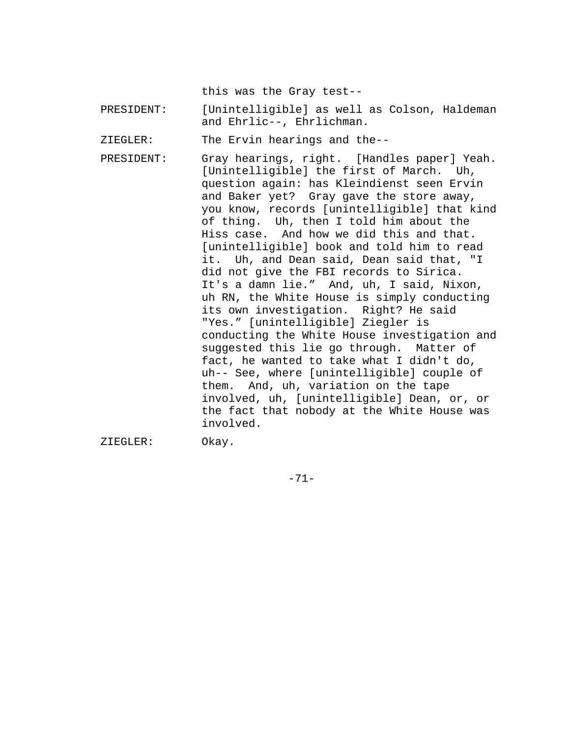this was the Gray test--

PRESIDENT: [Unintelligible] as well as Colson, Haldeman and Ehrlic--, Ehrlichman.

ZIEGLER: The Ervin hearings and the--

PRESIDENT: Gray hearings, right. [Handles paper] Yeah. [Unintelligible] the first of March. Uh, question again: has Kleindienst seen Ervin and Baker yet? Gray gave the store away, you know, records [unintelligible] that kind of thing. Uh, then I told him about the Hiss case. And how we did this and that. [unintelligible] book and told him to read it. Uh, and Dean said, Dean said that, "I did not give the FBI records to Sirica. It's a damn lie." And, uh, I said, Nixon, uh RN, the White House is simply conducting its own investigation. Right? He said "Yes." [unintelligible] Ziegler is conducting the White House investigation and suggested this lie go through. Matter of fact, he wanted to take what I didn't do, uh-- See, where [unintelligible] couple of them. And, uh, variation on the tape involved, uh, [unintelligible] Dean, or, or the fact that nobody at the White House was involved. ZIEGLER: Okay.

-71-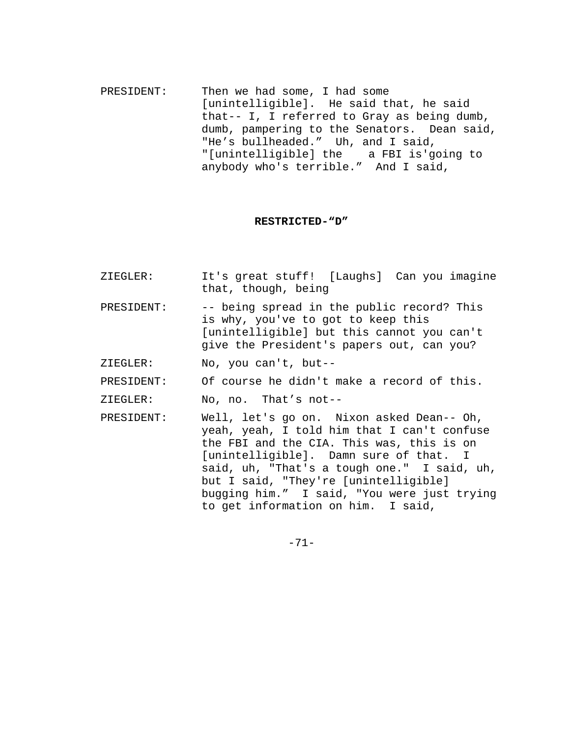PRESIDENT: Then we had some, I had some [unintelligible]. He said that, he said that-- I, I referred to Gray as being dumb, dumb, pampering to the Senators. Dean said, "He's bullheaded." Uh, and I said, "[unintelligible] the a FBI is'going to anybody who's terrible." And I said,

## **RESTRICTED-"D"**

- ZIEGLER: It's great stuff! [Laughs] Can you imagine that, though, being PRESIDENT: -- being spread in the public record? This is why, you've to got to keep this [unintelligible] but this cannot you can't give the President's papers out, can you?
- ZIEGLER: No, you can't, but--
- PRESIDENT: Of course he didn't make a record of this.

ZIEGLER: No, no. That's not--

PRESIDENT: Well, let's go on. Nixon asked Dean-- Oh, yeah, yeah, I told him that I can't confuse the FBI and the CIA. This was, this is on [unintelligible]. Damn sure of that. I said, uh, "That's a tough one." I said, uh, but I said, "They're [unintelligible] bugging him." I said, "You were just trying to get information on him. I said,

-71-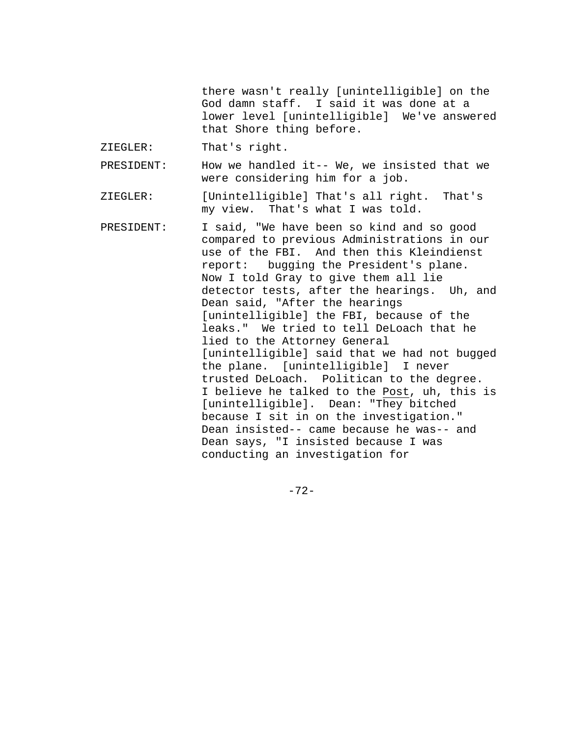there wasn't really [unintelligible] on the God damn staff. I said it was done at a lower level [unintelligible] We've answered that Shore thing before.

ZIEGLER: That's right.

PRESIDENT: How we handled it-- We, we insisted that we were considering him for a job.

ZIEGLER: [Unintelligible] That's all right. That's my view. That's what I was told.

PRESIDENT: I said, "We have been so kind and so good compared to previous Administrations in our use of the FBI. And then this Kleindienst report: bugging the President's plane. Now I told Gray to give them all lie detector tests, after the hearings. Uh, and Dean said, "After the hearings [unintelligible] the FBI, because of the leaks." We tried to tell DeLoach that he lied to the Attorney General [unintelligible] said that we had not bugged the plane. [unintelligible] I never trusted DeLoach. Politican to the degree. I believe he talked to the Post, uh, this is [unintelligible]. Dean: "They bitched because I sit in on the investigation." Dean insisted-- came because he was-- and Dean says, "I insisted because I was conducting an investigation for

-72-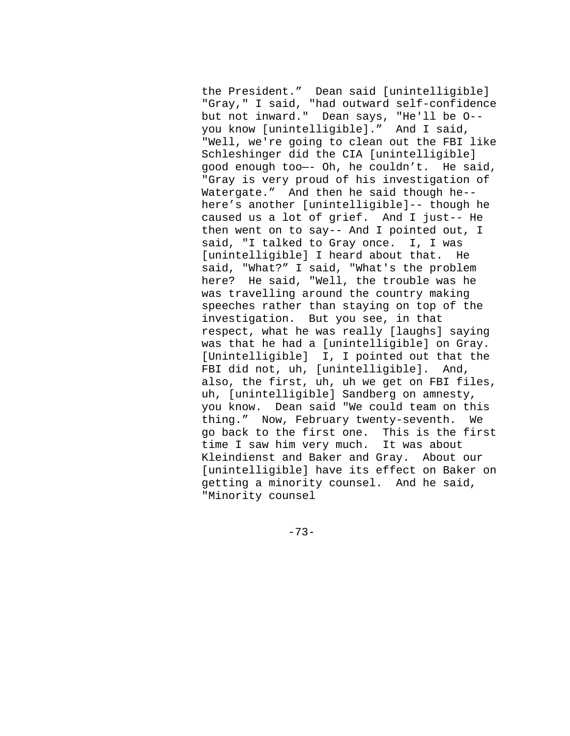the President." Dean said [unintelligible] "Gray," I said, "had outward self-confidence but not inward." Dean says, "He'll be O- you know [unintelligible]." And I said, "Well, we're going to clean out the FBI like Schleshinger did the CIA [unintelligible] good enough too—- Oh, he couldn't. He said, "Gray is very proud of his investigation of Watergate." And then he said though he- here's another [unintelligible]-- though he caused us a lot of grief. And I just-- He then went on to say-- And I pointed out, I said, "I talked to Gray once. I, I was [unintelligible] I heard about that. He said, "What?" I said, "What's the problem here? He said, "Well, the trouble was he was travelling around the country making speeches rather than staying on top of the investigation. But you see, in that respect, what he was really [laughs] saying was that he had a [unintelligible] on Gray. [Unintelligible] I, I pointed out that the FBI did not, uh, [unintelligible]. And, also, the first, uh, uh we get on FBI files, uh, [unintelligible] Sandberg on amnesty, you know. Dean said "We could team on this thing." Now, February twenty-seventh. We go back to the first one. This is the first time I saw him very much. It was about Kleindienst and Baker and Gray. About our [unintelligible] have its effect on Baker on getting a minority counsel. And he said, "Minority counsel

-73-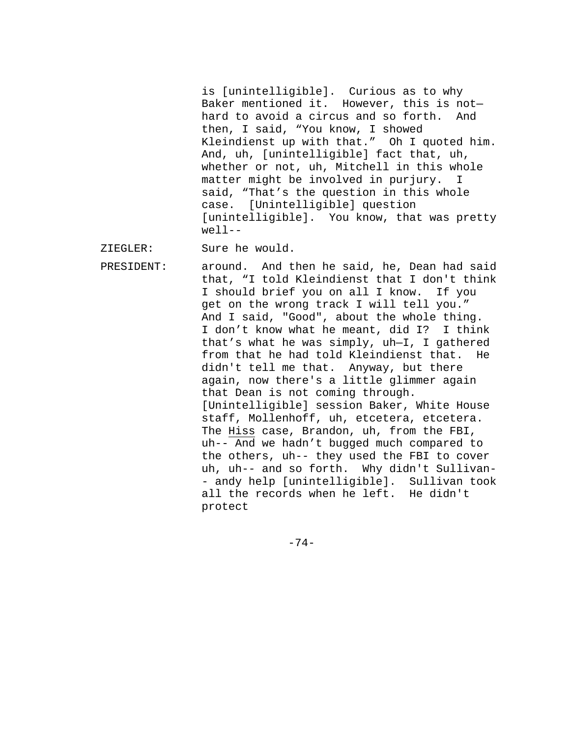is [unintelligible]. Curious as to why Baker mentioned it. However, this is not hard to avoid a circus and so forth. And then, I said, "You know, I showed Kleindienst up with that." Oh I quoted him. And, uh, [unintelligible] fact that, uh, whether or not, uh, Mitchell in this whole matter might be involved in purjury. I said, "That's the question in this whole case. [Unintelligible] question [unintelligible]. You know, that was pretty  $well--$ 

ZIEGLER: Sure he would.

PRESIDENT: around. And then he said, he, Dean had said that, "I told Kleindienst that I don't think I should brief you on all I know. If you get on the wrong track I will tell you." And I said, "Good", about the whole thing. I don't know what he meant, did I? I think that's what he was simply, uh—I, I gathered from that he had told Kleindienst that. He didn't tell me that. Anyway, but there again, now there's a little glimmer again that Dean is not coming through. [Unintelligible] session Baker, White House staff, Mollenhoff, uh, etcetera, etcetera. The Hiss case, Brandon, uh, from the FBI, uh-- And we hadn't bugged much compared to the others, uh-- they used the FBI to cover uh, uh-- and so forth. Why didn't Sullivan- - andy help [unintelligible]. Sullivan took all the records when he left. He didn't protect

-74-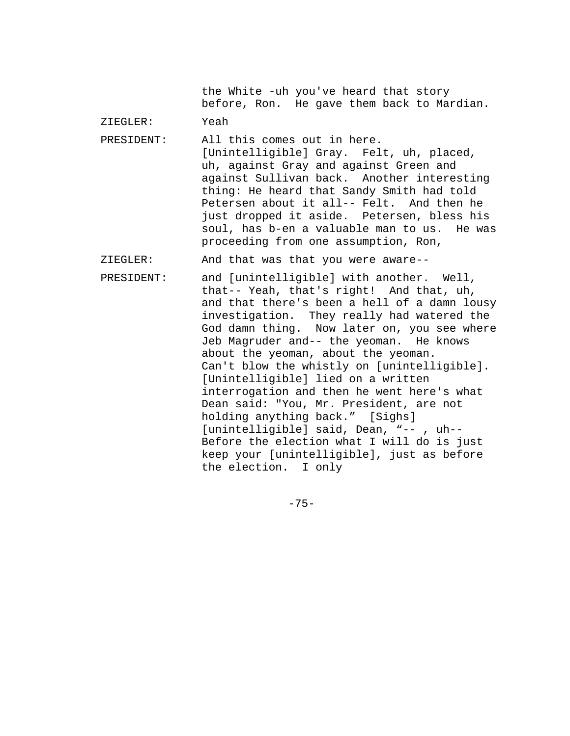the White -uh you've heard that story before, Ron. He gave them back to Mardian. ZIEGLER: Yeah PRESIDENT: All this comes out in here. [Unintelligible] Gray. Felt, uh, placed, uh, against Gray and against Green and against Sullivan back. Another interesting thing: He heard that Sandy Smith had told Petersen about it all-- Felt. And then he just dropped it aside. Petersen, bless his soul, has b-en a valuable man to us. He was proceeding from one assumption, Ron, ZIEGLER: And that was that you were aware-- PRESIDENT: and [unintelligible] with another. Well, that-- Yeah, that's right! And that, uh, and that there's been a hell of a damn lousy investigation. They really had watered the God damn thing. Now later on, you see where Jeb Magruder and-- the yeoman. He knows about the yeoman, about the yeoman. Can't blow the whistly on [unintelligible]. [Unintelligible] lied on a written interrogation and then he went here's what Dean said: "You, Mr. President, are not holding anything back." [Sighs] [unintelligible] said, Dean, "-- , uh-- Before the election what I will do is just keep your [unintelligible], just as before the election. I only

-75-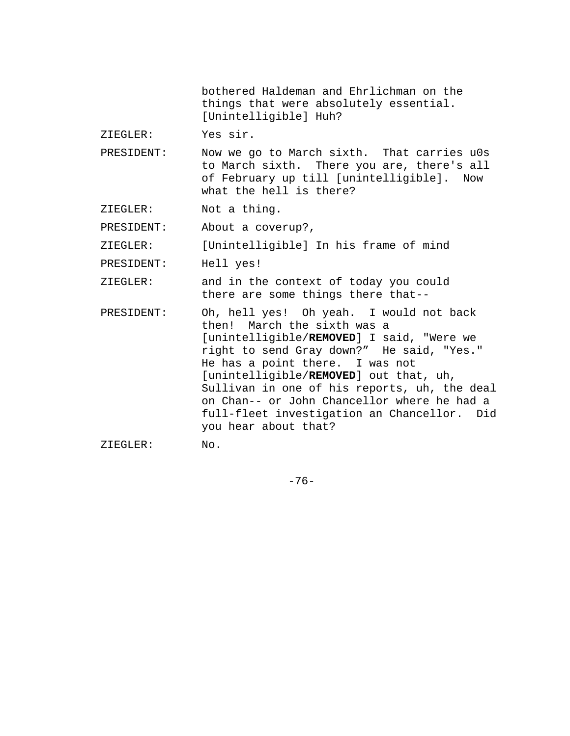bothered Haldeman and Ehrlichman on the things that were absolutely essential. [Unintelligible] Huh?

ZIEGLER: Yes sir.

- PRESIDENT: Now we go to March sixth. That carries u0s to March sixth. There you are, there's all of February up till [unintelligible]. Now what the hell is there?
- ZIEGLER: Not a thing.

PRESIDENT: About a coverup?,

ZIEGLER: [Unintelligible] In his frame of mind

PRESIDENT: Hell yes!

ZIEGLER: and in the context of today you could there are some things there that--

PRESIDENT: Oh, hell yes! Oh yeah. I would not back then! March the sixth was a [unintelligible/**REMOVED**] I said, "Were we right to send Gray down?" He said, "Yes." He has a point there. I was not [unintelligible/**REMOVED**] out that, uh, Sullivan in one of his reports, uh, the deal on Chan-- or John Chancellor where he had a full-fleet investigation an Chancellor. Did you hear about that?

ZIEGLER: No.

-76-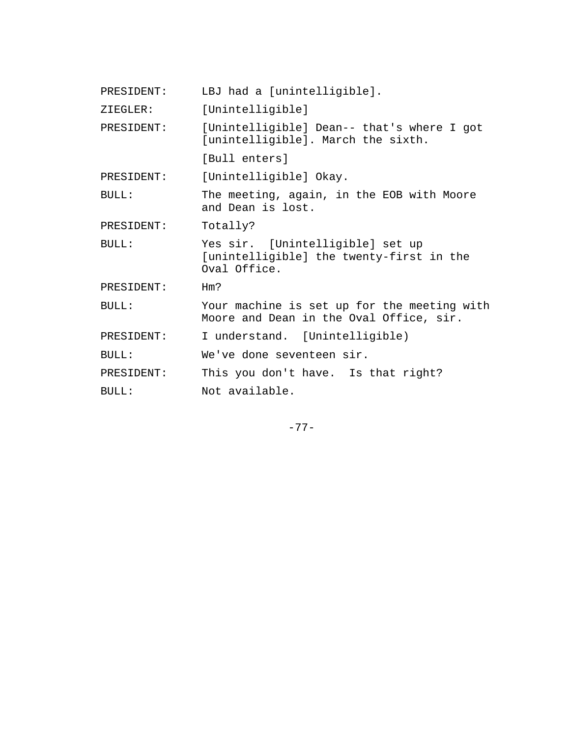| PRESIDENT: | LBJ had a [unintelligible].                                                                  |
|------------|----------------------------------------------------------------------------------------------|
| ZIEGLER:   | [Unintelligible]                                                                             |
| PRESIDENT: | [Unintelligible] Dean-- that's where I got<br>[unintelligible]. March the sixth.             |
|            | [Bull enters]                                                                                |
| PRESIDENT: | [Unintelligible] Okay.                                                                       |
| BULL:      | The meeting, again, in the EOB with Moore<br>and Dean is lost.                               |
| PRESIDENT: | Totally?                                                                                     |
| BULL:      | Yes sir. [Unintelligible] set up<br>[unintelligible] the twenty-first in the<br>Oval Office. |
| PRESIDENT: | Hm?                                                                                          |
| BULL:      | Your machine is set up for the meeting with<br>Moore and Dean in the Oval Office, sir.       |
| PRESIDENT: | I understand. [Unintelligible)                                                               |
| BULL:      | We've done seventeen sir.                                                                    |
| PRESIDENT: | This you don't have. Is that right?                                                          |
| BULL:      | Not available.                                                                               |

-77-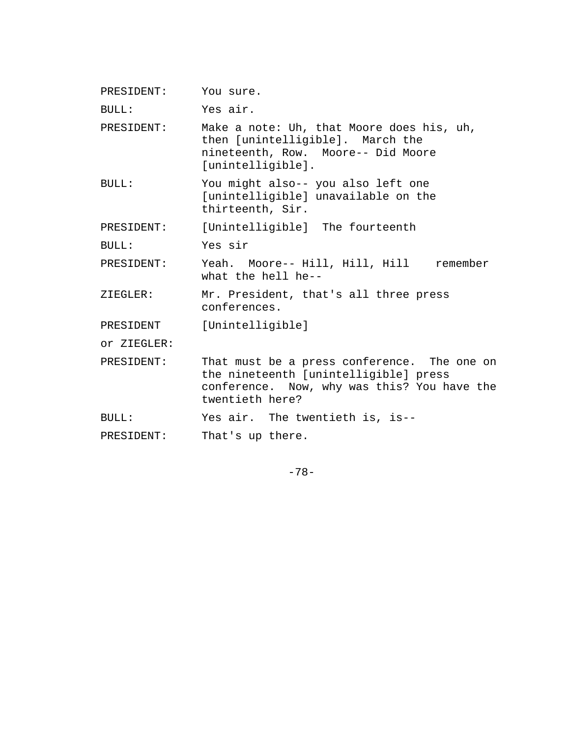| PRESIDENT:   | You sure.                                                                                                                                              |
|--------------|--------------------------------------------------------------------------------------------------------------------------------------------------------|
| BULL:        | Yes air.                                                                                                                                               |
| PRESIDENT:   | Make a note: Uh, that Moore does his, uh,<br>then [unintelligible]. March the<br>nineteenth, Row. Moore-- Did Moore<br>[unintelligible].               |
| BULL:        | You might also-- you also left one<br>[unintelligible] unavailable on the<br>thirteenth, Sir.                                                          |
| PRESIDENT:   | [Unintelligible] The fourteenth                                                                                                                        |
| <b>BULL:</b> | Yes sir                                                                                                                                                |
| PRESIDENT:   | Yeah. Moore-- Hill, Hill, Hill remember<br>what the hell he--                                                                                          |
| ZIEGLER:     | Mr. President, that's all three press<br>conferences.                                                                                                  |
| PRESIDENT    | [Unintelligible]                                                                                                                                       |
| Or ZIEGLER:  |                                                                                                                                                        |
| PRESIDENT:   | That must be a press conference. The one on<br>the nineteenth [unintelligible] press<br>conference. Now, why was this? You have the<br>twentieth here? |
| <b>BULL:</b> | Yes air. The twentieth is, is--                                                                                                                        |
| PRESIDENT:   | That's up there.                                                                                                                                       |

-78-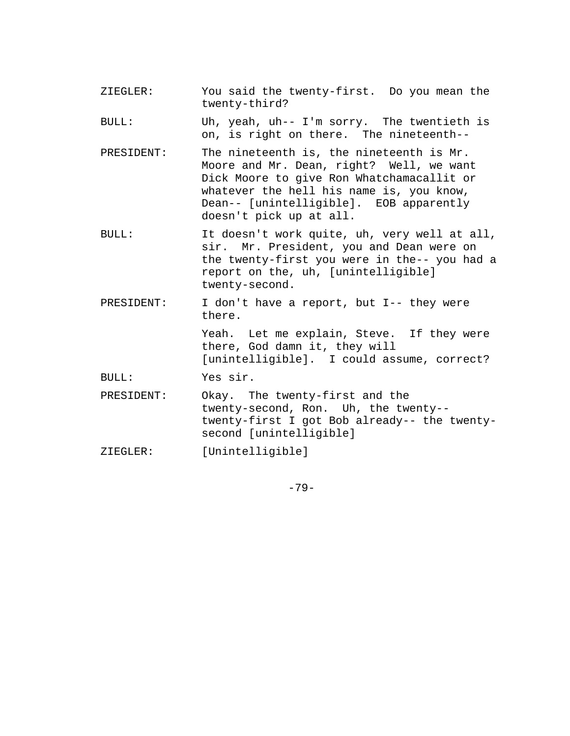ZIEGLER: You said the twenty-first. Do you mean the twenty-third? BULL: Uh, yeah, uh-- I'm sorry. The twentieth is on, is right on there. The nineteenth-- PRESIDENT: The nineteenth is, the nineteenth is Mr. Moore and Mr. Dean, right? Well, we want Dick Moore to give Ron Whatchamacallit or whatever the hell his name is, you know, Dean-- [unintelligible]. EOB apparently doesn't pick up at all. BULL: It doesn't work quite, uh, very well at all, sir. Mr. President, you and Dean were on the twenty-first you were in the-- you had a report on the, uh, [unintelligible] twenty-second. PRESIDENT: I don't have a report, but I-- they were there. Yeah. Let me explain, Steve. If they were there, God damn it, they will [unintelligible]. I could assume, correct? BULL: Yes sir. PRESIDENT: Okay. The twenty-first and the twenty-second, Ron. Uh, the twenty- twenty-first I got Bob already-- the twentysecond [unintelligible] ZIEGLER: [Unintelligible]

-79-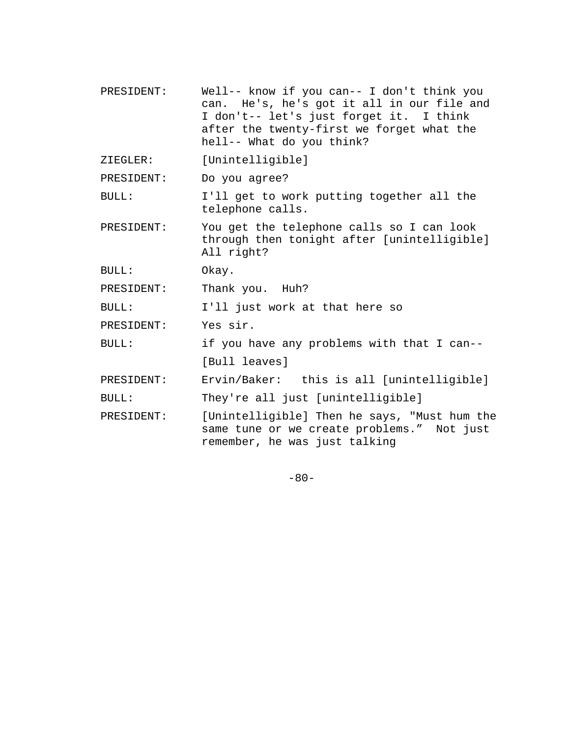- PRESIDENT: Well-- know if you can-- I don't think you can. He's, he's got it all in our file and I don't-- let's just forget it. I think after the twenty-first we forget what the hell-- What do you think?
- ZIEGLER: [Unintelligible]

PRESIDENT: Do you agree?

BULL: I'll get to work putting together all the telephone calls.

PRESIDENT: You get the telephone calls so I can look through then tonight after [unintelligible] All right?

BULL: Okay.

PRESIDENT: Thank you. Huh?

BULL: I'll just work at that here so

PRESIDENT: Yes sir.

BULL: if you have any problems with that I can-- [Bull leaves]

PRESIDENT: Ervin/Baker: this is all [unintelligible]

BULL: They're all just [unintelligible]

PRESIDENT: [Unintelligible] Then he says, "Must hum the same tune or we create problems." Not just remember, he was just talking

 $-80-$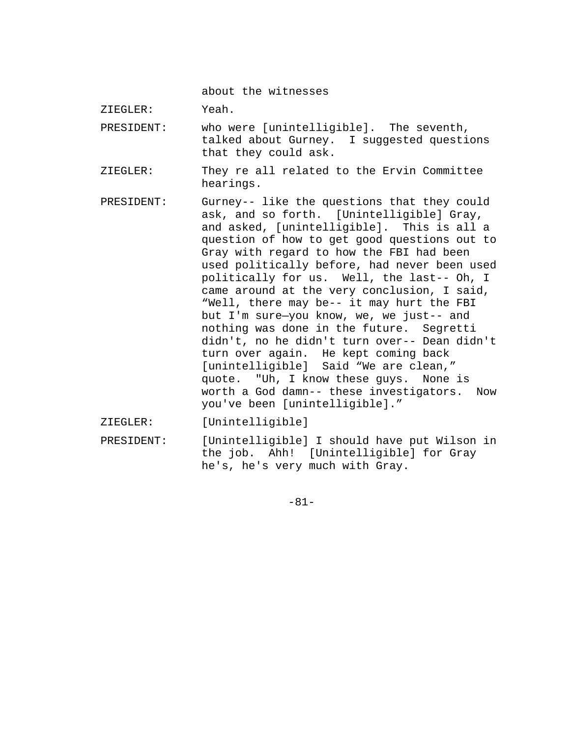about the witnesses

ZIEGLER: Yeah.

PRESIDENT: who were [unintelligible]. The seventh, talked about Gurney. I suggested questions that they could ask.

- ZIEGLER: They re all related to the Ervin Committee hearings.
- PRESIDENT: Gurney-- like the questions that they could ask, and so forth. [Unintelligible] Gray, and asked, [unintelligible]. This is all a question of how to get good questions out to Gray with regard to how the FBI had been used politically before, had never been used politically for us. Well, the last-- Oh, I came around at the very conclusion, I said, "Well, there may be-- it may hurt the FBI but I'm sure—you know, we, we just-- and nothing was done in the future. Segretti didn't, no he didn't turn over-- Dean didn't turn over again. He kept coming back [unintelligible] Said "We are clean," quote. "Uh, I know these guys. None is worth a God damn-- these investigators. Now you've been [unintelligible]."
- ZIEGLER: [Unintelligible]
- PRESIDENT: [Unintelligible] I should have put Wilson in the job. Ahh! [Unintelligible] for Gray he's, he's very much with Gray.

-81-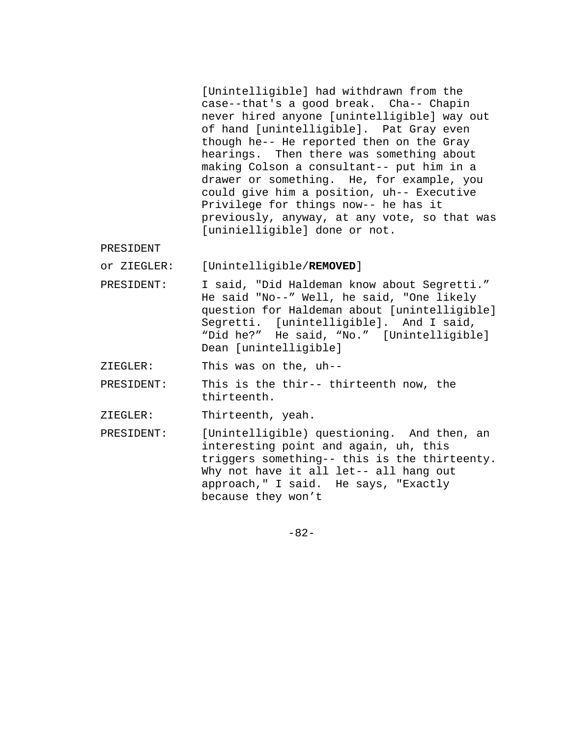[Unintelligible] had withdrawn from the case--that's a good break. Cha-- Chapin never hired anyone [unintelligible] way out of hand [unintelligible]. Pat Gray even though he-- He reported then on the Gray hearings. Then there was something about making Colson a consultant-- put him in a drawer or something. He, for example, you could give him a position, uh-- Executive Privilege for things now-- he has it previously, anyway, at any vote, so that was [uninielligible] done or not.

PRESIDENT

- or ZIEGLER: [Unintelligible/**REMOVED**]
- PRESIDENT: I said, "Did Haldeman know about Segretti." He said "No--" Well, he said, "One likely question for Haldeman about [unintelligible] Segretti. [unintelligible]. And I said, "Did he?" He said, "No." [Unintelligible] Dean [unintelligible]
- ZIEGLER: This was on the, uh--
- PRESIDENT: This is the thir-- thirteenth now, the thirteenth.
- ZIEGLER: Thirteenth, yeah.
- PRESIDENT: [Unintelligible) questioning. And then, an interesting point and again, uh, this triggers something-- this is the thirteenty. Why not have it all let-- all hang out approach," I said. He says, "Exactly because they won't

-82-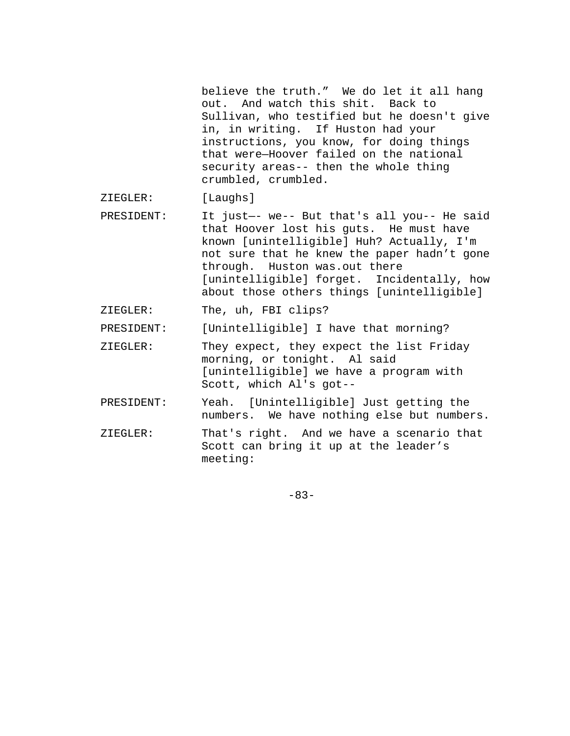believe the truth." We do let it all hang out. And watch this shit. Back to Sullivan, who testified but he doesn't give in, in writing. If Huston had your instructions, you know, for doing things that were—Hoover failed on the national security areas-- then the whole thing crumbled, crumbled.

ZIEGLER: [Laughs]

- PRESIDENT: It just—- we-- But that's all you-- He said that Hoover lost his guts. He must have known [unintelligible] Huh? Actually, I'm not sure that he knew the paper hadn't gone through. Huston was.out there [unintelligible] forget. Incidentally, how about those others things [unintelligible]
- ZIEGLER: The, uh, FBI clips?
- PRESIDENT: [Unintelligible] I have that morning?
- ZIEGLER: They expect, they expect the list Friday morning, or tonight. Al said [unintelligible] we have a program with Scott, which Al's got--
- PRESIDENT: Yeah. [Unintelligible] Just getting the numbers. We have nothing else but numbers.
- ZIEGLER: That's right. And we have a scenario that Scott can bring it up at the leader's meeting:

-83-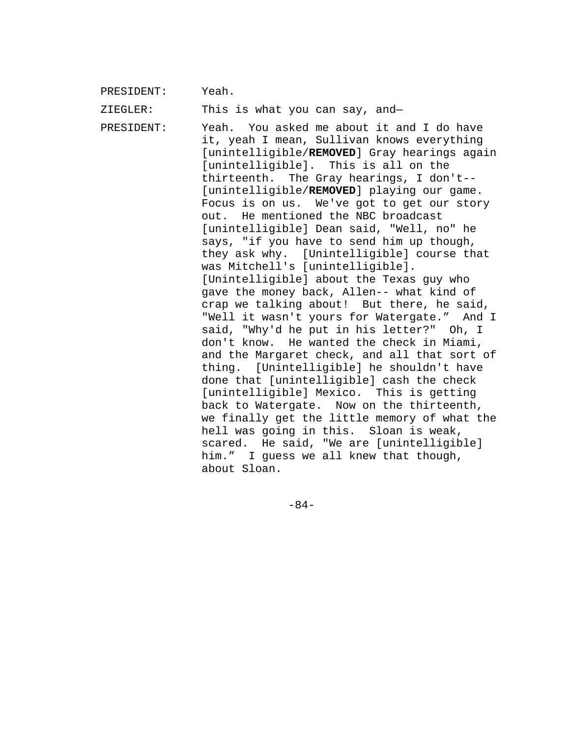PRESIDENT: Yeah.

ZIEGLER: This is what you can say, and—

PRESIDENT: Yeah. You asked me about it and I do have it, yeah I mean, Sullivan knows everything [unintelligible/**REMOVED**] Gray hearings again [unintelligible]. This is all on the thirteenth. The Gray hearings, I don't-- [unintelligible/**REMOVED**] playing our game. Focus is on us. We've got to get our story out. He mentioned the NBC broadcast [unintelligible] Dean said, "Well, no" he says, "if you have to send him up though, they ask why. [Unintelligible] course that was Mitchell's [unintelligible]. [Unintelligible] about the Texas guy who gave the money back, Allen-- what kind of crap we talking about! But there, he said, "Well it wasn't yours for Watergate." And I said, "Why'd he put in his letter?" Oh, I don't know. He wanted the check in Miami, and the Margaret check, and all that sort of thing. [Unintelligible] he shouldn't have done that [unintelligible] cash the check [unintelligible] Mexico. This is getting back to Watergate. Now on the thirteenth, we finally get the little memory of what the hell was going in this. Sloan is weak, scared. He said, "We are [unintelligible] him." I guess we all knew that though, about Sloan.

-84-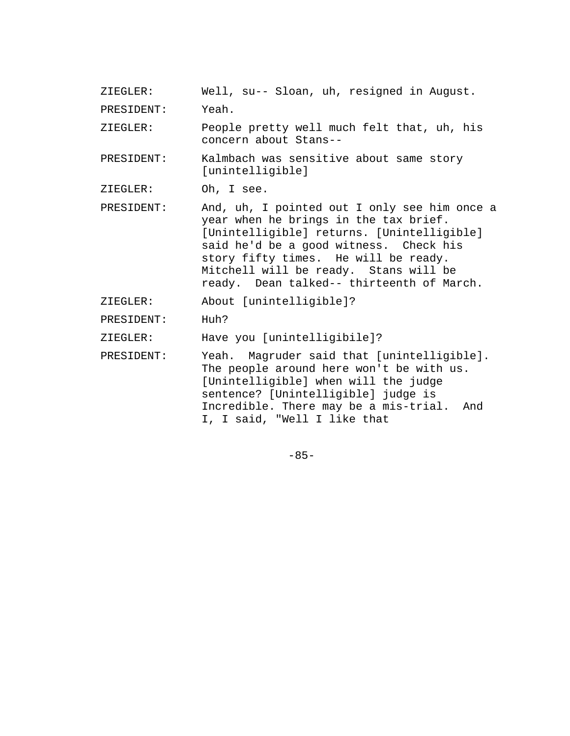ZIEGLER: Well, su-- Sloan, uh, resigned in August.

PRESIDENT: Yeah.

ZIEGLER: People pretty well much felt that, uh, his concern about Stans--

PRESIDENT: Kalmbach was sensitive about same story [unintelligible]

ZIEGLER: Oh, I see.

PRESIDENT: And, uh, I pointed out I only see him once a year when he brings in the tax brief. [Unintelligible] returns. [Unintelligible] said he'd be a good witness. Check his story fifty times. He will be ready. Mitchell will be ready. Stans will be ready. Dean talked-- thirteenth of March.

ZIEGLER: About [unintelligible]?

PRESIDENT: Huh?

ZIEGLER: Have you [unintelligibile]?

PRESIDENT: Yeah. Magruder said that [unintelligible]. The people around here won't be with us. [Unintelligible] when will the judge sentence? [Unintelligible] judge is Incredible. There may be a mis-trial. And I, I said, "Well I like that

-85-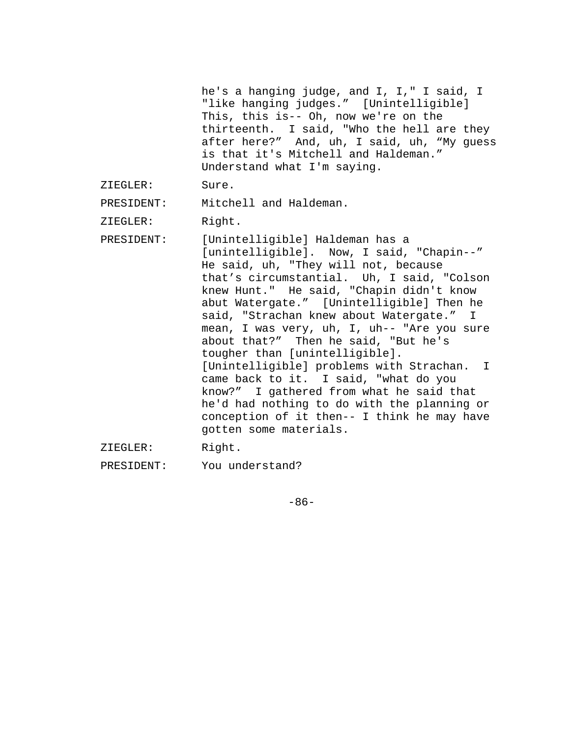he's a hanging judge, and I, I," I said, I "like hanging judges." [Unintelligible] This, this is-- Oh, now we're on the thirteenth. I said, "Who the hell are they after here?" And, uh, I said, uh, "My guess is that it's Mitchell and Haldeman." Understand what I'm saying. ZIEGLER: Sure. PRESIDENT: Mitchell and Haldeman. ZIEGLER: Right. PRESIDENT: [Unintelligible] Haldeman has a [unintelligible]. Now, I said, "Chapin--" He said, uh, "They will not, because that's circumstantial. Uh, I said, "Colson knew Hunt." He said, "Chapin didn't know abut Watergate." [Unintelligible] Then he said, "Strachan knew about Watergate." I mean, I was very, uh, I, uh-- "Are you sure about that?" Then he said, "But he's tougher than [unintelligible]. [Unintelligible] problems with Strachan. I came back to it. I said, "what do you know?" I gathered from what he said that he'd had nothing to do with the planning or conception of it then-- I think he may have gotten some materials. ZIEGLER: Right. PRESIDENT: You understand?

-86-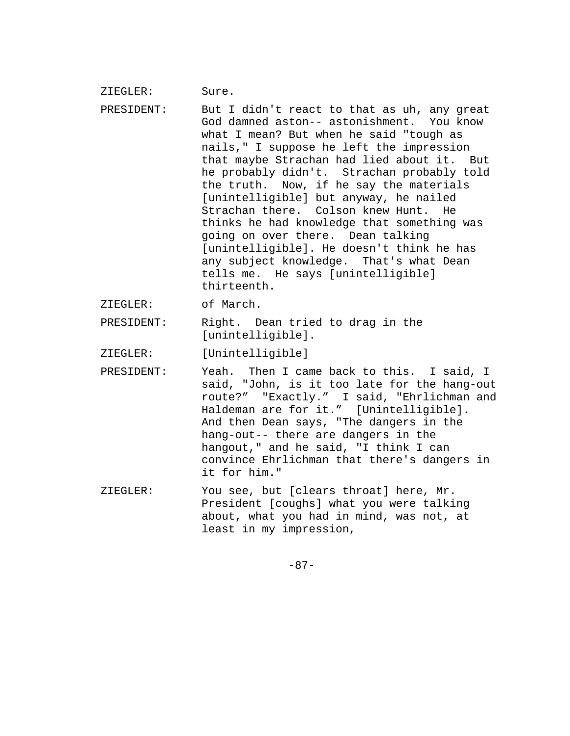| ZIEGLER:   | Sure.                                                                                                                                                                                                                                                                                                                                                                                                                                                                                                                                                                                                                                    |
|------------|------------------------------------------------------------------------------------------------------------------------------------------------------------------------------------------------------------------------------------------------------------------------------------------------------------------------------------------------------------------------------------------------------------------------------------------------------------------------------------------------------------------------------------------------------------------------------------------------------------------------------------------|
| PRESIDENT: | But I didn't react to that as uh, any great<br>God damned aston-- astonishment. You know<br>what I mean? But when he said "tough as<br>nails," I suppose he left the impression<br>that maybe Strachan had lied about it. But<br>he probably didn't. Strachan probably told<br>the truth. Now, if he say the materials<br>[unintelligible] but anyway, he nailed<br>Strachan there. Colson knew Hunt. He<br>thinks he had knowledge that something was<br>going on over there. Dean talking<br>[unintelligible]. He doesn't think he has<br>any subject knowledge. That's what Dean<br>tells me. He says [unintelligible]<br>thirteenth. |
| ZIEGLER:   | of March.                                                                                                                                                                                                                                                                                                                                                                                                                                                                                                                                                                                                                                |
| PRESIDENT: | Right. Dean tried to drag in the<br>[unintelligible].                                                                                                                                                                                                                                                                                                                                                                                                                                                                                                                                                                                    |
| ZIEGLER:   | [Unintelligible]                                                                                                                                                                                                                                                                                                                                                                                                                                                                                                                                                                                                                         |
| PRESIDENT: | Yeah. Then I came back to this. I said, I<br>said, "John, is it too late for the hang-out<br>route?" "Exactly." I said, "Ehrlichman and<br>Haldeman are for it." [Unintelligible].<br>And then Dean says, "The dangers in the<br>hang-out-- there are dangers in the<br>hangout," and he said, "I think I can<br>convince Ehrlichman that there's dangers in<br>it for him."                                                                                                                                                                                                                                                             |
| ZIEGLER:   | You see, but [clears throat] here, Mr.<br>President [coughs] what you were talking<br>about, what you had in mind, was not, at<br>least in my impression,                                                                                                                                                                                                                                                                                                                                                                                                                                                                                |

-87-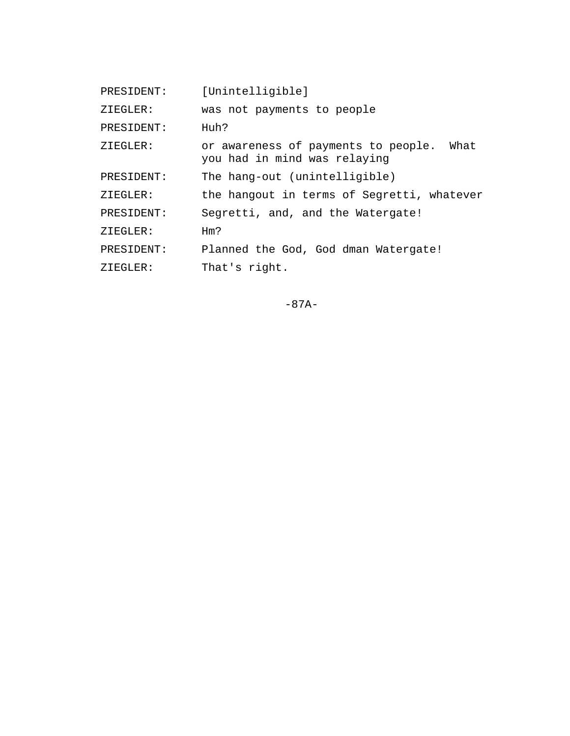| PRESIDENT: | [Unintelligible]                                                            |
|------------|-----------------------------------------------------------------------------|
| ZIEGLER:   | was not payments to people                                                  |
| PRESIDENT: | Huh?                                                                        |
| ZIEGLER:   | or awareness of payments to people.<br>What<br>you had in mind was relaying |
| PRESIDENT: | The hang-out (unintelligible)                                               |
| ZIEGLER:   | the hangout in terms of Segretti, whatever                                  |
| PRESIDENT: | Segretti, and, and the Watergate!                                           |
| ZIEGLER:   | Hm?                                                                         |
| PRESIDENT: | Planned the God, God dman Watergate!                                        |
| ZIEGLER:   | That's right.                                                               |
|            |                                                                             |

-87A-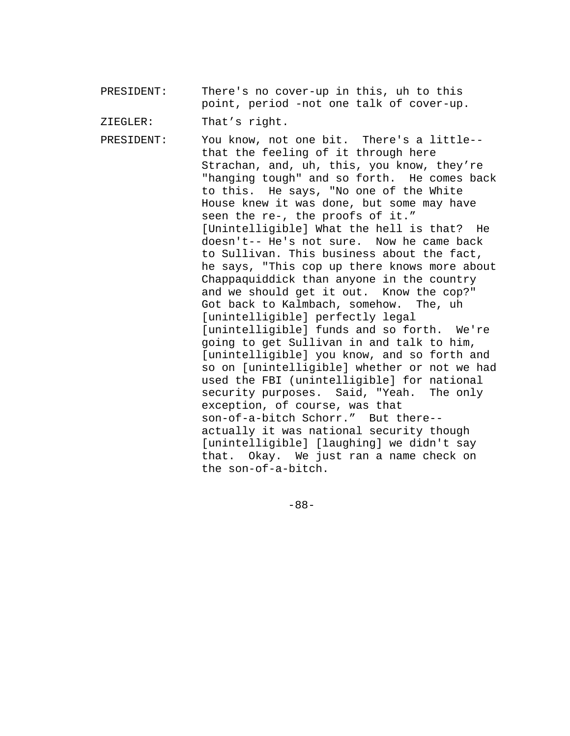PRESIDENT: There's no cover-up in this, uh to this point, period -not one talk of cover-up.

ZIEGLER: That's right.

PRESIDENT: You know, not one bit. There's a little- that the feeling of it through here Strachan, and, uh, this, you know, they're "hanging tough" and so forth. He comes back to this. He says, "No one of the White House knew it was done, but some may have seen the re-, the proofs of it." [Unintelligible] What the hell is that? He doesn't-- He's not sure. Now he came back to Sullivan. This business about the fact, he says, "This cop up there knows more about Chappaquiddick than anyone in the country and we should get it out. Know the cop?" Got back to Kalmbach, somehow. The, uh [unintelligible] perfectly legal [unintelligible] funds and so forth. We're going to get Sullivan in and talk to him, [unintelligible] you know, and so forth and so on [unintelligible] whether or not we had used the FBI (unintelligible] for national security purposes. Said, "Yeah. The only exception, of course, was that son-of-a-bitch Schorr." But there- actually it was national security though [unintelligible] [laughing] we didn't say that. Okay. We just ran a name check on the son-of-a-bitch.

-88-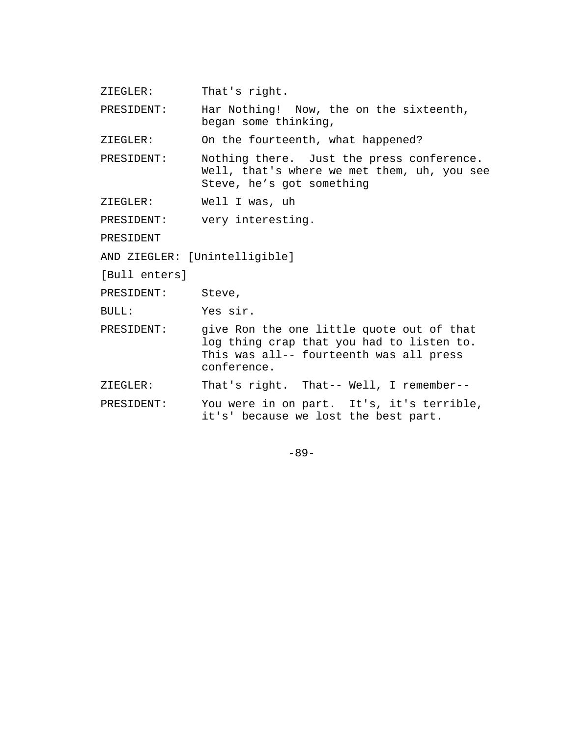ZIEGLER: That's right.

PRESIDENT: Har Nothing! Now, the on the sixteenth, began some thinking,

ZIEGLER: On the fourteenth, what happened?

PRESIDENT: Nothing there. Just the press conference. Well, that's where we met them, uh, you see Steve, he's got something

ZIEGLER: Well I was, uh

PRESIDENT: very interesting.

PRESIDENT

AND ZIEGLER: [Unintelligible]

[Bull enters]

PRESIDENT: Steve,

BULL: Yes sir.

PRESIDENT: give Ron the one little quote out of that log thing crap that you had to listen to. This was all-- fourteenth was all press conference.

ZIEGLER: That's right. That-- Well, I remember--

PRESIDENT: You were in on part. It's, it's terrible, it's' because we lost the best part.

-89-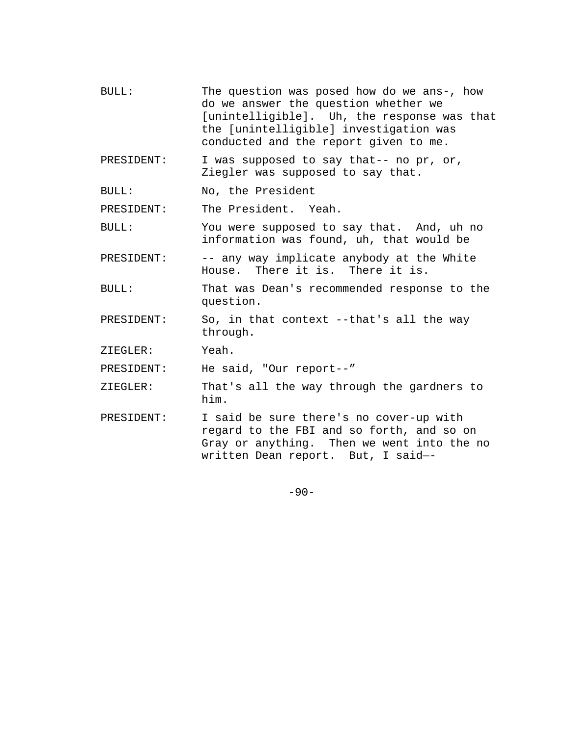- BULL: The question was posed how do we ans-, how do we answer the question whether we [unintelligible]. Uh, the response was that the [unintelligible] investigation was conducted and the report given to me.
- PRESIDENT: I was supposed to say that-- no pr, or, Ziegler was supposed to say that.
- BULL: No, the President

PRESIDENT: The President. Yeah.

- BULL: You were supposed to say that. And, uh no information was found, uh, that would be
- PRESIDENT: -- any way implicate anybody at the White House. There it is. There it is.
- BULL: That was Dean's recommended response to the question.
- PRESIDENT: So, in that context --that's all the way through.
- ZIEGLER: Yeah.
- PRESIDENT: He said, "Our report--"
- ZIEGLER: That's all the way through the gardners to him.
- PRESIDENT: I said be sure there's no cover-up with regard to the FBI and so forth, and so on Gray or anything. Then we went into the no written Dean report. But, I said—-

 $-90-$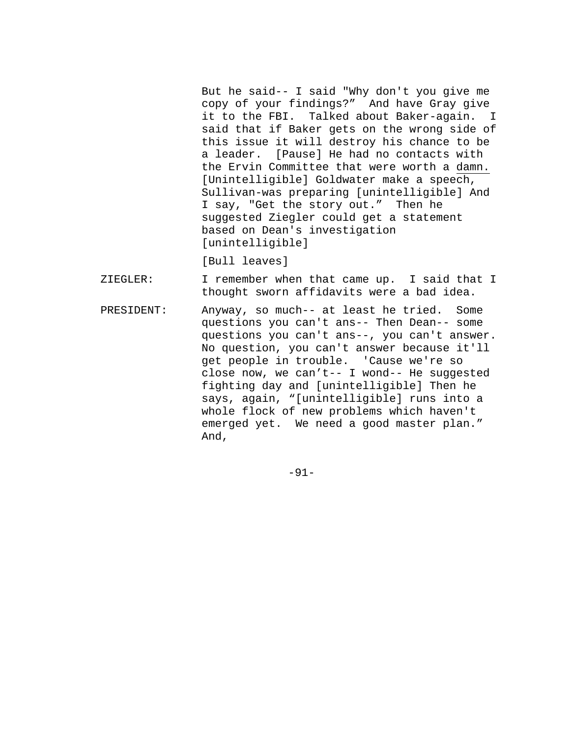But he said-- I said "Why don't you give me copy of your findings?" And have Gray give it to the FBI. Talked about Baker-again. I said that if Baker gets on the wrong side of this issue it will destroy his chance to be a leader. [Pause] He had no contacts with the Ervin Committee that were worth a damn. [Unintelligible] Goldwater make a speech, Sullivan-was preparing [unintelligible] And I say, "Get the story out." Then he suggested Ziegler could get a statement based on Dean's investigation [unintelligible]

[Bull leaves]

ZIEGLER: I remember when that came up. I said that I thought sworn affidavits were a bad idea.

PRESIDENT: Anyway, so much-- at least he tried. Some questions you can't ans-- Then Dean-- some questions you can't ans--, you can't answer. No question, you can't answer because it'll get people in trouble. 'Cause we're so close now, we can't-- I wond-- He suggested fighting day and [unintelligible] Then he says, again, "[unintelligible] runs into a whole flock of new problems which haven't emerged yet. We need a good master plan." And,

-91-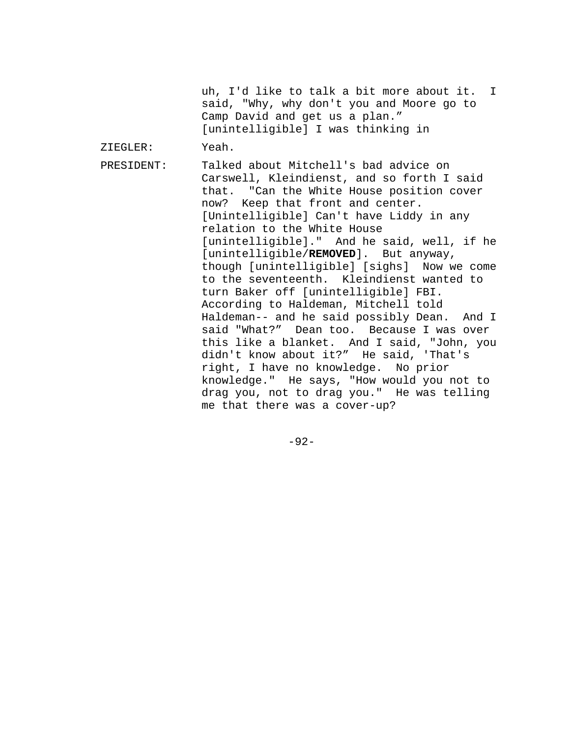uh, I'd like to talk a bit more about it. I said, "Why, why don't you and Moore go to Camp David and get us a plan." [unintelligible] I was thinking in

ZIEGLER: Yeah.

PRESIDENT: Talked about Mitchell's bad advice on Carswell, Kleindienst, and so forth I said that. "Can the White House position cover now? Keep that front and center. [Unintelligible] Can't have Liddy in any relation to the White House [unintelligible]." And he said, well, if he [unintelligible/**REMOVED**]. But anyway, though [unintelligible] [sighs] Now we come to the seventeenth. Kleindienst wanted to turn Baker off [unintelligible] FBI. According to Haldeman, Mitchell told Haldeman-- and he said possibly Dean. And I said "What?" Dean too. Because I was over this like a blanket. And I said, "John, you didn't know about it?" He said, 'That's right, I have no knowledge. No prior knowledge." He says, "How would you not to drag you, not to drag you." He was telling me that there was a cover-up?

 $-92-$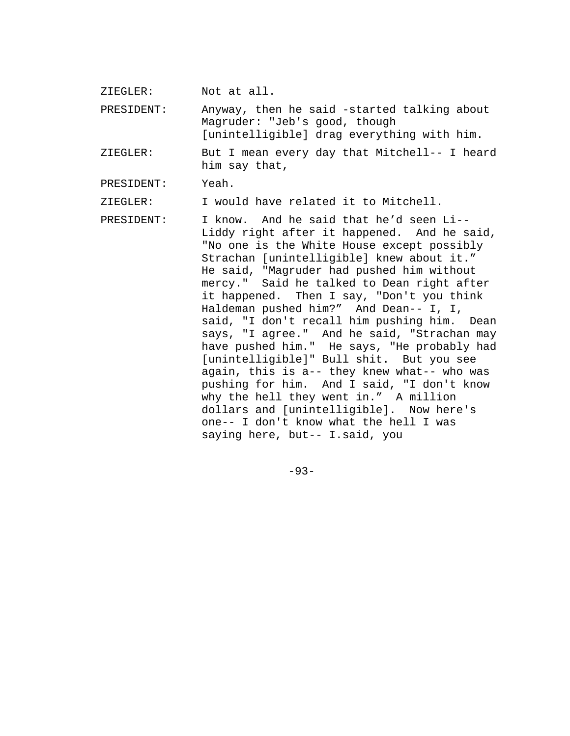ZIEGLER: Not at all.

PRESIDENT: Anyway, then he said -started talking about Magruder: "Jeb's good, though [unintelligible] drag everything with him.

ZIEGLER: But I mean every day that Mitchell-- I heard him say that,

PRESIDENT: Yeah.

ZIEGLER: I would have related it to Mitchell.

PRESIDENT: I know. And he said that he'd seen Li-- Liddy right after it happened. And he said, "No one is the White House except possibly Strachan [unintelligible] knew about it." He said, "Magruder had pushed him without mercy." Said he talked to Dean right after it happened. Then I say, "Don't you think Haldeman pushed him?" And Dean-- I, I, said, "I don't recall him pushing him. Dean says, "I agree." And he said, "Strachan may have pushed him." He says, "He probably had [unintelligible]" Bull shit. But you see again, this is a-- they knew what-- who was pushing for him. And I said, "I don't know why the hell they went in." A million dollars and [unintelligible]. Now here's one-- I don't know what the hell I was saying here, but-- I.said, you

-93-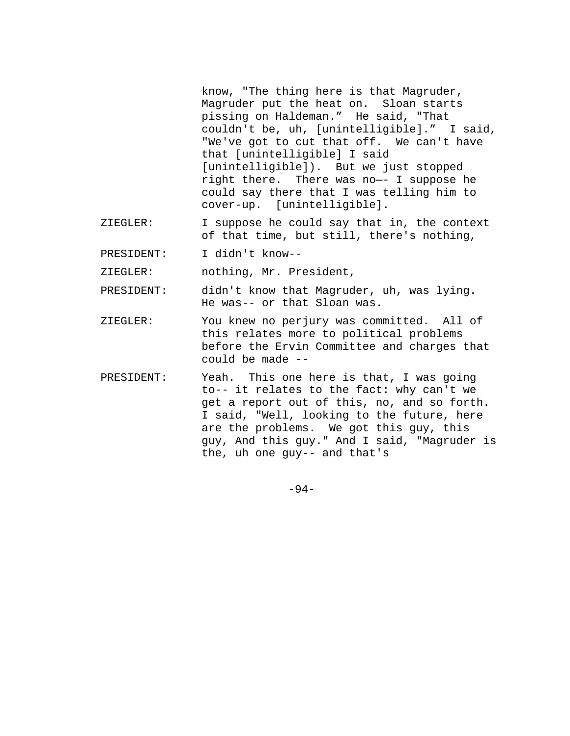know, "The thing here is that Magruder, Magruder put the heat on. Sloan starts pissing on Haldeman." He said, "That couldn't be, uh, [unintelligible]." I said, "We've got to cut that off. We can't have that [unintelligible] I said [unintelligible]). But we just stopped right there. There was no—- I suppose he could say there that I was telling him to cover-up. [unintelligible].

- ZIEGLER: I suppose he could say that in, the context of that time, but still, there's nothing,
- PRESIDENT: I didn't know--

ZIEGLER: nothing, Mr. President,

- PRESIDENT: didn't know that Magruder, uh, was lying. He was-- or that Sloan was.
- ZIEGLER: You knew no perjury was committed. All of this relates more to political problems before the Ervin Committee and charges that could be made --
- PRESIDENT: Yeah. This one here is that, I was going to-- it relates to the fact: why can't we get a report out of this, no, and so forth. I said, "Well, looking to the future, here are the problems. We got this guy, this guy, And this guy." And I said, "Magruder is the, uh one guy-- and that's

-94-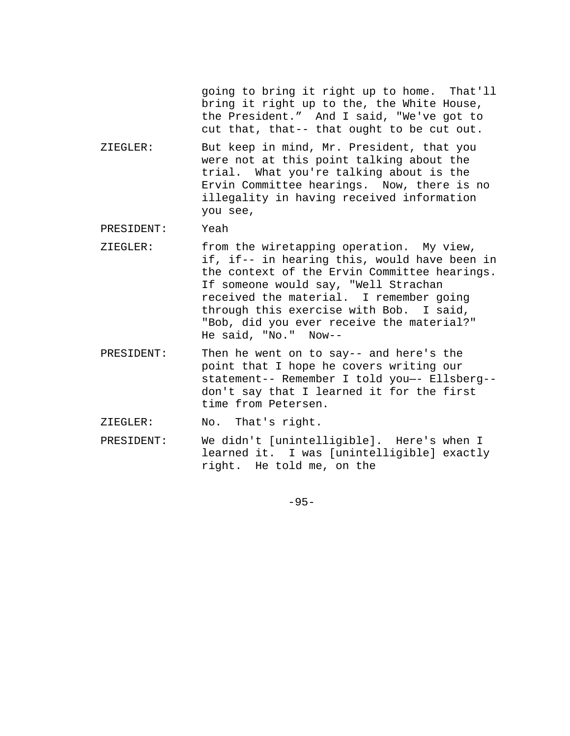going to bring it right up to home. That'll bring it right up to the, the White House, the President." And I said, "We've got to cut that, that-- that ought to be cut out.

ZIEGLER: But keep in mind, Mr. President, that you were not at this point talking about the trial. What you're talking about is the Ervin Committee hearings. Now, there is no illegality in having received information you see,

PRESIDENT: Yeah

- ZIEGLER: from the wiretapping operation. My view, if, if-- in hearing this, would have been in the context of the Ervin Committee hearings. If someone would say, "Well Strachan received the material. I remember going through this exercise with Bob. I said, "Bob, did you ever receive the material?" He said, "No." Now--
- PRESIDENT: Then he went on to say-- and here's the point that I hope he covers writing our statement-- Remember I told you—- Ellsberg- don't say that I learned it for the first time from Petersen.
- ZIEGLER: No. That's right.
- PRESIDENT: We didn't [unintelligible]. Here's when I learned it. I was [unintelligible] exactly right. He told me, on the

-95-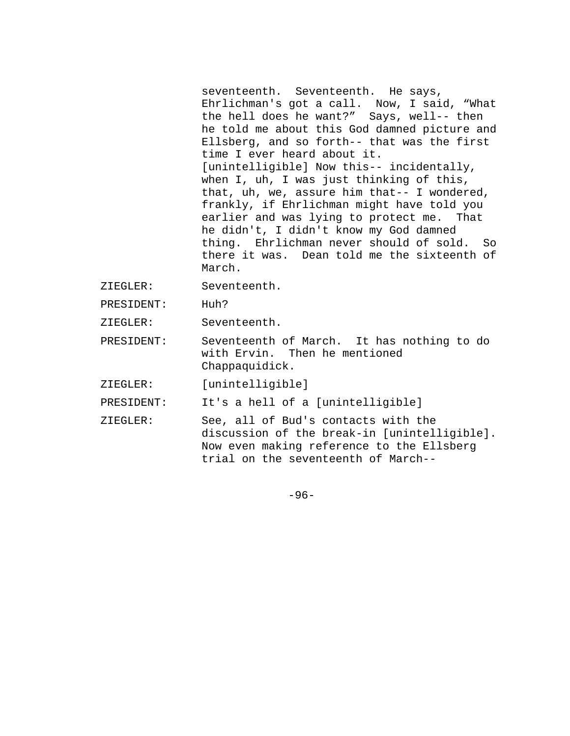seventeenth. Seventeenth. He says, Ehrlichman's got a call. Now, I said, "What the hell does he want?" Says, well-- then he told me about this God damned picture and Ellsberg, and so forth-- that was the first time I ever heard about it. [unintelligible] Now this-- incidentally, when I, uh, I was just thinking of this, that, uh, we, assure him that-- I wondered, frankly, if Ehrlichman might have told you earlier and was lying to protect me. That he didn't, I didn't know my God damned thing. Ehrlichman never should of sold. So there it was. Dean told me the sixteenth of March.

- ZIEGLER: Seventeenth.
- PRESIDENT: Huh?
- ZIEGLER: Seventeenth.
- PRESIDENT: Seventeenth of March. It has nothing to do with Ervin. Then he mentioned Chappaquidick.
- ZIEGLER: [unintelligible]

PRESIDENT: It's a hell of a [unintelligible]

ZIEGLER: See, all of Bud's contacts with the discussion of the break-in [unintelligible]. Now even making reference to the Ellsberg trial on the seventeenth of March--

-96-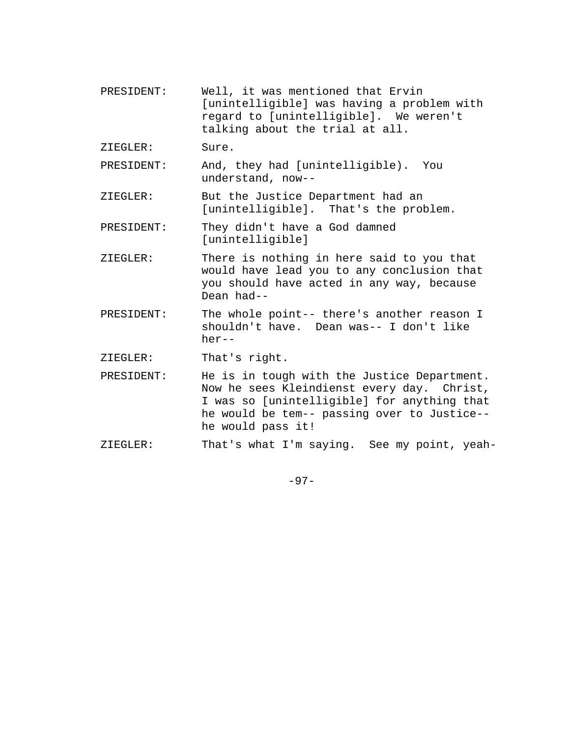- PRESIDENT: Well, it was mentioned that Ervin [unintelligible] was having a problem with regard to [unintelligible]. We weren't talking about the trial at all.
- ZIEGLER: Sure.
- PRESIDENT: And, they had [unintelligible). You understand, now--
- ZIEGLER: But the Justice Department had an [unintelligible]. That's the problem.
- PRESIDENT: They didn't have a God damned [unintelligible]
- ZIEGLER: There is nothing in here said to you that would have lead you to any conclusion that you should have acted in any way, because Dean had--
- PRESIDENT: The whole point-- there's another reason I shouldn't have. Dean was-- I don't like her--

ZIEGLER: That's right.

- PRESIDENT: He is in tough with the Justice Department. Now he sees Kleindienst every day. Christ, I was so [unintelligible] for anything that he would be tem-- passing over to Justice- he would pass it!
- ZIEGLER: That's what I'm saying. See my point, yeah-

-97-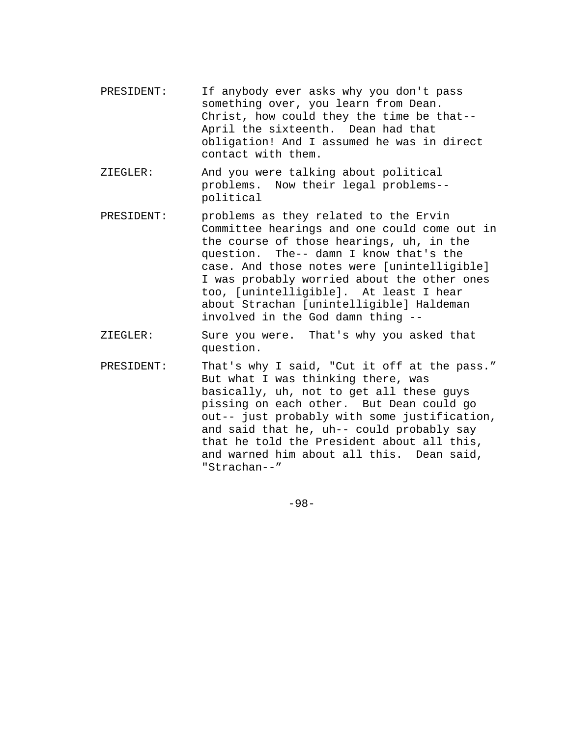- PRESIDENT: If anybody ever asks why you don't pass something over, you learn from Dean. Christ, how could they the time be that-- April the sixteenth. Dean had that obligation! And I assumed he was in direct contact with them.
- ZIEGLER: And you were talking about political problems. Now their legal problems- political
- PRESIDENT: problems as they related to the Ervin Committee hearings and one could come out in the course of those hearings, uh, in the question. The-- damn I know that's the case. And those notes were [unintelligible] I was probably worried about the other ones too, [unintelligible]. At least I hear about Strachan [unintelligible] Haldeman involved in the God damn thing --
- ZIEGLER: Sure you were. That's why you asked that question.
- PRESIDENT: That's why I said, "Cut it off at the pass." But what I was thinking there, was basically, uh, not to get all these guys pissing on each other. But Dean could go out-- just probably with some justification, and said that he, uh-- could probably say that he told the President about all this, and warned him about all this. Dean said, "Strachan--"

-98-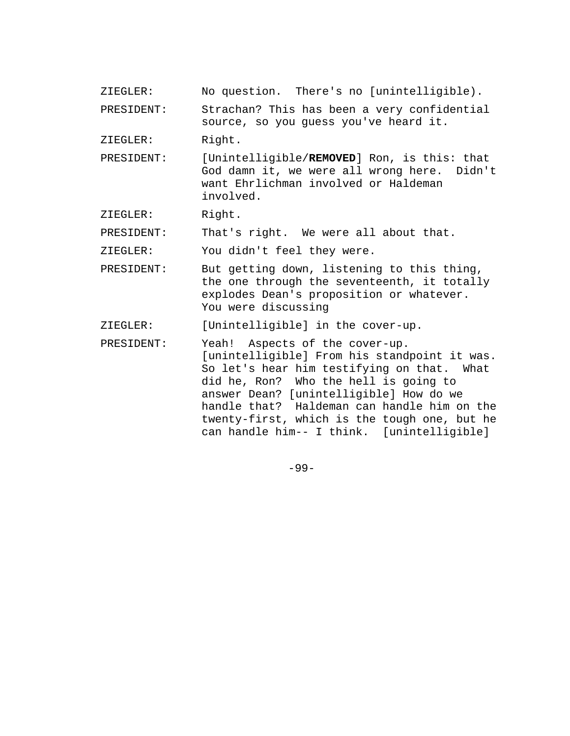ZIEGLER: No question. There's no [unintelligible).

PRESIDENT: Strachan? This has been a very confidential source, so you guess you've heard it.

ZIEGLER: Right.

PRESIDENT: [Unintelligible/**REMOVED**] Ron, is this: that God damn it, we were all wrong here. Didn't want Ehrlichman involved or Haldeman involved.

ZIEGLER: Right.

PRESIDENT: That's right. We were all about that.

ZIEGLER: You didn't feel they were.

- PRESIDENT: But getting down, listening to this thing, the one through the seventeenth, it totally explodes Dean's proposition or whatever. You were discussing
- ZIEGLER: [Unintelligible] in the cover-up.

PRESIDENT: Yeah! Aspects of the cover-up. [unintelligible] From his standpoint it was. So let's hear him testifying on that. What did he, Ron? Who the hell is going to answer Dean? [unintelligible] How do we handle that? Haldeman can handle him on the twenty-first, which is the tough one, but he can handle him-- I think. [unintelligible]

-99-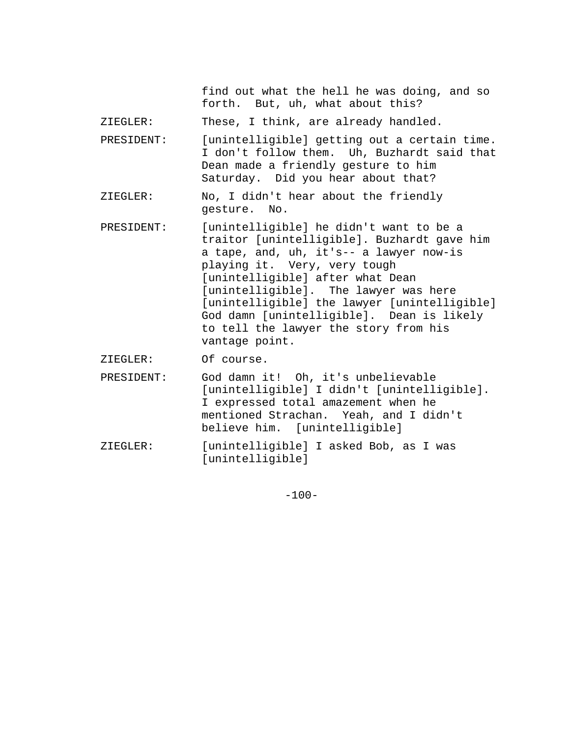find out what the hell he was doing, and so forth. But, uh, what about this? ZIEGLER: These, I think, are already handled. PRESIDENT: [unintelligible] getting out a certain time. I don't follow them. Uh, Buzhardt said that Dean made a friendly gesture to him Saturday. Did you hear about that? ZIEGLER: No, I didn't hear about the friendly gesture. No. PRESIDENT: [unintelligible] he didn't want to be a traitor [unintelligible]. Buzhardt gave him a tape, and, uh, it's-- a lawyer now-is playing it. Very, very tough [unintelligible] after what Dean [unintelligible]. The lawyer was here [unintelligible] the lawyer [unintelligible] God damn [unintelligible]. Dean is likely to tell the lawyer the story from his vantage point. ZIEGLER: Of course. PRESIDENT: God damn it! Oh, it's unbelievable [unintelligible] I didn't [unintelligible].

- I expressed total amazement when he mentioned Strachan. Yeah, and I didn't believe him. [unintelligible]
- ZIEGLER: [unintelligible] I asked Bob, as I was [unintelligible]

-100-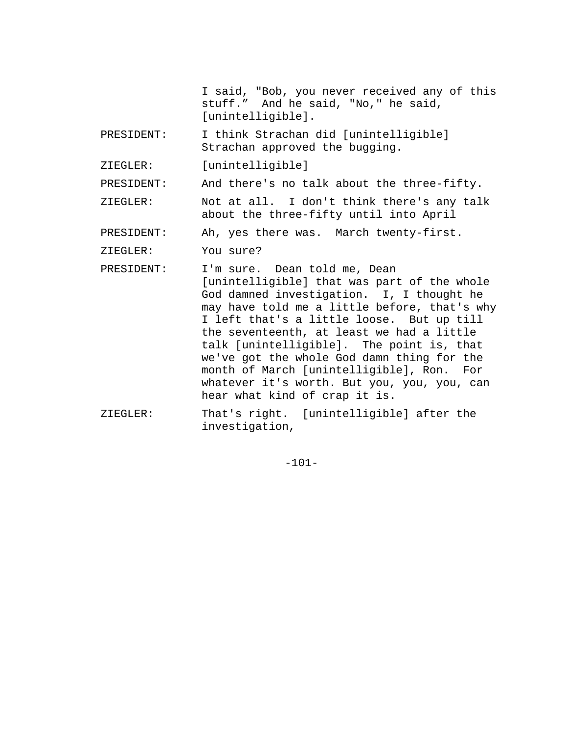I said, "Bob, you never received any of this stuff." And he said, "No," he said, [unintelligible].

PRESIDENT: I think Strachan did [unintelligible] Strachan approved the bugging.

ZIEGLER: [unintelligible]

PRESIDENT: And there's no talk about the three-fifty.

ZIEGLER: Not at all. I don't think there's any talk about the three-fifty until into April

PRESIDENT: Ah, yes there was. March twenty-first.

ZIEGLER: You sure?

PRESIDENT: I'm sure. Dean told me, Dean [unintelligible] that was part of the whole God damned investigation. I, I thought he may have told me a little before, that's why I left that's a little loose. But up till the seventeenth, at least we had a little talk [unintelligible]. The point is, that we've got the whole God damn thing for the month of March [unintelligible], Ron. For whatever it's worth. But you, you, you, can hear what kind of crap it is.

ZIEGLER: That's right. [unintelligible] after the investigation,

-101-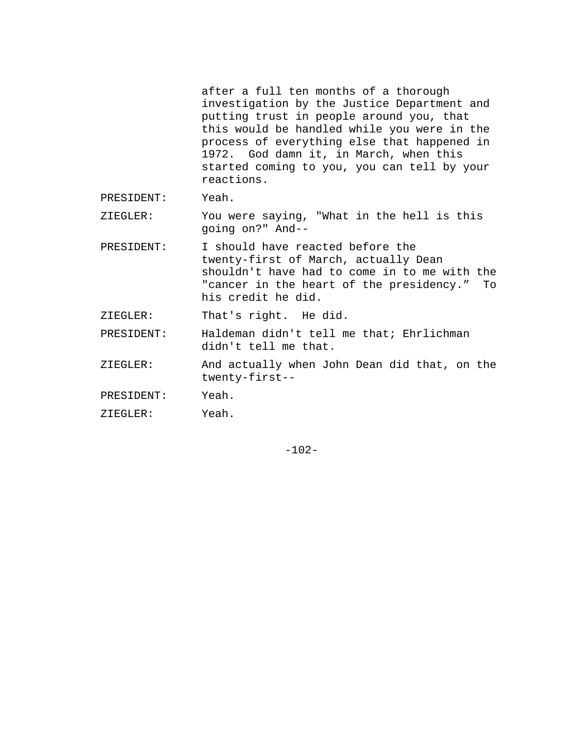after a full ten months of a thorough investigation by the Justice Department and putting trust in people around you, that this would be handled while you were in the process of everything else that happened in 1972. God damn it, in March, when this started coming to you, you can tell by your reactions.

PRESIDENT: Yeah.

ZIEGLER: You were saying, "What in the hell is this going on?" And--

PRESIDENT: I should have reacted before the twenty-first of March, actually Dean shouldn't have had to come in to me with the "cancer in the heart of the presidency." To his credit he did.

ZIEGLER: That's right. He did.

PRESIDENT: Haldeman didn't tell me that; Ehrlichman didn't tell me that.

ZIEGLER: And actually when John Dean did that, on the twenty-first--

PRESIDENT: Yeah.

ZIEGLER: Yeah.

-102-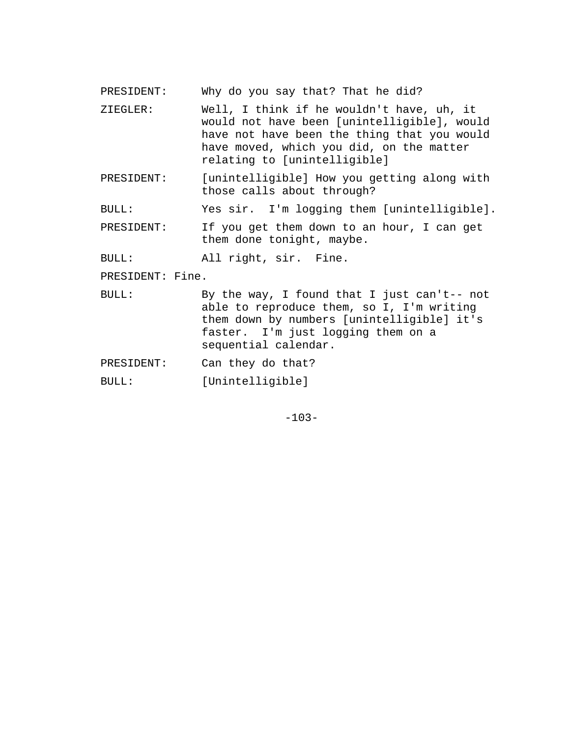- PRESIDENT: Why do you say that? That he did?
- ZIEGLER: Well, I think if he wouldn't have, uh, it would not have been [unintelligible], would have not have been the thing that you would have moved, which you did, on the matter relating to [unintelligible]
- PRESIDENT: [unintelligible] How you getting along with those calls about through?
- BULL: Yes sir. I'm logging them [unintelligible].
- PRESIDENT: If you get them down to an hour, I can get them done tonight, maybe.
- BULL: All right, sir. Fine.

PRESIDENT: Fine.

- BULL: By the way, I found that I just can't-- not able to reproduce them, so I, I'm writing them down by numbers [unintelligible] it's faster. I'm just logging them on a sequential calendar.
- PRESIDENT: Can they do that?
- BULL: [Unintelligible]

 $-103-$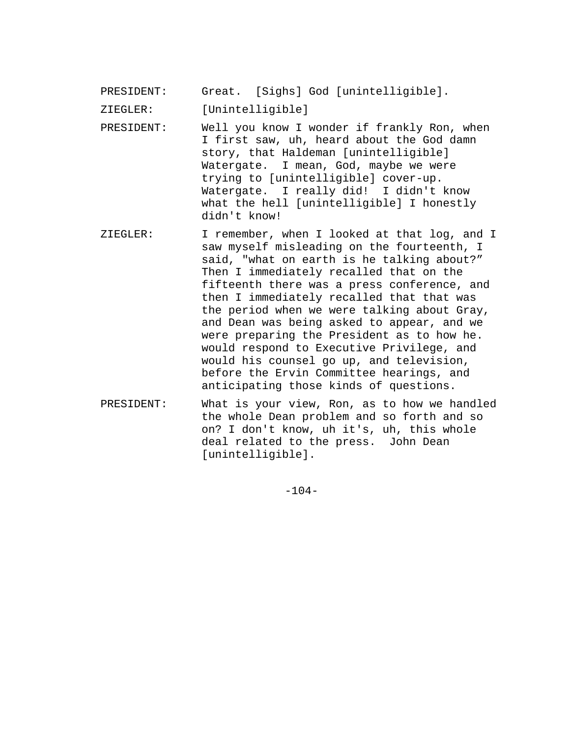PRESIDENT: Great. [Sighs] God [unintelligible].

ZIEGLER: [Unintelligible]

- PRESIDENT: Well you know I wonder if frankly Ron, when I first saw, uh, heard about the God damn story, that Haldeman [unintelligible] Watergate. I mean, God, maybe we were trying to [unintelligible] cover-up. Watergate. I really did! I didn't know what the hell [unintelligible] I honestly didn't know!
- ZIEGLER: I remember, when I looked at that log, and I saw myself misleading on the fourteenth, I said, "what on earth is he talking about?" Then I immediately recalled that on the fifteenth there was a press conference, and then I immediately recalled that that was the period when we were talking about Gray, and Dean was being asked to appear, and we were preparing the President as to how he. would respond to Executive Privilege, and would his counsel go up, and television, before the Ervin Committee hearings, and anticipating those kinds of questions.
- PRESIDENT: What is your view, Ron, as to how we handled the whole Dean problem and so forth and so on? I don't know, uh it's, uh, this whole deal related to the press. John Dean [unintelligible].

-104-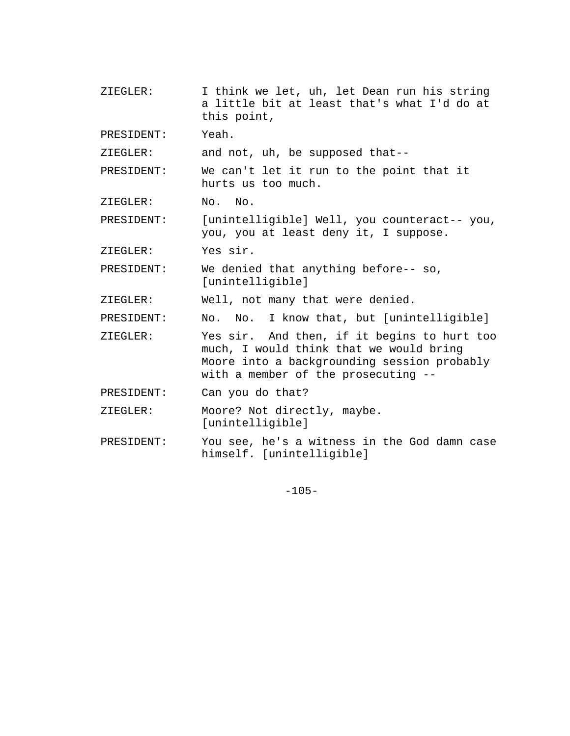ZIEGLER: I think we let, uh, let Dean run his string a little bit at least that's what I'd do at this point, PRESIDENT: Yeah.

ZIEGLER: and not, uh, be supposed that--

PRESIDENT: We can't let it run to the point that it hurts us too much.

ZIEGLER: No. No.

PRESIDENT: [unintelligible] Well, you counteract-- you, you, you at least deny it, I suppose.

ZIEGLER: Yes sir.

PRESIDENT: We denied that anything before-- so, [unintelligible]

ZIEGLER: Well, not many that were denied.

PRESIDENT: No. No. I know that, but [unintelligible]

- ZIEGLER: Yes sir. And then, if it begins to hurt too much, I would think that we would bring Moore into a backgrounding session probably with a member of the prosecuting --
- PRESIDENT: Can you do that?

ZIEGLER: Moore? Not directly, maybe. [unintelligible]

PRESIDENT: You see, he's a witness in the God damn case himself. [unintelligible]

 $-105-$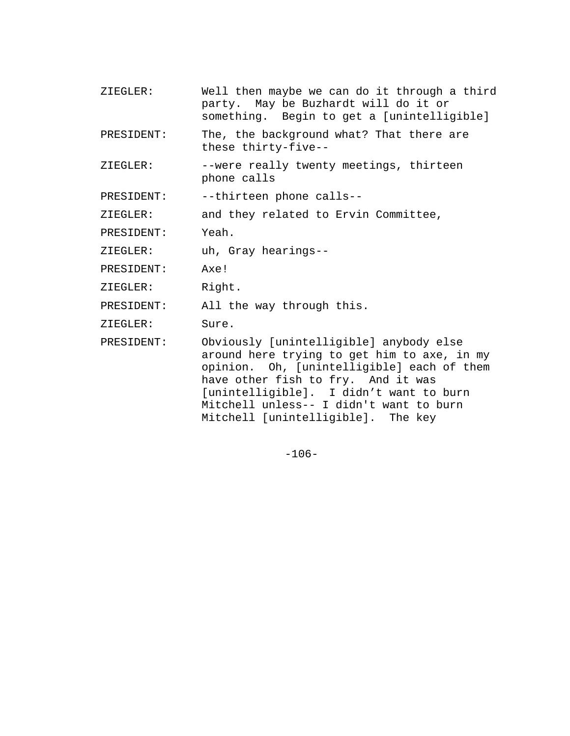ZIEGLER: Well then maybe we can do it through a third party. May be Buzhardt will do it or something. Begin to get a [unintelligible] PRESIDENT: The, the background what? That there are these thirty-five-- ZIEGLER: --were really twenty meetings, thirteen phone calls PRESIDENT: --thirteen phone calls-- ZIEGLER: and they related to Ervin Committee, PRESIDENT: Yeah. ZIEGLER: uh, Gray hearings-- PRESIDENT: Axe! ZIEGLER: Right. PRESIDENT: All the way through this. ZIEGLER: Sure. PRESIDENT: Obviously [unintelligible] anybody else around here trying to get him to axe, in my opinion. Oh, [unintelligible] each of them have other fish to fry. And it was [unintelligible]. I didn't want to burn Mitchell unless-- I didn't want to burn Mitchell [unintelligible]. The key

-106-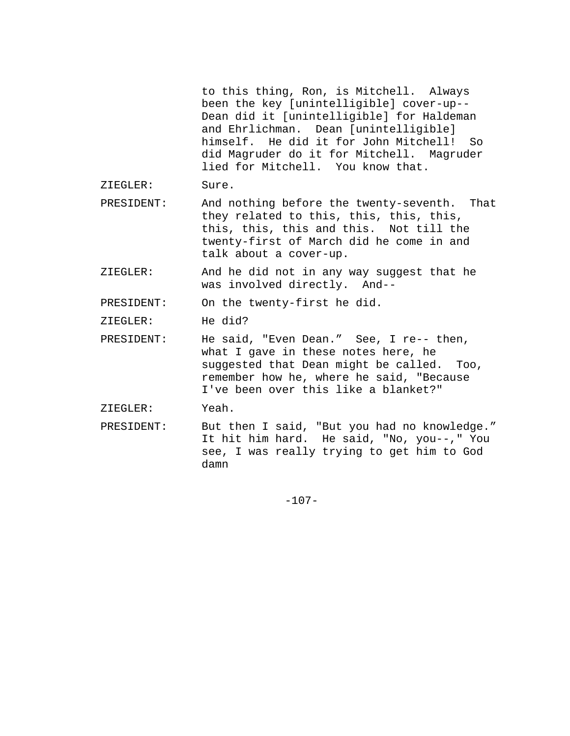to this thing, Ron, is Mitchell. Always been the key [unintelligible] cover-up-- Dean did it [unintelligible] for Haldeman and Ehrlichman. Dean [unintelligible] himself. He did it for John Mitchell! So did Magruder do it for Mitchell. Magruder lied for Mitchell. You know that.

ZIEGLER: Sure.

- PRESIDENT: And nothing before the twenty-seventh. That they related to this, this, this, this, this, this, this and this. Not till the twenty-first of March did he come in and talk about a cover-up.
- ZIEGLER: And he did not in any way suggest that he was involved directly. And--

PRESIDENT: On the twenty-first he did.

ZIEGLER: He did?

- PRESIDENT: He said, "Even Dean." See, I re-- then, what I gave in these notes here, he suggested that Dean might be called. Too, remember how he, where he said, "Because I've been over this like a blanket?"
- ZIEGLER: Yeah.
- PRESIDENT: But then I said, "But you had no knowledge." It hit him hard. He said, "No, you--," You see, I was really trying to get him to God damn

 $-107-$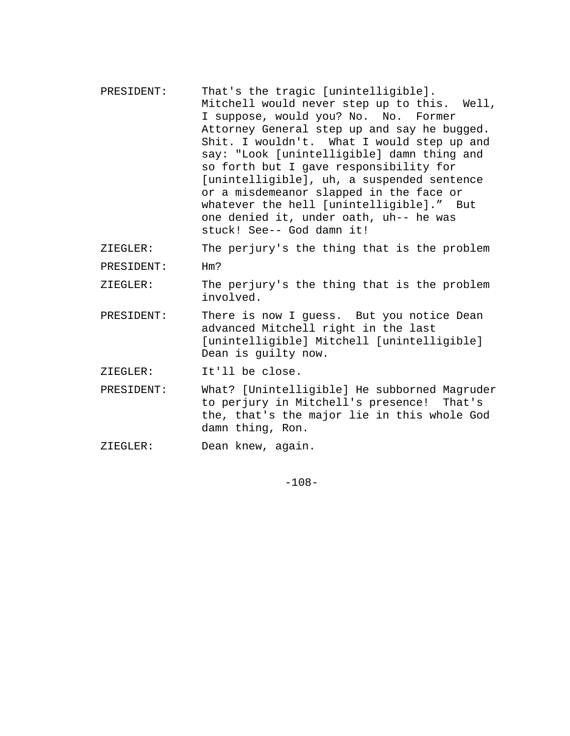PRESIDENT: That's the tragic [unintelligible]. Mitchell would never step up to this. Well, I suppose, would you? No. No. Former Attorney General step up and say he bugged. Shit. I wouldn't. What I would step up and say: "Look [unintelligible] damn thing and so forth but I gave responsibility for [unintelligible], uh, a suspended sentence or a misdemeanor slapped in the face or whatever the hell [unintelligible]." But one denied it, under oath, uh-- he was stuck! See-- God damn it!

ZIEGLER: The perjury's the thing that is the problem

- PRESIDENT: Hm?
- ZIEGLER: The perjury's the thing that is the problem involved.
- PRESIDENT: There is now I guess. But you notice Dean advanced Mitchell right in the last [unintelligible] Mitchell [unintelligible] Dean is guilty now.
- ZIEGLER: It'll be close.
- PRESIDENT: What? [Unintelligible] He subborned Magruder to perjury in Mitchell's presence! That's the, that's the major lie in this whole God damn thing, Ron.
- ZIEGLER: Dean knew, again.

-108-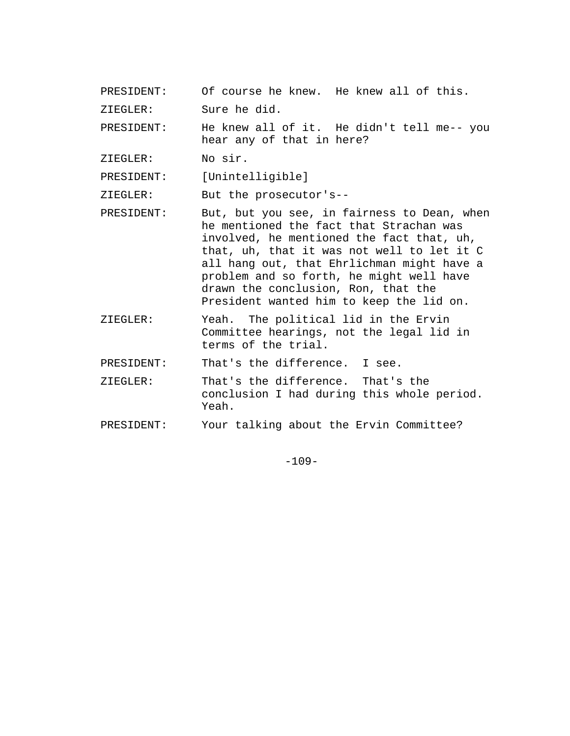PRESIDENT: Of course he knew. He knew all of this.

ZIEGLER: Sure he did.

PRESIDENT: He knew all of it. He didn't tell me-- you hear any of that in here?

ZIEGLER: No sir.

PRESIDENT: [Unintelligible]

ZIEGLER: But the prosecutor's--

- PRESIDENT: But, but you see, in fairness to Dean, when he mentioned the fact that Strachan was involved, he mentioned the fact that, uh, that, uh, that it was not well to let it C all hang out, that Ehrlichman might have a problem and so forth, he might well have drawn the conclusion, Ron, that the President wanted him to keep the lid on.
- ZIEGLER: Yeah. The political lid in the Ervin Committee hearings, not the legal lid in terms of the trial.

PRESIDENT: That's the difference. I see.

- ZIEGLER: That's the difference. That's the conclusion I had during this whole period. Yeah.
- PRESIDENT: Your talking about the Ervin Committee?

-109-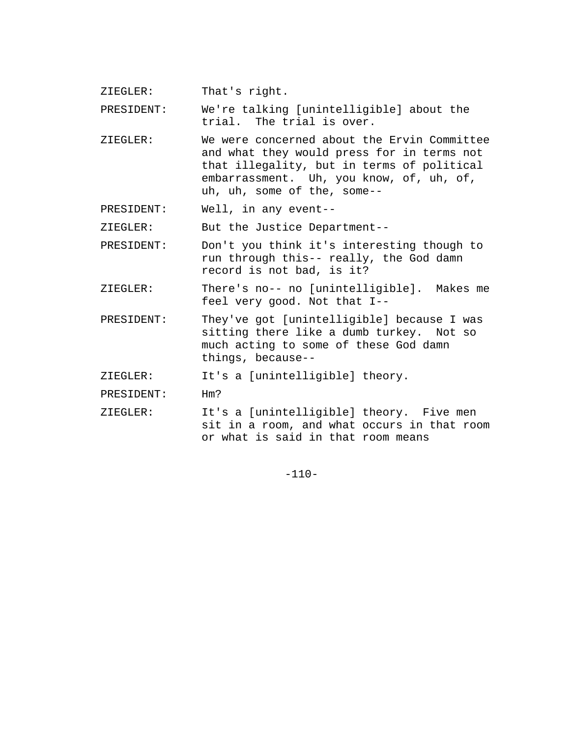ZIEGLER: That's right.

PRESIDENT: We're talking [unintelligible] about the trial. The trial is over.

- ZIEGLER: We were concerned about the Ervin Committee and what they would press for in terms not that illegality, but in terms of political embarrassment. Uh, you know, of, uh, of, uh, uh, some of the, some--
- PRESIDENT: Well, in any event--

ZIEGLER: But the Justice Department--

- PRESIDENT: Don't you think it's interesting though to run through this-- really, the God damn record is not bad, is it?
- ZIEGLER: There's no-- no [unintelligible]. Makes me feel very good. Not that I--
- PRESIDENT: They've got [unintelligible] because I was sitting there like a dumb turkey. Not so much acting to some of these God damn things, because--

ZIEGLER: It's a [unintelligible] theory.

PRESIDENT: Hm?

ZIEGLER: It's a [unintelligible] theory. Five men sit in a room, and what occurs in that room or what is said in that room means

 $-110-$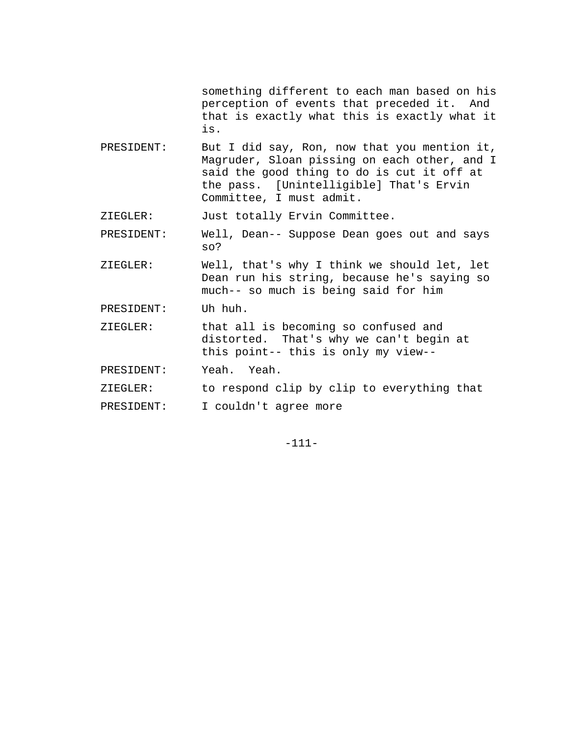something different to each man based on his perception of events that preceded it. And that is exactly what this is exactly what it is.

PRESIDENT: But I did say, Ron, now that you mention it, Magruder, Sloan pissing on each other, and I said the good thing to do is cut it off at the pass. [Unintelligible] That's Ervin Committee, I must admit.

ZIEGLER: Just totally Ervin Committee.

PRESIDENT: Well, Dean-- Suppose Dean goes out and says so?

ZIEGLER: Well, that's why I think we should let, let Dean run his string, because he's saying so much-- so much is being said for him

PRESIDENT: Uh huh.

- ZIEGLER: that all is becoming so confused and distorted. That's why we can't begin at this point-- this is only my view--
- PRESIDENT: Yeah. Yeah.
- ZIEGLER: to respond clip by clip to everything that
- PRESIDENT: I couldn't agree more

-111-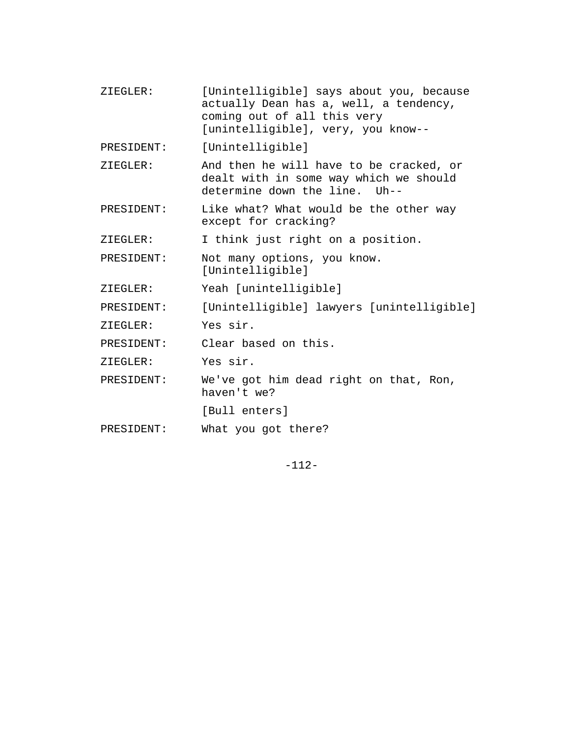- ZIEGLER: [Unintelligible] says about you, because actually Dean has a, well, a tendency, coming out of all this very [unintelligible], very, you know--
- PRESIDENT: [Unintelligible]
- ZIEGLER: And then he will have to be cracked, or dealt with in some way which we should determine down the line. Uh--
- PRESIDENT: Like what? What would be the other way except for cracking?
- ZIEGLER: I think just right on a position.

PRESIDENT: Not many options, you know. [Unintelligible]

ZIEGLER: Yeah [unintelligible]

PRESIDENT: [Unintelligible] lawyers [unintelligible]

ZIEGLER: Yes sir.

PRESIDENT: Clear based on this.

ZIEGLER: Yes sir.

PRESIDENT: We've got him dead right on that, Ron, haven't we?

[Bull enters]

PRESIDENT: What you got there?

-112-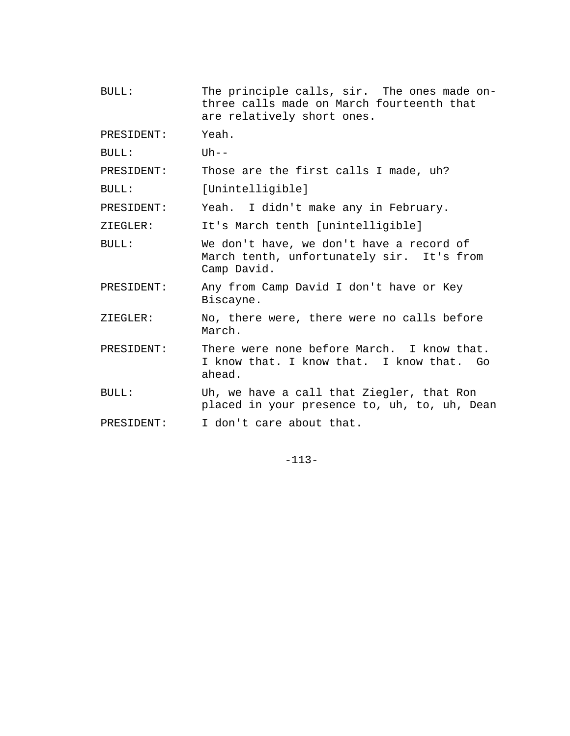| BULL:      | The principle calls, sir. The ones made on-<br>three calls made on March fourteenth that<br>are relatively short ones. |
|------------|------------------------------------------------------------------------------------------------------------------------|
| PRESIDENT: | Yeah.                                                                                                                  |
| BULL:      | $Uh--$                                                                                                                 |
| PRESIDENT: | Those are the first calls I made, uh?                                                                                  |
| BULL:      | [Unintelligible]                                                                                                       |
| PRESIDENT: | Yeah. I didn't make any in February.                                                                                   |
| ZIEGLER:   | It's March tenth [unintelligible]                                                                                      |
| BULL:      | We don't have, we don't have a record of<br>March tenth, unfortunately sir. It's from<br>Camp David.                   |
| PRESIDENT: | Any from Camp David I don't have or Key<br>Biscayne.                                                                   |
| ZIEGLER:   | No, there were, there were no calls before<br>March.                                                                   |
| PRESIDENT: | There were none before March. I know that.<br>I know that. I know that. I know that. Go<br>ahead.                      |
| BULL:      | Uh, we have a call that Ziegler, that Ron<br>placed in your presence to, uh, to, uh, Dean                              |
| PRESIDENT: | I don't care about that.                                                                                               |

-113-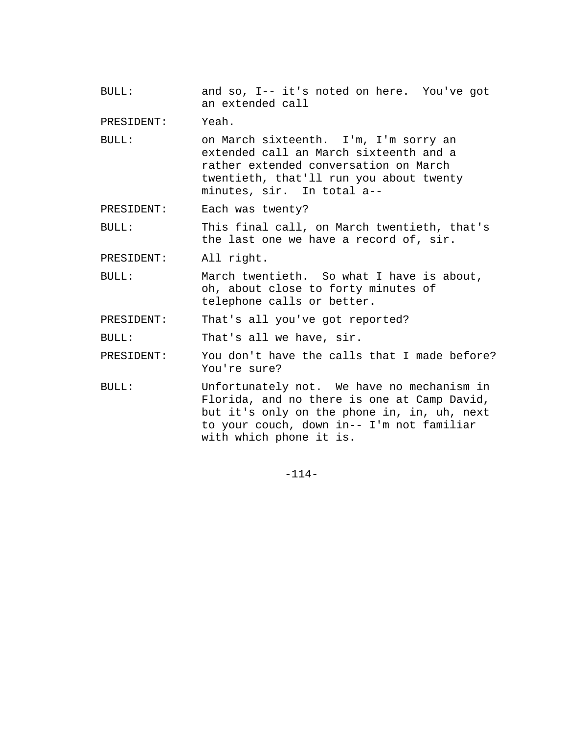BULL: and so, I-- it's noted on here. You've got an extended call PRESIDENT: Yeah. BULL: on March sixteenth. I'm, I'm sorry an extended call an March sixteenth and a rather extended conversation on March twentieth, that'll run you about twenty minutes, sir. In total a-- PRESIDENT: Each was twenty? BULL: This final call, on March twentieth, that's the last one we have a record of, sir. PRESIDENT: All right. BULL: March twentieth. So what I have is about, oh, about close to forty minutes of telephone calls or better. PRESIDENT: That's all you've got reported? BULL: That's all we have, sir. PRESIDENT: You don't have the calls that I made before? You're sure? BULL: Unfortunately not. We have no mechanism in Florida, and no there is one at Camp David, but it's only on the phone in, in, uh, next to your couch, down in-- I'm not familiar with which phone it is.

-114-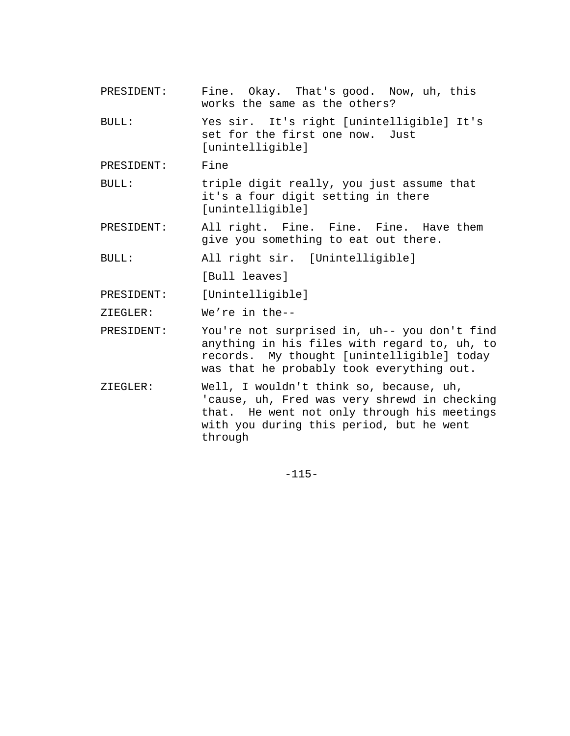- PRESIDENT: Fine. Okay. That's good. Now, uh, this works the same as the others? BULL: Yes sir. It's right [unintelligible] It's set for the first one now. Just [unintelligible] PRESIDENT: Fine BULL: triple digit really, you just assume that it's a four digit setting in there [unintelligible] PRESIDENT: All right. Fine. Fine. Fine. Have them give you something to eat out there. BULL: All right sir. [Unintelligible] [Bull leaves] PRESIDENT: [Unintelligible] ZIEGLER: We're in the-- PRESIDENT: You're not surprised in, uh-- you don't find anything in his files with regard to, uh, to records. My thought [unintelligible] today was that he probably took everything out.
- ZIEGLER: Well, I wouldn't think so, because, uh, 'cause, uh, Fred was very shrewd in checking that. He went not only through his meetings with you during this period, but he went through

-115-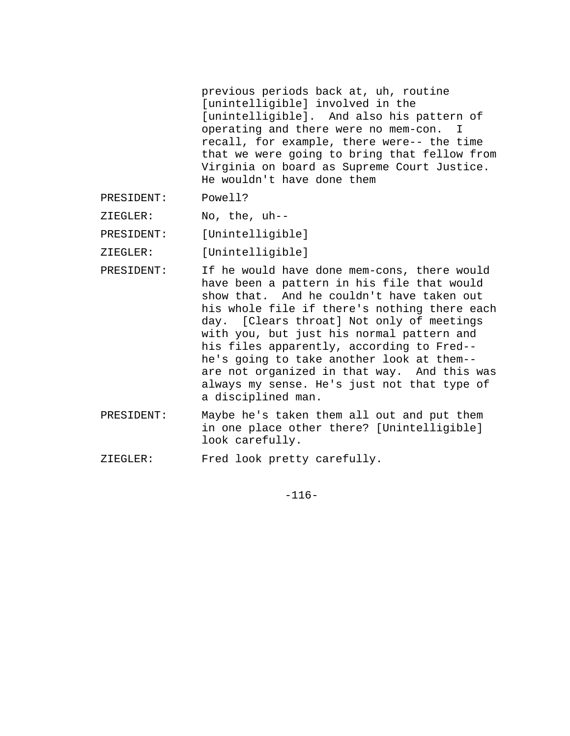previous periods back at, uh, routine [unintelligible] involved in the [unintelligible]. And also his pattern of operating and there were no mem-con. I recall, for example, there were-- the time that we were going to bring that fellow from Virginia on board as Supreme Court Justice. He wouldn't have done them

- PRESIDENT: Powell?
- ZIEGLER: No, the, uh--
- PRESIDENT: [Unintelligible]
- ZIEGLER: [Unintelligible]
- PRESIDENT: If he would have done mem-cons, there would have been a pattern in his file that would show that. And he couldn't have taken out his whole file if there's nothing there each day. [Clears throat] Not only of meetings with you, but just his normal pattern and his files apparently, according to Fred- he's going to take another look at them- are not organized in that way. And this was always my sense. He's just not that type of a disciplined man.
- PRESIDENT: Maybe he's taken them all out and put them in one place other there? [Unintelligible] look carefully.
- ZIEGLER: Fred look pretty carefully.

-116-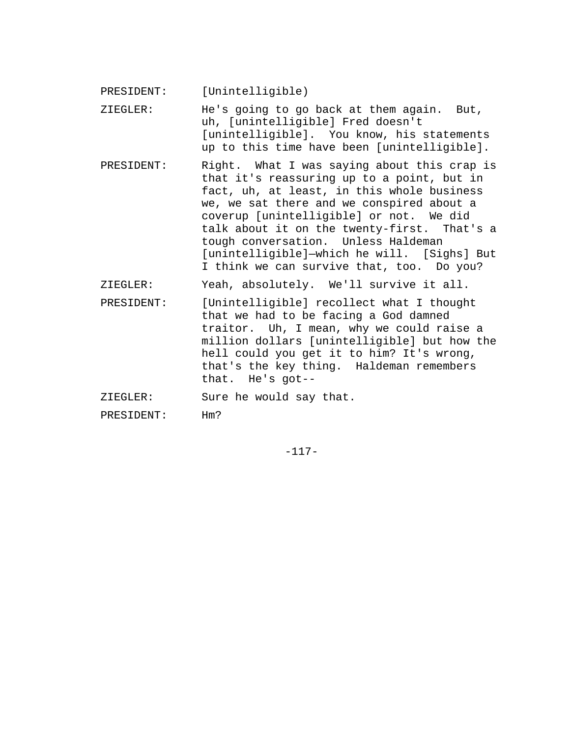PRESIDENT: [Unintelligible)

- ZIEGLER: He's going to go back at them again. But, uh, [unintelligible] Fred doesn't [unintelligible]. You know, his statements up to this time have been [unintelligible].
- PRESIDENT: Right. What I was saying about this crap is that it's reassuring up to a point, but in fact, uh, at least, in this whole business we, we sat there and we conspired about a coverup [unintelligible] or not. We did talk about it on the twenty-first. That's a tough conversation. Unless Haldeman [unintelligible]—which he will. [Sighs] But I think we can survive that, too. Do you?

ZIEGLER: Yeah, absolutely. We'll survive it all.

PRESIDENT: [Unintelligible] recollect what I thought that we had to be facing a God damned traitor. Uh, I mean, why we could raise a million dollars [unintelligible] but how the hell could you get it to him? It's wrong, that's the key thing. Haldeman remembers that. He's got--

ZIEGLER: Sure he would say that.

PRESIDENT: Hm?

-117-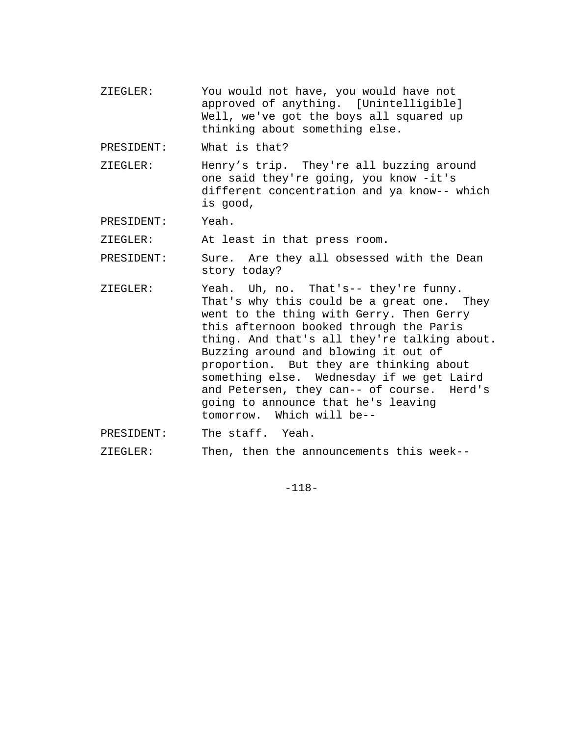ZIEGLER: You would not have, you would have not approved of anything. [Unintelligible] Well, we've got the boys all squared up thinking about something else.

PRESIDENT: What is that?

ZIEGLER: Henry's trip. They're all buzzing around one said they're going, you know -it's different concentration and ya know-- which is good,

PRESIDENT: Yeah.

ZIEGLER: At least in that press room.

PRESIDENT: Sure. Are they all obsessed with the Dean story today?

- ZIEGLER: Yeah. Uh, no. That's-- they're funny. That's why this could be a great one. They went to the thing with Gerry. Then Gerry this afternoon booked through the Paris thing. And that's all they're talking about. Buzzing around and blowing it out of proportion. But they are thinking about something else. Wednesday if we get Laird and Petersen, they can-- of course. Herd's going to announce that he's leaving tomorrow. Which will be--
- PRESIDENT: The staff. Yeah.

ZIEGLER: Then, then the announcements this week--

-118-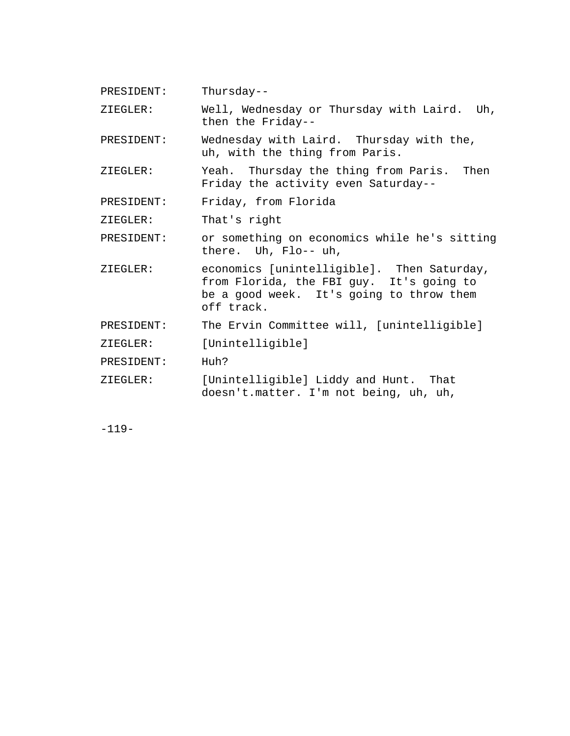PRESIDENT: Thursday--

ZIEGLER: Well, Wednesday or Thursday with Laird. Uh, then the Friday--

PRESIDENT: Wednesday with Laird. Thursday with the, uh, with the thing from Paris.

ZIEGLER: Yeah. Thursday the thing from Paris. Then Friday the activity even Saturday--

PRESIDENT: Friday, from Florida

ZIEGLER: That's right

PRESIDENT: or something on economics while he's sitting there. Uh, Flo-- uh,

ZIEGLER: economics [unintelligible]. Then Saturday, from Florida, the FBI guy. It's going to be a good week. It's going to throw them off track.

PRESIDENT: The Ervin Committee will, [unintelligible]

ZIEGLER: [Unintelligible]

PRESIDENT: Huh?

ZIEGLER: [Unintelligible] Liddy and Hunt. That doesn't.matter. I'm not being, uh, uh,

-119-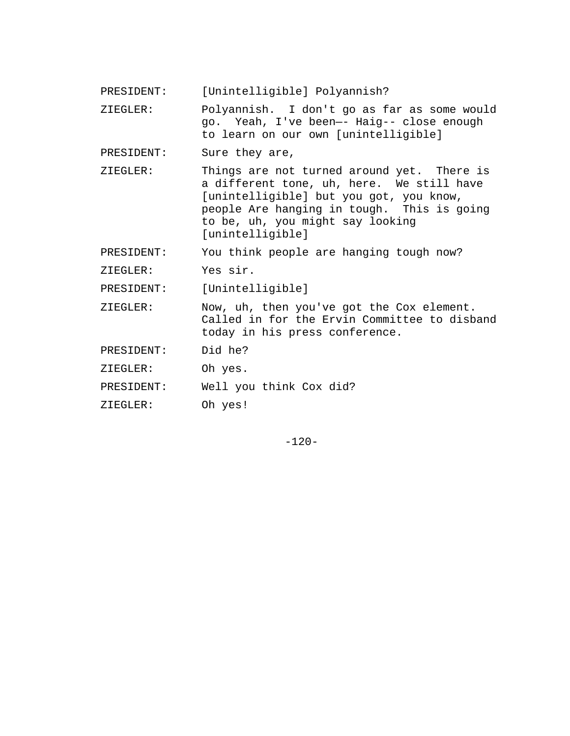PRESIDENT: [Unintelligible] Polyannish?

ZIEGLER: Polyannish. I don't go as far as some would go. Yeah, I've been—- Haig-- close enough to learn on our own [unintelligible]

PRESIDENT: Sure they are,

ZIEGLER: Things are not turned around yet. There is a different tone, uh, here. We still have [unintelligible] but you got, you know, people Are hanging in tough. This is going to be, uh, you might say looking [unintelligible]

PRESIDENT: You think people are hanging tough now?

ZIEGLER: Yes sir.

PRESIDENT: [Unintelligible]

ZIEGLER: Now, uh, then you've got the Cox element. Called in for the Ervin Committee to disband today in his press conference.

PRESIDENT: Did he?

ZIEGLER: Oh yes.

PRESIDENT: Well you think Cox did?

ZIEGLER: Oh yes!

 $-120-$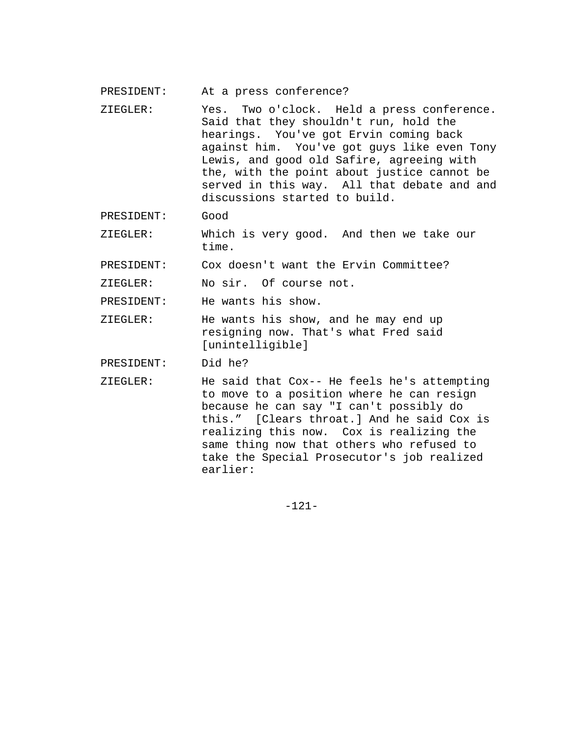- PRESIDENT: At a press conference?
- ZIEGLER: Yes. Two o'clock. Held a press conference. Said that they shouldn't run, hold the hearings. You've got Ervin coming back against him. You've got guys like even Tony Lewis, and good old Safire, agreeing with the, with the point about justice cannot be served in this way. All that debate and and discussions started to build.
- PRESIDENT: Good
- ZIEGLER: Which is very good. And then we take our time.

PRESIDENT: Cox doesn't want the Ervin Committee?

ZIEGLER: No sir. Of course not.

PRESIDENT: He wants his show.

- ZIEGLER: He wants his show, and he may end up resigning now. That's what Fred said [unintelligible]
- PRESIDENT: Did he?
- ZIEGLER: He said that Cox-- He feels he's attempting to move to a position where he can resign because he can say "I can't possibly do this." [Clears throat.] And he said Cox is realizing this now. Cox is realizing the same thing now that others who refused to take the Special Prosecutor's job realized earlier:

-121-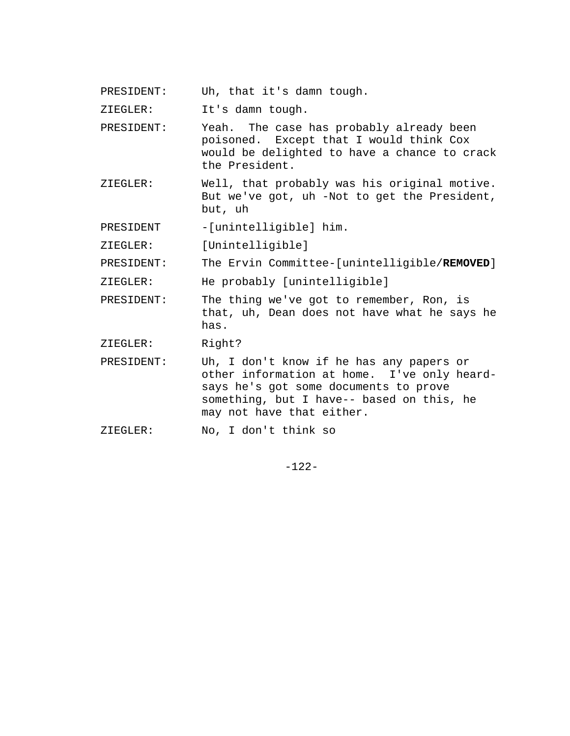- PRESIDENT: Uh, that it's damn tough.
- ZIEGLER: It's damn tough.
- PRESIDENT: Yeah. The case has probably already been poisoned. Except that I would think Cox would be delighted to have a chance to crack the President.
- ZIEGLER: Well, that probably was his original motive. But we've got, uh -Not to get the President, but, uh
- PRESIDENT -[unintelligible] him.
- ZIEGLER: [Unintelligible]

PRESIDENT: The Ervin Committee-[unintelligible/**REMOVED**]

ZIEGLER: He probably [unintelligible]

- PRESIDENT: The thing we've got to remember, Ron, is that, uh, Dean does not have what he says he has.
- ZIEGLER: Right?
- PRESIDENT: Uh, I don't know if he has any papers or other information at home. I've only heardsays he's got some documents to prove something, but I have-- based on this, he may not have that either.
- ZIEGLER: No, I don't think so

-122-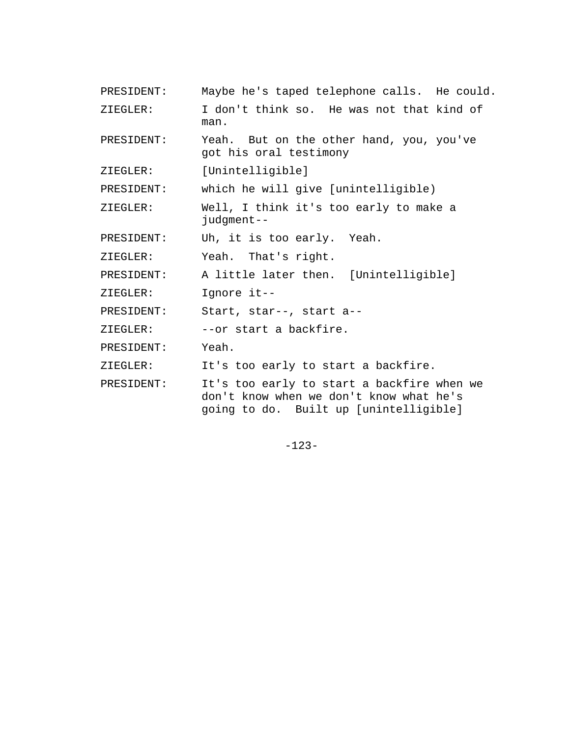PRESIDENT: Maybe he's taped telephone calls. He could. ZIEGLER: I don't think so. He was not that kind of man. PRESIDENT: Yeah. But on the other hand, you, you've got his oral testimony ZIEGLER: [Unintelligible] PRESIDENT: which he will give [unintelligible) ZIEGLER: Well, I think it's too early to make a judgment-- PRESIDENT: Uh, it is too early. Yeah. ZIEGLER: Yeah. That's right. PRESIDENT: A little later then. [Unintelligible] ZIEGLER: Ignore it-- PRESIDENT: Start, star--, start a--ZIEGLER: -- or start a backfire. PRESIDENT: Yeah. ZIEGLER: It's too early to start a backfire. PRESIDENT: It's too early to start a backfire when we don't know when we don't know what he's going to do. Built up [unintelligible]

-123-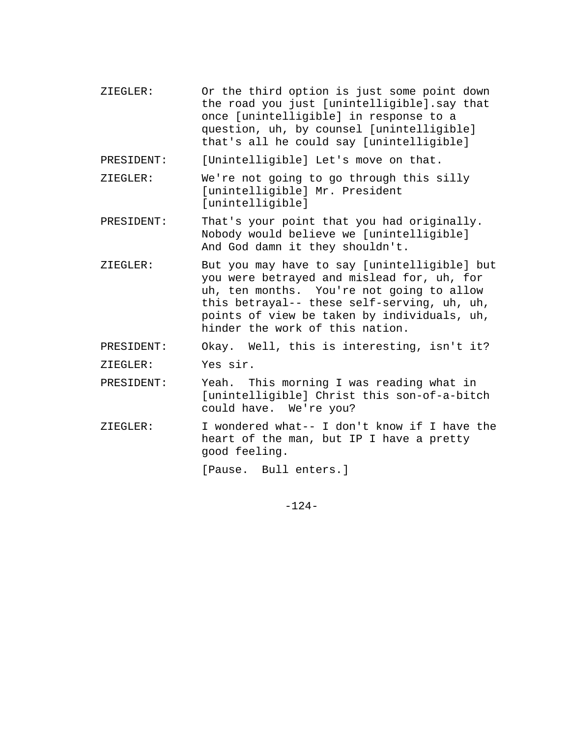- ZIEGLER: Or the third option is just some point down the road you just [unintelligible].say that once [unintelligible] in response to a question, uh, by counsel [unintelligible] that's all he could say [unintelligible]
- PRESIDENT: [Unintelligible] Let's move on that.
- ZIEGLER: We're not going to go through this silly [unintelligible] Mr. President [unintelligible]
- PRESIDENT: That's your point that you had originally. Nobody would believe we [unintelligible] And God damn it they shouldn't.
- ZIEGLER: But you may have to say [unintelligible] but you were betrayed and mislead for, uh, for uh, ten months. You're not going to allow this betrayal-- these self-serving, uh, uh, points of view be taken by individuals, uh, hinder the work of this nation.
- PRESIDENT: Okay. Well, this is interesting, isn't it?

ZIEGLER: Yes sir.

- PRESIDENT: Yeah. This morning I was reading what in [unintelligible] Christ this son-of-a-bitch could have. We're you?
- ZIEGLER: I wondered what-- I don't know if I have the heart of the man, but IP I have a pretty good feeling.

[Pause. Bull enters.]

 $-124-$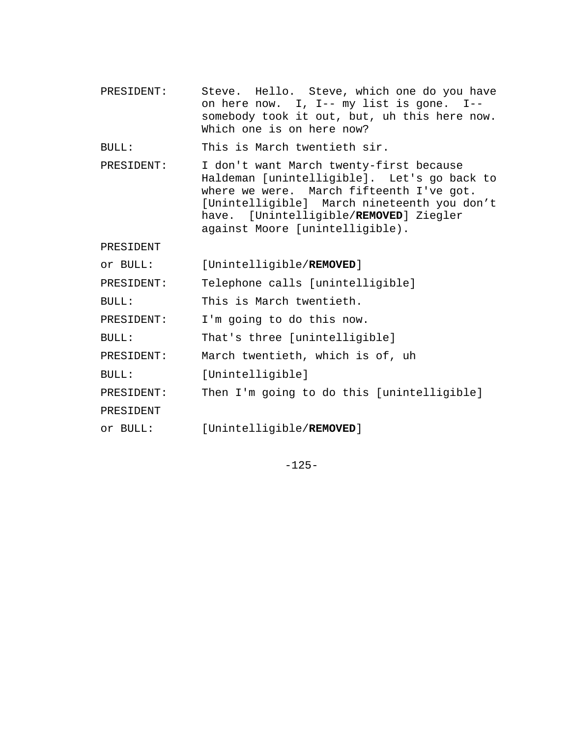PRESIDENT: Steve. Hello. Steve, which one do you have on here now. I, I-- my list is gone. I- somebody took it out, but, uh this here now. Which one is on here now?

BULL: This is March twentieth sir.

PRESIDENT: I don't want March twenty-first because Haldeman [unintelligible]. Let's go back to where we were. March fifteenth I've got. [Unintelligible] March nineteenth you don't have. [Unintelligible/**REMOVED**] Ziegler against Moore [unintelligible).

PRESIDENT

or BULL: [Unintelligible/**REMOVED**]

PRESIDENT: Telephone calls [unintelligible]

BULL: This is March twentieth.

PRESIDENT: I'm going to do this now.

BULL: That's three [unintelligible]

PRESIDENT: March twentieth, which is of, uh

BULL: [Unintelligible]

PRESIDENT: Then I'm going to do this [unintelligible]

PRESIDENT

or BULL: [Unintelligible/**REMOVED**]

-125-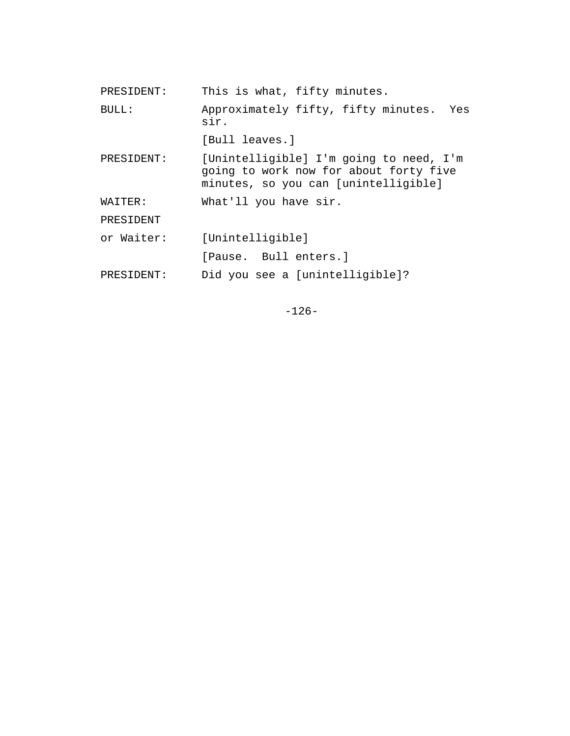| PRESIDENT: | This is what, fifty minutes.                                                                                              |
|------------|---------------------------------------------------------------------------------------------------------------------------|
| BULL:      | Approximately fifty, fifty minutes. Yes<br>sir.                                                                           |
|            | [Bull leaves.]                                                                                                            |
| PRESIDENT: | [Unintelligible] I'm going to need, I'm<br>going to work now for about forty five<br>minutes, so you can [unintelligible] |
| WAITER:    | What'll you have sir.                                                                                                     |
| PRESIDENT  |                                                                                                                           |
| or Waiter: | [Unintelligible]                                                                                                          |
|            | [Pause. Bull enters.]                                                                                                     |
| PRESIDENT: | Did you see a [unintelligible]?                                                                                           |
|            |                                                                                                                           |

-126-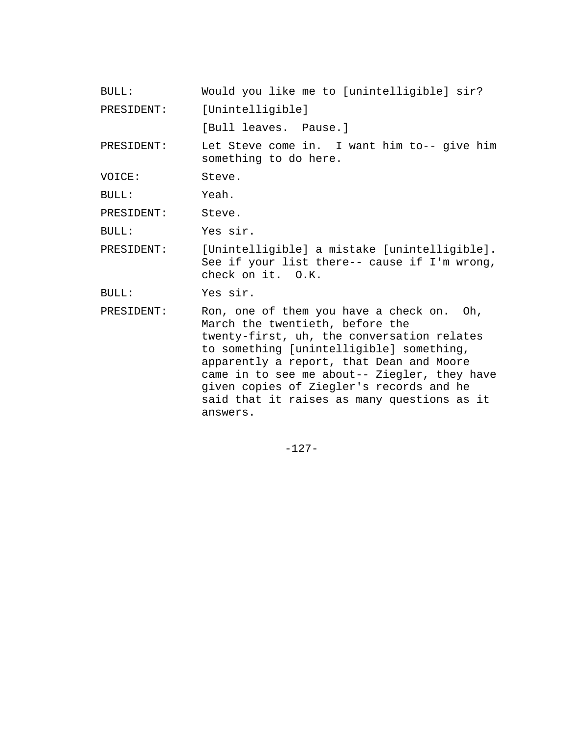| BULL:      | Would you like me to [unintelligible] sir?                                                                                                                                                                                                                                                                                                                    |
|------------|---------------------------------------------------------------------------------------------------------------------------------------------------------------------------------------------------------------------------------------------------------------------------------------------------------------------------------------------------------------|
| PRESIDENT: | [Unintelligible]                                                                                                                                                                                                                                                                                                                                              |
|            | [Bull leaves. Pause.]                                                                                                                                                                                                                                                                                                                                         |
| PRESIDENT: | Let Steve come in. I want him to-- give him<br>something to do here.                                                                                                                                                                                                                                                                                          |
| VOICE:     | Steve.                                                                                                                                                                                                                                                                                                                                                        |
| BULL:      | Yeah.                                                                                                                                                                                                                                                                                                                                                         |
| PRESIDENT: | Steve.                                                                                                                                                                                                                                                                                                                                                        |
| BULL:      | Yes sir.                                                                                                                                                                                                                                                                                                                                                      |
| PRESIDENT: | [Unintelligible] a mistake [unintelligible].<br>See if your list there-- cause if I'm wrong,<br>check on it. O.K.                                                                                                                                                                                                                                             |
| BULL:      | Yes sir.                                                                                                                                                                                                                                                                                                                                                      |
| PRESIDENT: | Ron, one of them you have a check on. Oh,<br>March the twentieth, before the<br>twenty-first, uh, the conversation relates<br>to something [unintelligible] something,<br>apparently a report, that Dean and Moore<br>came in to see me about-- Ziegler, they have<br>given copies of Ziegler's records and he<br>said that it raises as many questions as it |

answers.

-127-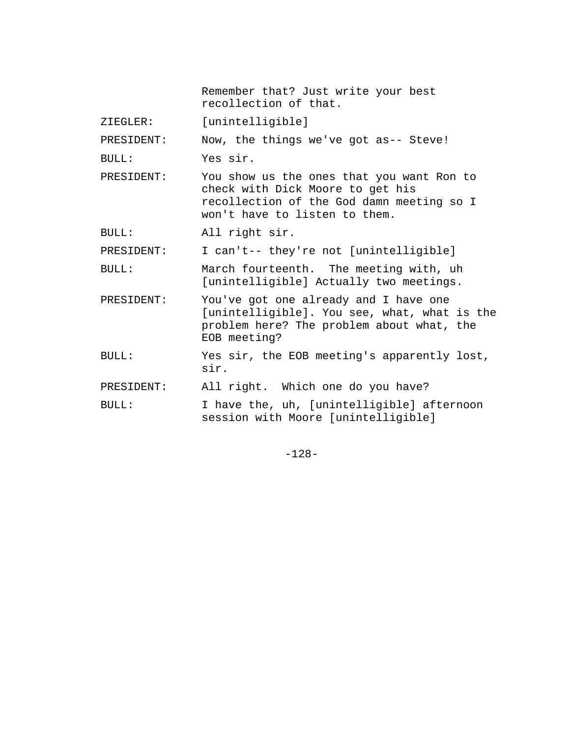Remember that? Just write your best recollection of that.

ZIEGLER: [unintelligible]

PRESIDENT: Now, the things we've got as-- Steve!

BULL: Yes sir.

PRESIDENT: You show us the ones that you want Ron to check with Dick Moore to get his recollection of the God damn meeting so I won't have to listen to them.

BULL: All right sir.

PRESIDENT: I can't-- they're not [unintelligible]

BULL: March fourteenth. The meeting with, uh [unintelligible] Actually two meetings.

- PRESIDENT: You've got one already and I have one [unintelligible]. You see, what, what is the problem here? The problem about what, the EOB meeting?
- BULL: Yes sir, the EOB meeting's apparently lost, sir.

PRESIDENT: All right. Which one do you have?

BULL: I have the, uh, [unintelligible] afternoon session with Moore [unintelligible]

-128-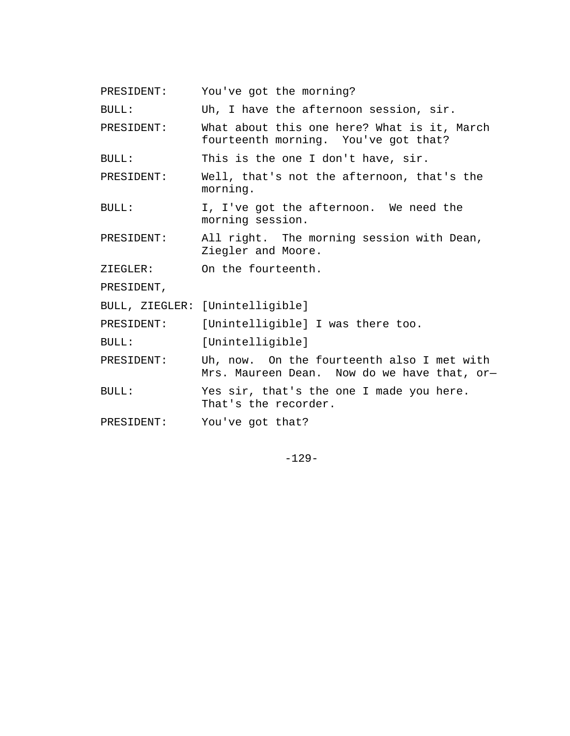PRESIDENT: You've got the morning?

BULL: Uh, I have the afternoon session, sir.

PRESIDENT: What about this one here? What is it, March fourteenth morning. You've got that?

BULL: This is the one I don't have, sir.

PRESIDENT: Well, that's not the afternoon, that's the morning.

BULL: I, I've got the afternoon. We need the morning session.

PRESIDENT: All right. The morning session with Dean, Ziegler and Moore.

ZIEGLER: On the fourteenth.

PRESIDENT,

BULL, ZIEGLER: [Unintelligible]

PRESIDENT: [Unintelligible] I was there too.

BULL: [Unintelligible]

PRESIDENT: Uh, now. On the fourteenth also I met with Mrs. Maureen Dean. Now do we have that, or—

BULL: Yes sir, that's the one I made you here. That's the recorder.

PRESIDENT: You've got that?

-129-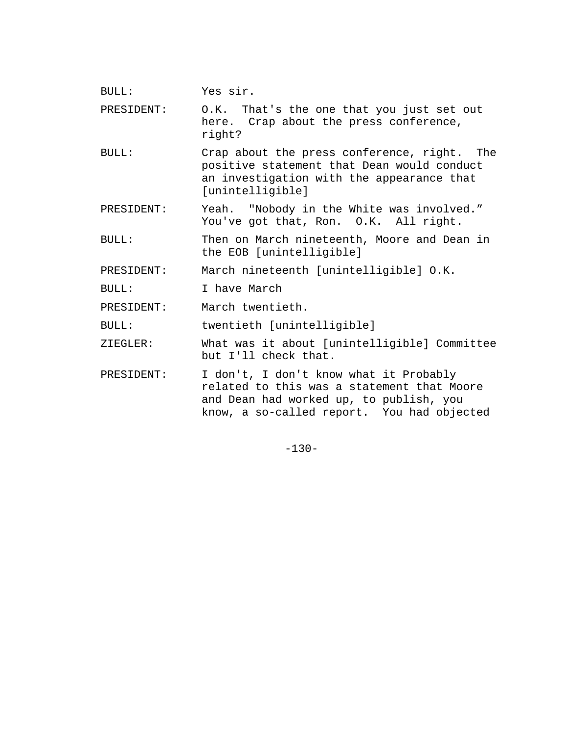BULL: Yes sir.

PRESIDENT: O.K. That's the one that you just set out here. Crap about the press conference, right?

- BULL: Crap about the press conference, right. The positive statement that Dean would conduct an investigation with the appearance that [unintelligible]
- PRESIDENT: Yeah. "Nobody in the White was involved." You've got that, Ron. O.K. All right.

BULL: Then on March nineteenth, Moore and Dean in the EOB [unintelligible]

PRESIDENT: March nineteenth [unintelligible] O.K.

BULL: I have March

PRESIDENT: March twentieth.

BULL: twentieth [unintelligible]

ZIEGLER: What was it about [unintelligible] Committee but I'll check that.

PRESIDENT: I don't, I don't know what it Probably related to this was a statement that Moore and Dean had worked up, to publish, you know, a so-called report. You had objected

-130-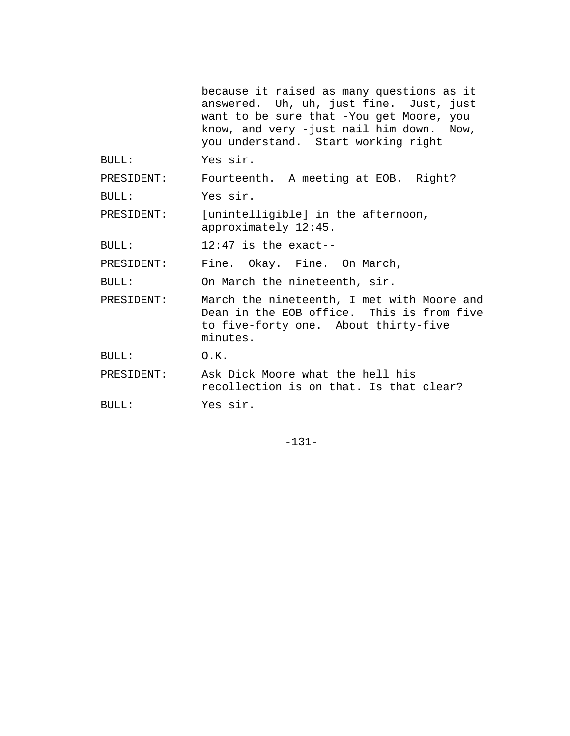because it raised as many questions as it answered. Uh, uh, just fine. Just, just want to be sure that -You get Moore, you know, and very -just nail him down. Now, you understand. Start working right

BULL: Yes sir.

PRESIDENT: Fourteenth. A meeting at EOB. Right?

BULL: Yes sir.

PRESIDENT: [unintelligible] in the afternoon, approximately 12:45.

BULL: 12:47 is the exact--

PRESIDENT: Fine. Okay. Fine. On March,

BULL: On March the nineteenth, sir.

PRESIDENT: March the nineteenth, I met with Moore and Dean in the EOB office. This is from five to five-forty one. About thirty-five minutes.

BULL: O.K.

PRESIDENT: Ask Dick Moore what the hell his recollection is on that. Is that clear?

BULL: Yes sir.

-131-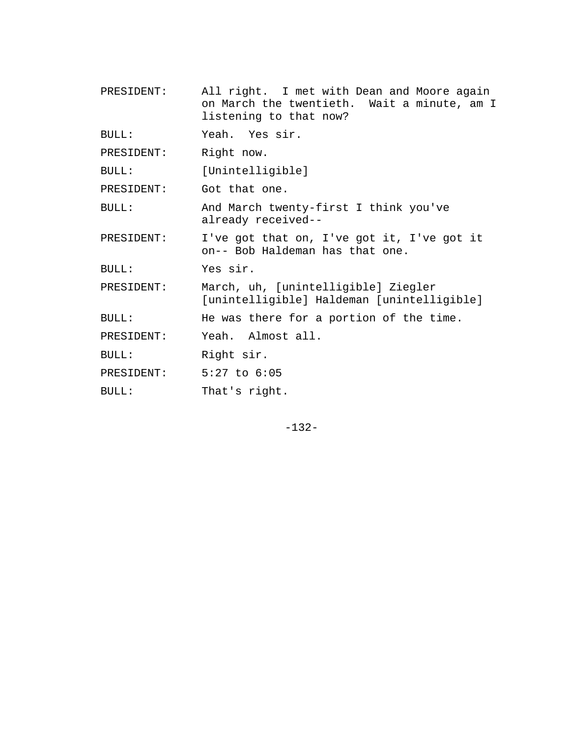| PRESIDENT:   | All right. I met with Dean and Moore again<br>on March the twentieth. Wait a minute, am I<br>listening to that now? |
|--------------|---------------------------------------------------------------------------------------------------------------------|
| <b>BULL:</b> | Yeah. Yes sir.                                                                                                      |
| PRESIDENT:   | Right now.                                                                                                          |
| BULL:        | [Unintelligible]                                                                                                    |
| PRESIDENT:   | Got that one.                                                                                                       |
| BULL:        | And March twenty-first I think you've<br>already received--                                                         |
| PRESIDENT:   | I've got that on, I've got it, I've got it<br>on-- Bob Haldeman has that one.                                       |
| <b>BULL:</b> | Yes sir.                                                                                                            |
| PRESIDENT:   | March, uh, [unintelligible] Ziegler<br>[unintelligible] Haldeman [unintelligible]                                   |
| BULL:        | He was there for a portion of the time.                                                                             |
| PRESIDENT:   | Yeah. Almost all.                                                                                                   |
| BULL:        | Right sir.                                                                                                          |
| PRESIDENT:   | $5:27$ to $6:05$                                                                                                    |
| BULL:        | That's right.                                                                                                       |

-132-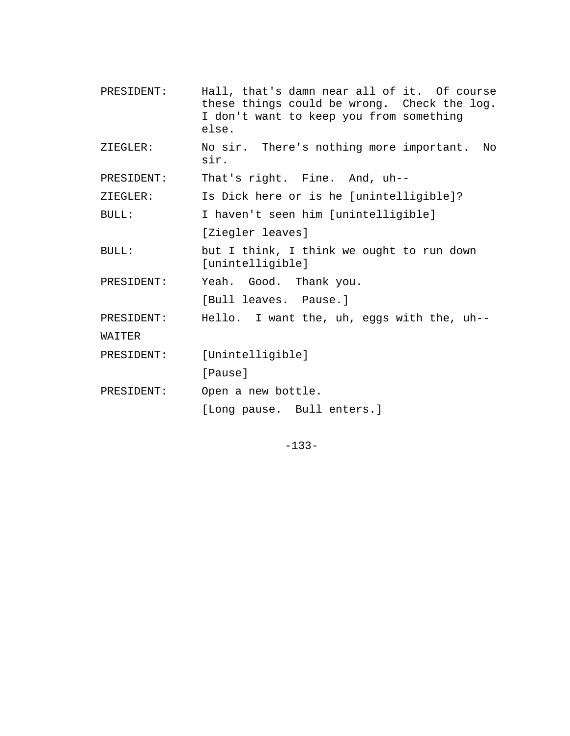| PRESIDENT: | Hall, that's damn near all of it. Of course<br>these things could be wrong. Check the log.<br>I don't want to keep you from something<br>else. |
|------------|------------------------------------------------------------------------------------------------------------------------------------------------|
| ZIEGLER:   | No sir. There's nothing more important.<br>No<br>sir.                                                                                          |
| PRESIDENT: | That's right. Fine. And, uh--                                                                                                                  |
| ZIEGLER:   | Is Dick here or is he [unintelligible]?                                                                                                        |
| BULL:      | I haven't seen him [unintelligible]                                                                                                            |
|            | [Ziegler leaves]                                                                                                                               |
| BULL:      | but I think, I think we ought to run down<br>[unintelligible]                                                                                  |
| PRESIDENT: | Yeah. Good. Thank you.                                                                                                                         |
|            | [Bull leaves. Pause.]                                                                                                                          |
| PRESIDENT: | Hello. I want the, uh, eggs with the, uh--                                                                                                     |
| WAITER     |                                                                                                                                                |
| PRESIDENT: | [Unintelligible]                                                                                                                               |
|            | [Pause]                                                                                                                                        |
| PRESIDENT: | Open a new bottle.                                                                                                                             |
|            | [Long pause. Bull enters.]                                                                                                                     |

-133-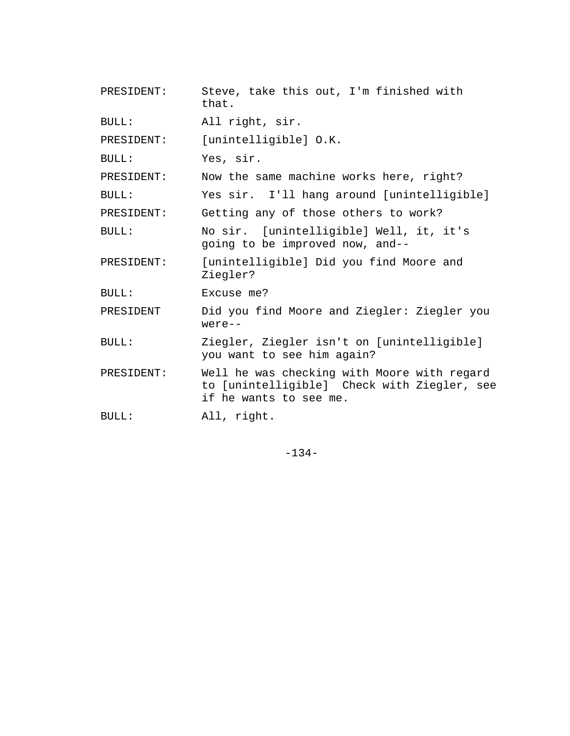| PRESIDENT: | Steve, take this out, I'm finished with<br>that.                                                                     |
|------------|----------------------------------------------------------------------------------------------------------------------|
| BULL:      | All right, sir.                                                                                                      |
| PRESIDENT: | [unintelligible] O.K.                                                                                                |
| BULL:      | Yes, sir.                                                                                                            |
| PRESIDENT: | Now the same machine works here, right?                                                                              |
| BULL:      | Yes sir. I'll hang around [unintelligible]                                                                           |
| PRESIDENT: | Getting any of those others to work?                                                                                 |
| BULL:      | No sir. [unintelligible] Well, it, it's<br>going to be improved now, and--                                           |
| PRESIDENT: | [unintelligible] Did you find Moore and<br>Ziegler?                                                                  |
| BULL:      | Excuse me?                                                                                                           |
| PRESIDENT  | Did you find Moore and Ziegler: Ziegler you<br>$were--$                                                              |
| BULL:      | Ziegler, Ziegler isn't on [unintelligible]<br>you want to see him again?                                             |
| PRESIDENT: | Well he was checking with Moore with regard<br>to [unintelligible] Check with Ziegler, see<br>if he wants to see me. |
| BULL:      | All, right.                                                                                                          |

-134-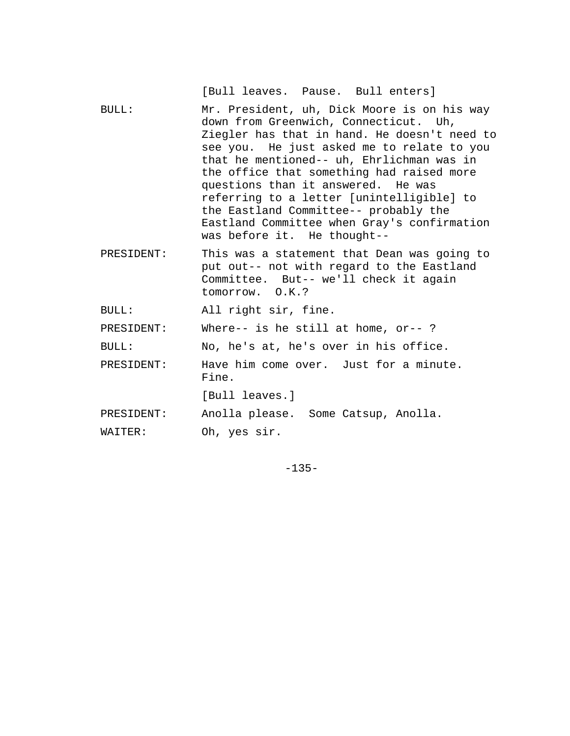[Bull leaves. Pause. Bull enters]

- BULL: Mr. President, uh, Dick Moore is on his way down from Greenwich, Connecticut. Uh, Ziegler has that in hand. He doesn't need to see you. He just asked me to relate to you that he mentioned-- uh, Ehrlichman was in the office that something had raised more questions than it answered. He was referring to a letter [unintelligible] to the Eastland Committee-- probably the Eastland Committee when Gray's confirmation was before it. He thought--
- PRESIDENT: This was a statement that Dean was going to put out-- not with regard to the Eastland Committee. But-- we'll check it again tomorrow. O.K.?

BULL: All right sir, fine.

PRESIDENT: Where-- is he still at home, or-- ?

BULL: No, he's at, he's over in his office.

PRESIDENT: Have him come over. Just for a minute. Fine.

[Bull leaves.]

PRESIDENT: Anolla please. Some Catsup, Anolla.

WAITER: Oh, yes sir.

 $-135-$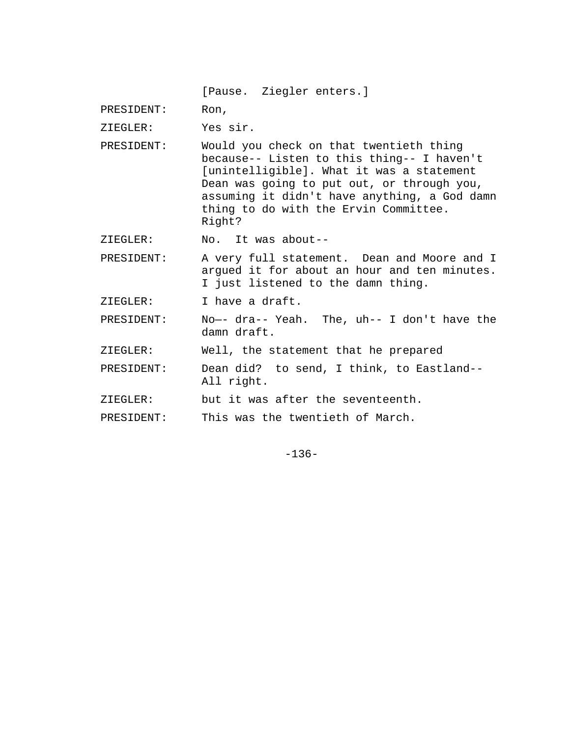[Pause. Ziegler enters.]

PRESIDENT: Ron,

ZIEGLER: Yes sir.

PRESIDENT: Would you check on that twentieth thing because-- Listen to this thing-- I haven't [unintelligible]. What it was a statement Dean was going to put out, or through you, assuming it didn't have anything, a God damn thing to do with the Ervin Committee. Right?

ZIEGLER: No. It was about--

PRESIDENT: A very full statement. Dean and Moore and I argued it for about an hour and ten minutes. I just listened to the damn thing.

- ZIEGLER: I have a draft.
- PRESIDENT: No—- dra-- Yeah. The, uh-- I don't have the damn draft.

ZIEGLER: Well, the statement that he prepared

PRESIDENT: Dean did? to send, I think, to Eastland-- All right.

ZIEGLER: but it was after the seventeenth.

PRESIDENT: This was the twentieth of March.

-136-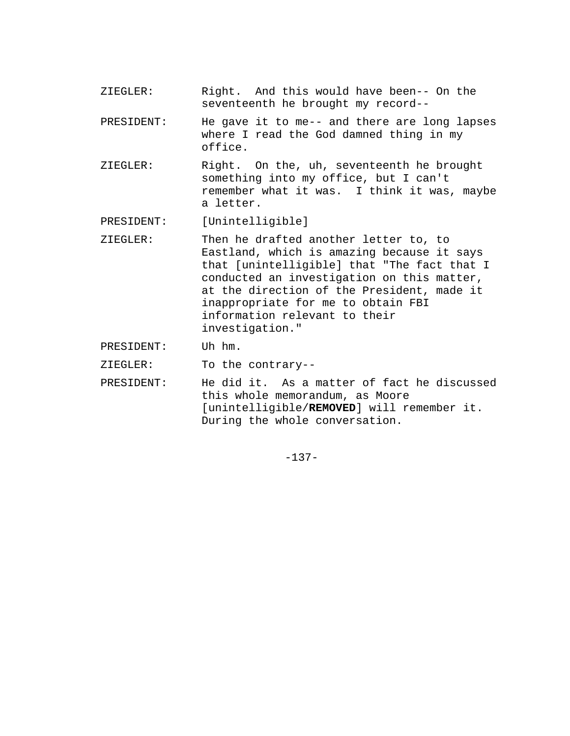- ZIEGLER: Right. And this would have been-- On the seventeenth he brought my record--
- PRESIDENT: He gave it to me-- and there are long lapses where I read the God damned thing in my office.
- ZIEGLER: Right. On the, uh, seventeenth he brought something into my office, but I can't remember what it was. I think it was, maybe a letter.
- PRESIDENT: [Unintelligible]
- ZIEGLER: Then he drafted another letter to, to Eastland, which is amazing because it says that [unintelligible] that "The fact that I conducted an investigation on this matter, at the direction of the President, made it inappropriate for me to obtain FBI information relevant to their investigation."
- PRESIDENT: Uh hm.
- ZIEGLER: To the contrary--
- PRESIDENT: He did it. As a matter of fact he discussed this whole memorandum, as Moore [unintelligible/**REMOVED**] will remember it. During the whole conversation.

-137-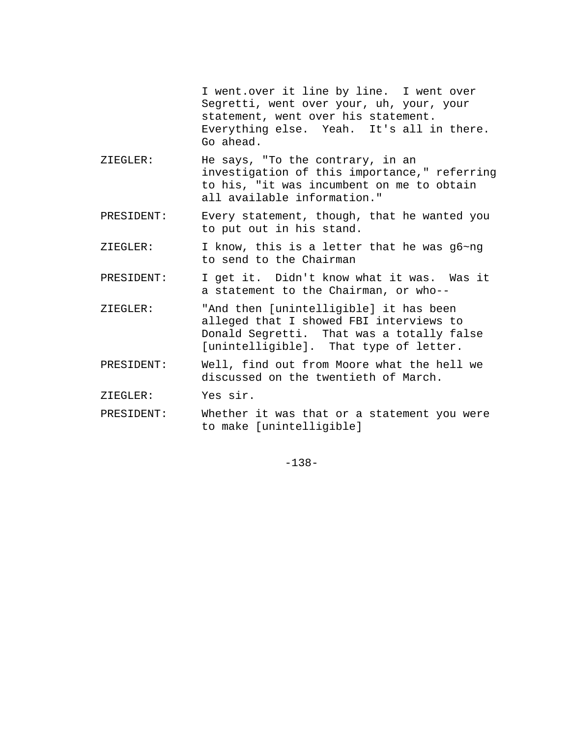I went.over it line by line. I went over Segretti, went over your, uh, your, your statement, went over his statement. Everything else. Yeah. It's all in there. Go ahead.

- ZIEGLER: He says, "To the contrary, in an investigation of this importance," referring to his, "it was incumbent on me to obtain all available information."
- PRESIDENT: Every statement, though, that he wanted you to put out in his stand.
- ZIEGLER: I know, this is a letter that he was  $q6~\gamma$ ng to send to the Chairman
- PRESIDENT: I get it. Didn't know what it was. Was it a statement to the Chairman, or who--
- ZIEGLER: "And then [unintelligible] it has been alleged that I showed FBI interviews to Donald Segretti. That was a totally false [unintelligible]. That type of letter.
- PRESIDENT: Well, find out from Moore what the hell we discussed on the twentieth of March.

ZIEGLER: Yes sir.

PRESIDENT: Whether it was that or a statement you were to make [unintelligible]

-138-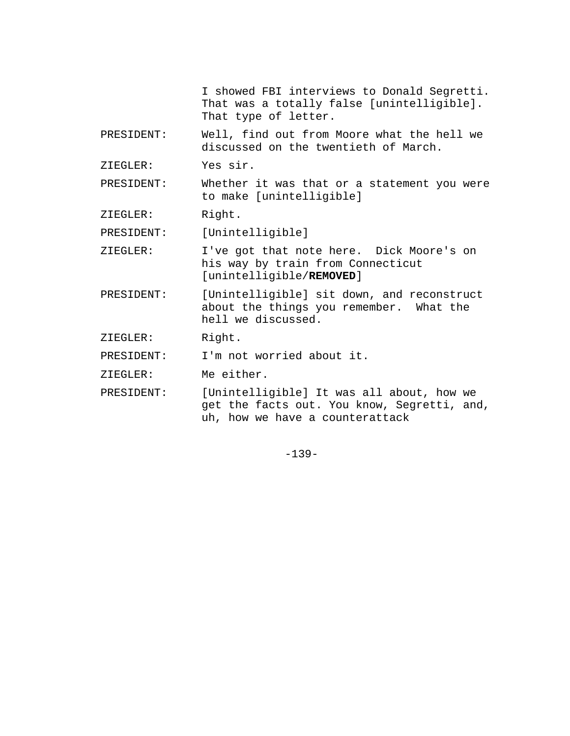I showed FBI interviews to Donald Segretti. That was a totally false [unintelligible]. That type of letter.

PRESIDENT: Well, find out from Moore what the hell we discussed on the twentieth of March.

ZIEGLER: Yes sir.

PRESIDENT: Whether it was that or a statement you were to make [unintelligible]

ZIEGLER: Right.

PRESIDENT: [Unintelligible]

ZIEGLER: I've got that note here. Dick Moore's on his way by train from Connecticut [unintelligible/**REMOVED**]

PRESIDENT: [Unintelligible] sit down, and reconstruct about the things you remember. What the hell we discussed.

ZIEGLER: Right.

PRESIDENT: I'm not worried about it.

ZIEGLER: Me either.

PRESIDENT: [Unintelligible] It was all about, how we get the facts out. You know, Segretti, and, uh, how we have a counterattack

-139-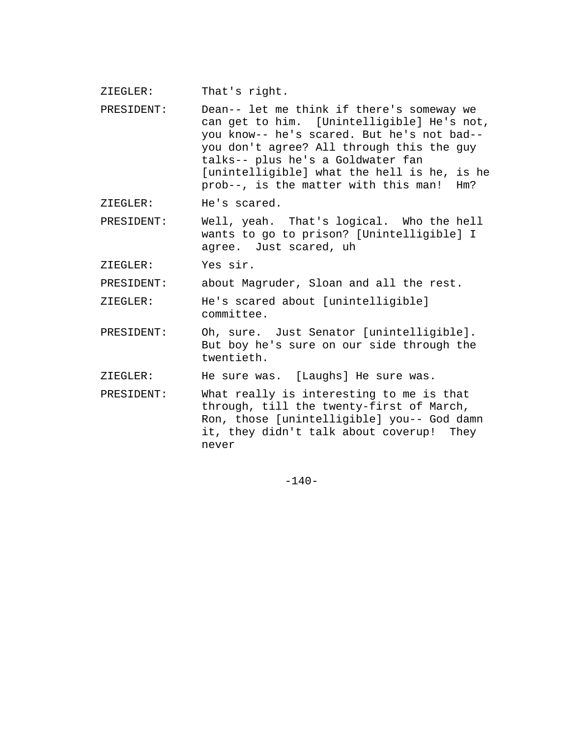ZIEGLER: That's right.

- PRESIDENT: Dean-- let me think if there's someway we can get to him. [Unintelligible] He's not, you know-- he's scared. But he's not bad- you don't agree? All through this the guy talks-- plus he's a Goldwater fan [unintelligible] what the hell is he, is he prob--, is the matter with this man! Hm?
- ZIEGLER: He's scared.
- PRESIDENT: Well, yeah. That's logical. Who the hell wants to go to prison? [Unintelligible] I agree. Just scared, uh
- ZIEGLER: Yes sir.

PRESIDENT: about Magruder, Sloan and all the rest.

ZIEGLER: He's scared about [unintelligible] committee.

PRESIDENT: Oh, sure. Just Senator [unintelligible]. But boy he's sure on our side through the twentieth.

ZIEGLER: He sure was. [Laughs] He sure was.

PRESIDENT: What really is interesting to me is that through, till the twenty-first of March, Ron, those [unintelligible] you-- God damn it, they didn't talk about coverup! They never

 $-140-$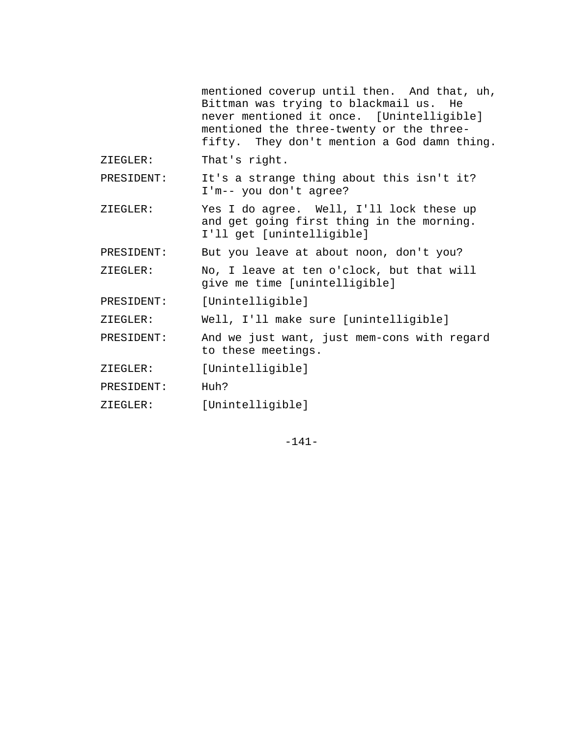mentioned coverup until then. And that, uh, Bittman was trying to blackmail us. He never mentioned it once. [Unintelligible] mentioned the three-twenty or the threefifty. They don't mention a God damn thing.

- ZIEGLER: That's right.
- PRESIDENT: It's a strange thing about this isn't it? I'm-- you don't agree?
- ZIEGLER: Yes I do agree. Well, I'll lock these up and get going first thing in the morning. I'll get [unintelligible]
- PRESIDENT: But you leave at about noon, don't you?

ZIEGLER: No, I leave at ten o'clock, but that will give me time [unintelligible]

- PRESIDENT: [Unintelligible]
- ZIEGLER: Well, I'll make sure [unintelligible]
- PRESIDENT: And we just want, just mem-cons with regard to these meetings.

ZIEGLER: [Unintelligible]

- PRESIDENT: Huh?
- ZIEGLER: [Unintelligible]

-141-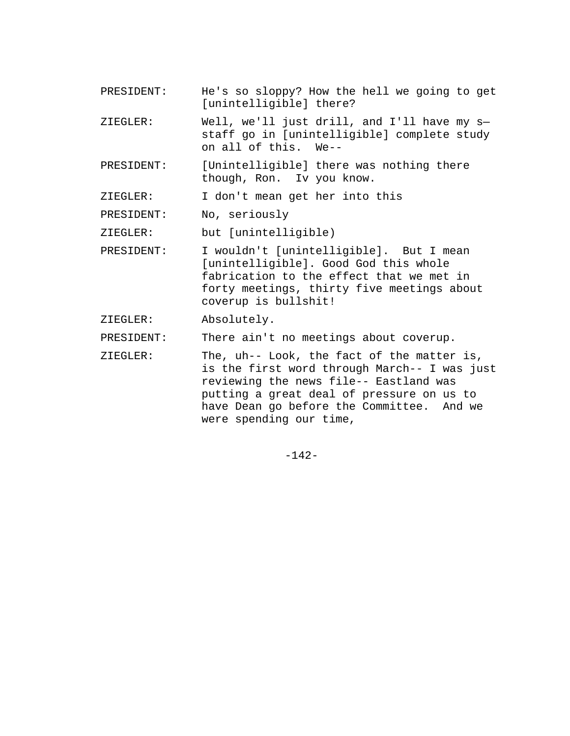PRESIDENT: He's so sloppy? How the hell we going to get [unintelligible] there?

ZIEGLER: Well, we'll just drill, and I'll have my s staff go in [unintelligible] complete study on all of this. We--

PRESIDENT: [Unintelligible] there was nothing there though, Ron. Iv you know.

ZIEGLER: I don't mean get her into this

PRESIDENT: No, seriously

ZIEGLER: but [unintelligible)

- PRESIDENT: I wouldn't [unintelligible]. But I mean [unintelligible]. Good God this whole fabrication to the effect that we met in forty meetings, thirty five meetings about coverup is bullshit!
- ZIEGLER: Absolutely.
- PRESIDENT: There ain't no meetings about coverup.
- ZIEGLER: The, uh-- Look, the fact of the matter is, is the first word through March-- I was just reviewing the news file-- Eastland was putting a great deal of pressure on us to have Dean go before the Committee. And we were spending our time,

-142-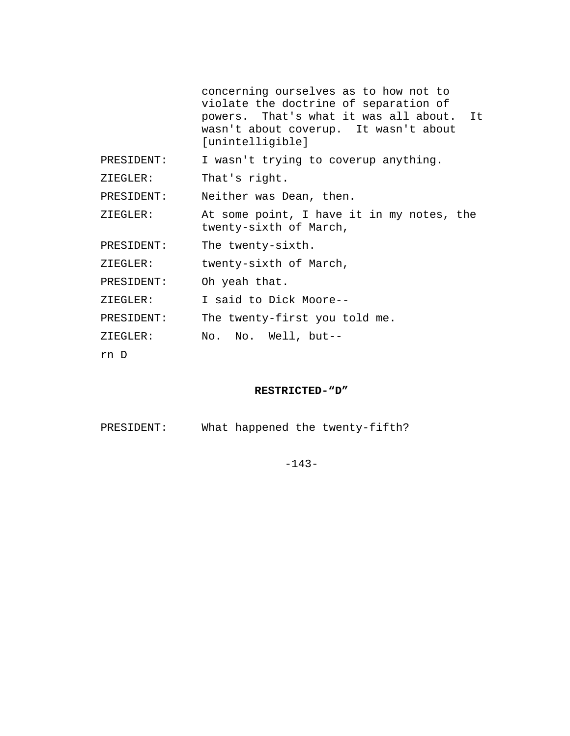|            | concerning ourselves as to how not to<br>violate the doctrine of separation of<br>powers. That's what it was all about. It<br>wasn't about coverup. It wasn't about<br>[unintelligible] |
|------------|-----------------------------------------------------------------------------------------------------------------------------------------------------------------------------------------|
| PRESIDENT: | I wasn't trying to coverup anything.                                                                                                                                                    |
| ZIEGLER:   | That's right.                                                                                                                                                                           |
| PRESIDENT: | Neither was Dean, then.                                                                                                                                                                 |
| ZIEGLER:   | At some point, I have it in my notes, the<br>twenty-sixth of March,                                                                                                                     |
| PRESIDENT: | The twenty-sixth.                                                                                                                                                                       |
| ZIEGLER:   | twenty-sixth of March,                                                                                                                                                                  |
| PRESIDENT: | Oh yeah that.                                                                                                                                                                           |
| ZIEGLER:   | I said to Dick Moore--                                                                                                                                                                  |
| PRESIDENT: | The twenty-first you told me.                                                                                                                                                           |
| ZIEGLER:   | No. No. Well, but--                                                                                                                                                                     |
| rn D       |                                                                                                                                                                                         |

## **RESTRICTED-"D"**

| PRESIDENT: |  |  |  | What happened the twenty-fifth? |
|------------|--|--|--|---------------------------------|
|------------|--|--|--|---------------------------------|

-143-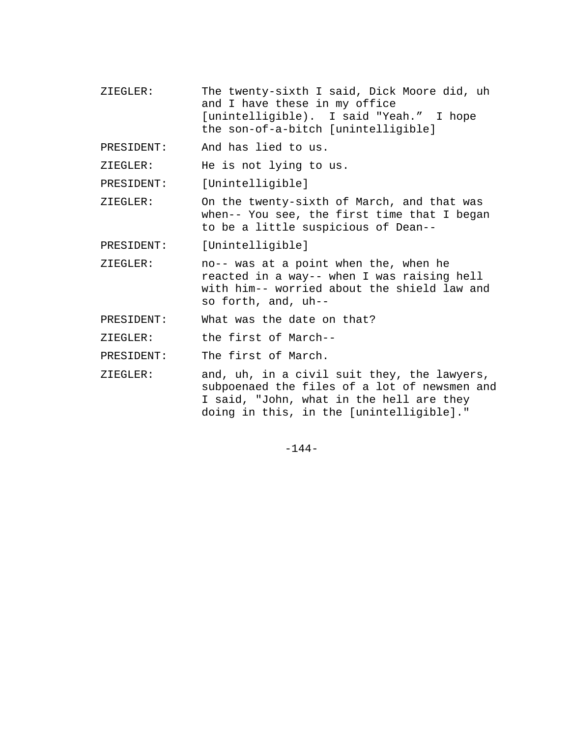- ZIEGLER: The twenty-sixth I said, Dick Moore did, uh and I have these in my office [unintelligible). I said "Yeah." I hope the son-of-a-bitch [unintelligible]
- PRESIDENT: And has lied to us.

ZIEGLER: He is not lying to us.

PRESIDENT: [Unintelligible]

ZIEGLER: On the twenty-sixth of March, and that was when-- You see, the first time that I began to be a little suspicious of Dean--

PRESIDENT: [Unintelligible]

ZIEGLER: no-- was at a point when the, when he reacted in a way-- when I was raising hell with him-- worried about the shield law and so forth, and, uh--

PRESIDENT: What was the date on that?

ZIEGLER: the first of March--

PRESIDENT: The first of March.

ZIEGLER: and, uh, in a civil suit they, the lawyers, subpoenaed the files of a lot of newsmen and I said, "John, what in the hell are they doing in this, in the [unintelligible]."

 $-144-$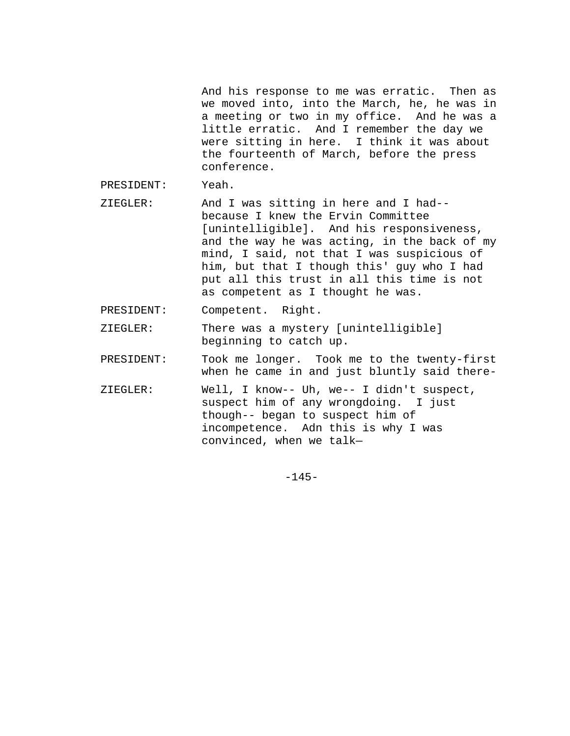And his response to me was erratic. Then as we moved into, into the March, he, he was in a meeting or two in my office. And he was a little erratic. And I remember the day we were sitting in here. I think it was about the fourteenth of March, before the press conference.

PRESIDENT: Yeah.

- ZIEGLER: And I was sitting in here and I had- because I knew the Ervin Committee [unintelligible]. And his responsiveness, and the way he was acting, in the back of my mind, I said, not that I was suspicious of him, but that I though this' guy who I had put all this trust in all this time is not as competent as I thought he was.
- PRESIDENT: Competent. Right.
- ZIEGLER: There was a mystery [unintelligible] beginning to catch up.
- PRESIDENT: Took me longer. Took me to the twenty-first when he came in and just bluntly said there-
- ZIEGLER: Well, I know-- Uh, we-- I didn't suspect, suspect him of any wrongdoing. I just though-- began to suspect him of incompetence. Adn this is why I was convinced, when we talk—

-145-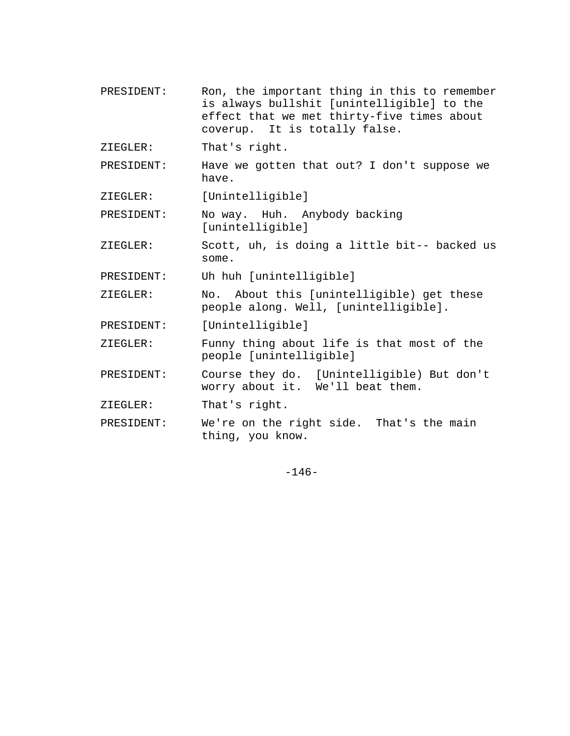- PRESIDENT: Ron, the important thing in this to remember is always bullshit [unintelligible] to the effect that we met thirty-five times about coverup. It is totally false.
- ZIEGLER: That's right.
- PRESIDENT: Have we gotten that out? I don't suppose we have.

ZIEGLER: [Unintelligible]

- PRESIDENT: No way. Huh. Anybody backing [unintelligible]
- ZIEGLER: Scott, uh, is doing a little bit-- backed us some.
- PRESIDENT: Uh huh [unintelligible]

ZIEGLER: No. About this [unintelligible) get these people along. Well, [unintelligible].

- PRESIDENT: [Unintelligible]
- ZIEGLER: Funny thing about life is that most of the people [unintelligible]
- PRESIDENT: Course they do. [Unintelligible) But don't worry about it. We'll beat them.
- ZIEGLER: That's right.
- PRESIDENT: We're on the right side. That's the main thing, you know.

-146-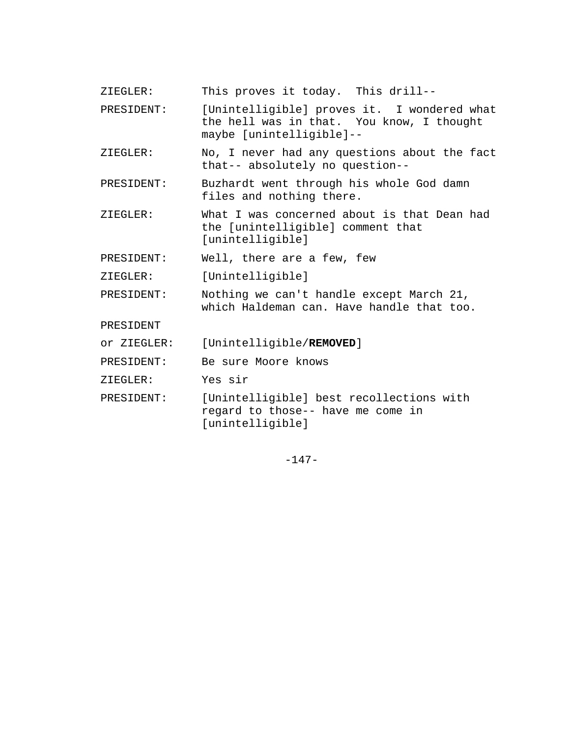- ZIEGLER: This proves it today. This drill--
- PRESIDENT: [Unintelligible] proves it. I wondered what the hell was in that. You know, I thought maybe [unintelligible]--
- ZIEGLER: No, I never had any questions about the fact that-- absolutely no question--
- PRESIDENT: Buzhardt went through his whole God damn files and nothing there.
- ZIEGLER: What I was concerned about is that Dean had the [unintelligible] comment that [unintelligible]

PRESIDENT: Well, there are a few, few

ZIEGLER: [Unintelligible]

PRESIDENT: Nothing we can't handle except March 21, which Haldeman can. Have handle that too.

PRESIDENT

- or ZIEGLER: [Unintelligible/**REMOVED**]
- PRESIDENT: Be sure Moore knows
- ZIEGLER: Yes sir
- PRESIDENT: [Unintelligible] best recollections with regard to those-- have me come in [unintelligible]

-147-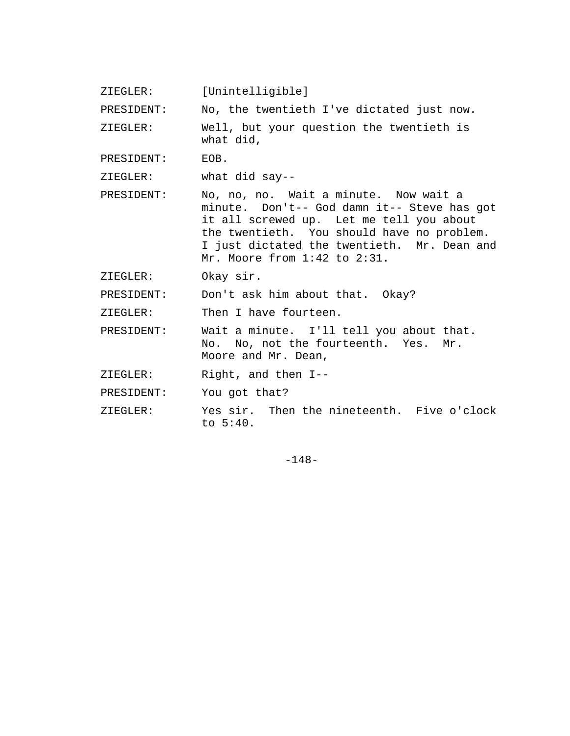ZIEGLER: [Unintelligible]

PRESIDENT: No, the twentieth I've dictated just now.

ZIEGLER: Well, but your question the twentieth is what did,

PRESIDENT: EOB.

- ZIEGLER: what did say--
- PRESIDENT: No, no, no. Wait a minute. Now wait a minute. Don't-- God damn it-- Steve has got it all screwed up. Let me tell you about the twentieth. You should have no problem. I just dictated the twentieth. Mr. Dean and Mr. Moore from 1:42 to 2:31.

ZIEGLER: Okay sir.

PRESIDENT: Don't ask him about that. Okay?

ZIEGLER: Then I have fourteen.

PRESIDENT: Wait a minute. I'll tell you about that. No. No, not the fourteenth. Yes. Mr. Moore and Mr. Dean,

ZIEGLER: Right, and then I--

PRESIDENT: You got that?

ZIEGLER: Yes sir. Then the nineteenth. Five o'clock to 5:40.

-148-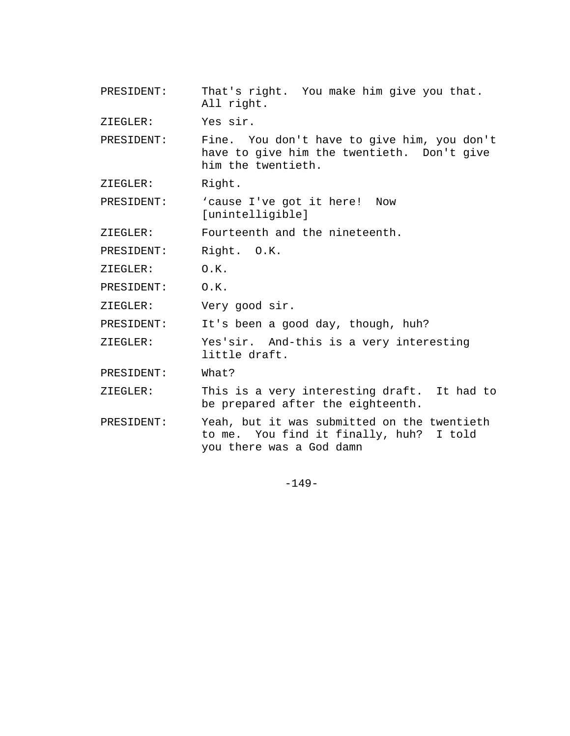PRESIDENT: That's right. You make him give you that. All right. ZIEGLER: Yes sir. PRESIDENT: Fine. You don't have to give him, you don't have to give him the twentieth. Don't give him the twentieth. ZIEGLER: Right. PRESIDENT: Cause I've got it here! Now [unintelligible] ZIEGLER: Fourteenth and the nineteenth. PRESIDENT: Right. O.K. ZIEGLER: O.K. PRESIDENT: O.K. ZIEGLER: Very good sir. PRESIDENT: It's been a good day, though, huh? ZIEGLER: Yes'sir. And-this is a very interesting little draft. PRESIDENT: What? ZIEGLER: This is a very interesting draft. It had to be prepared after the eighteenth. PRESIDENT: Yeah, but it was submitted on the twentieth to me. You find it finally, huh? I told you there was a God damn

-149-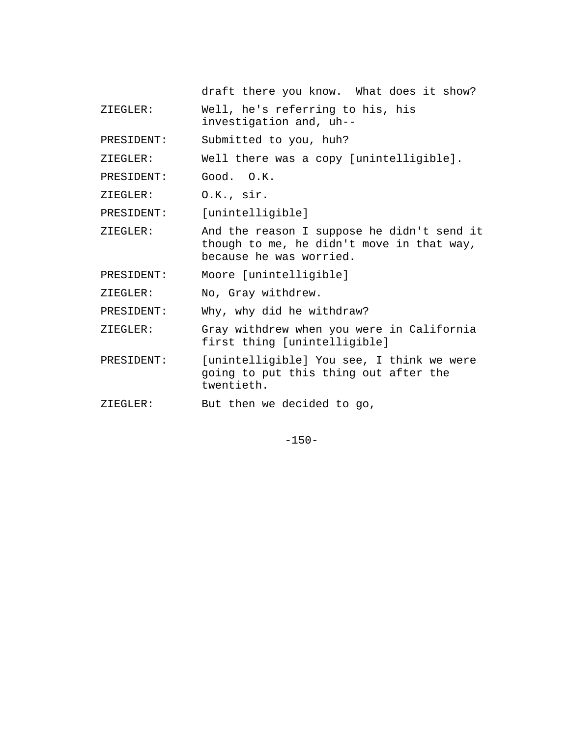| draft there you know. What does it show? |  |  |  |  |  |  |
|------------------------------------------|--|--|--|--|--|--|
|------------------------------------------|--|--|--|--|--|--|

ZIEGLER: Well, he's referring to his, his

investigation and, uh--

PRESIDENT: Submitted to you, huh?

ZIEGLER: Well there was a copy [unintelligible].

PRESIDENT: Good. O.K.

ZIEGLER: O.K., sir.

PRESIDENT: [unintelligible]

ZIEGLER: And the reason I suppose he didn't send it though to me, he didn't move in that way, because he was worried.

PRESIDENT: Moore [unintelligible]

ZIEGLER: No, Gray withdrew.

PRESIDENT: Why, why did he withdraw?

ZIEGLER: Gray withdrew when you were in California first thing [unintelligible]

PRESIDENT: [unintelligible] You see, I think we were going to put this thing out after the twentieth.

ZIEGLER: But then we decided to go,

 $-150-$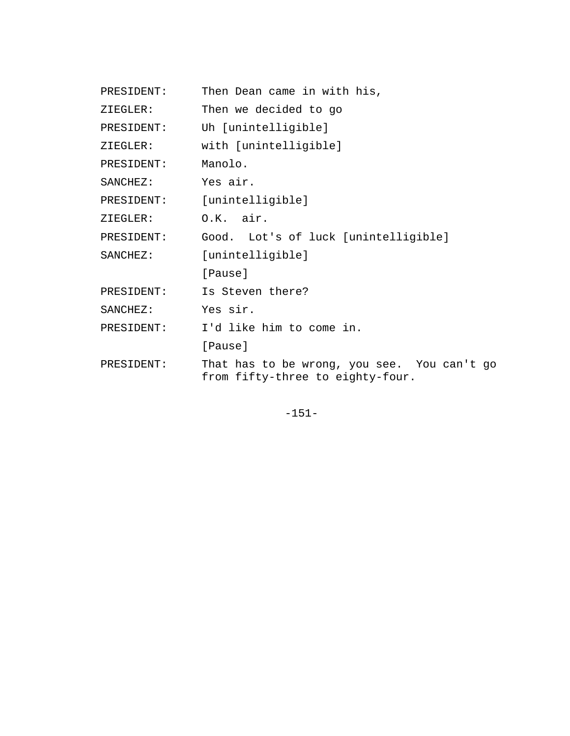| PRESIDENT: | Then Dean came in with his,                                                     |  |  |  |
|------------|---------------------------------------------------------------------------------|--|--|--|
| ZIEGLER:   | Then we decided to go                                                           |  |  |  |
| PRESIDENT: | Uh [unintelligible]                                                             |  |  |  |
| ZIEGLER:   | with [unintelligible]                                                           |  |  |  |
| PRESIDENT: | Manolo.                                                                         |  |  |  |
| SANCHEZ:   | Yes air.                                                                        |  |  |  |
|            | PRESIDENT: [unintelligible]                                                     |  |  |  |
| ZIEGLER:   | $0.K.$ air.                                                                     |  |  |  |
| PRESIDENT: | Good. Lot's of luck [unintelligible]                                            |  |  |  |
| SANCHEZ:   | [unintelligible]                                                                |  |  |  |
|            | [Pause]                                                                         |  |  |  |
| PRESIDENT: | Is Steven there?                                                                |  |  |  |
| SANCHEZ:   | Yes sir.                                                                        |  |  |  |
|            | PRESIDENT: I'd like him to come in.                                             |  |  |  |
|            | [Pause]                                                                         |  |  |  |
| PRESIDENT: | That has to be wrong, you see. You can't go<br>from fifty-three to eighty-four. |  |  |  |

-151-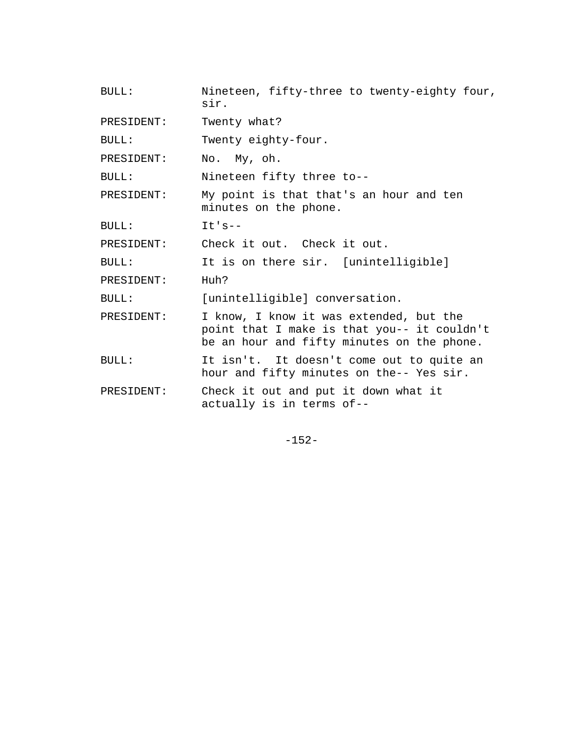| BULL:      | Nineteen, fifty-three to twenty-eighty four,<br>sir.                                                                                 |  |  |  |  |
|------------|--------------------------------------------------------------------------------------------------------------------------------------|--|--|--|--|
| PRESIDENT: | Twenty what?                                                                                                                         |  |  |  |  |
| BULL:      | Twenty eighty-four.                                                                                                                  |  |  |  |  |
| PRESIDENT: | No. My, oh.                                                                                                                          |  |  |  |  |
| BULL:      | Nineteen fifty three to--                                                                                                            |  |  |  |  |
| PRESIDENT: | My point is that that's an hour and ten<br>minutes on the phone.                                                                     |  |  |  |  |
| BULL:      | $It's - -$                                                                                                                           |  |  |  |  |
| PRESIDENT: | Check it out. Check it out.                                                                                                          |  |  |  |  |
| BULL:      | It is on there sir. [unintelligible]                                                                                                 |  |  |  |  |
| PRESIDENT: | Huh?                                                                                                                                 |  |  |  |  |
| BULL:      | [unintelligible] conversation.                                                                                                       |  |  |  |  |
| PRESIDENT: | I know, I know it was extended, but the<br>point that I make is that you-- it couldn't<br>be an hour and fifty minutes on the phone. |  |  |  |  |
| BULL:      | It isn't. It doesn't come out to quite an<br>hour and fifty minutes on the-- Yes sir.                                                |  |  |  |  |
| PRESIDENT: | Check it out and put it down what it<br>actually is in terms of--                                                                    |  |  |  |  |

-152-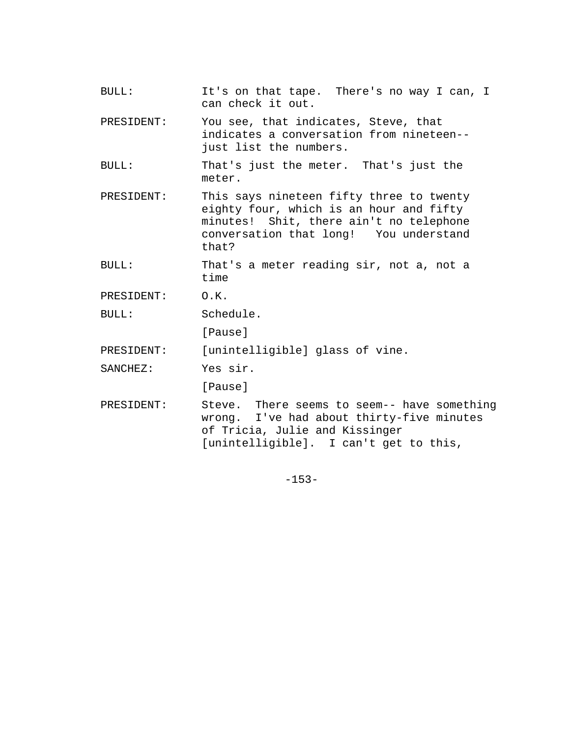BULL: It's on that tape. There's no way I can, I can check it out. PRESIDENT: You see, that indicates, Steve, that indicates a conversation from nineteen- just list the numbers. BULL: That's just the meter. That's just the meter. PRESIDENT: This says nineteen fifty three to twenty eighty four, which is an hour and fifty minutes! Shit, there ain't no telephone conversation that long! You understand that? BULL: That's a meter reading sir, not a, not a time PRESIDENT: O.K. BULL: Schedule. [Pause] PRESIDENT: [unintelligible] glass of vine. SANCHEZ: Yes sir. [Pause] PRESIDENT: Steve. There seems to seem-- have something wrong. I've had about thirty-five minutes of Tricia, Julie and Kissinger [unintelligible]. I can't get to this,

-153-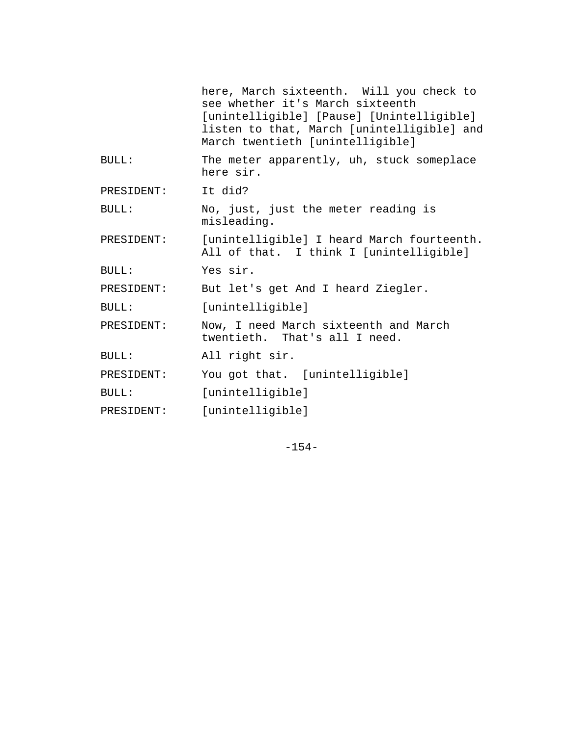|            | here, March sixteenth. Will you check to<br>see whether it's March sixteenth<br>[unintelligible] [Pause] [Unintelligible]<br>listen to that, March [unintelligible] and<br>March twentieth [unintelligible] |
|------------|-------------------------------------------------------------------------------------------------------------------------------------------------------------------------------------------------------------|
| BULL:      | The meter apparently, uh, stuck someplace<br>here sir.                                                                                                                                                      |
| PRESIDENT: | It did?                                                                                                                                                                                                     |
| BULL:      | No, just, just the meter reading is<br>misleading.                                                                                                                                                          |
| PRESIDENT: | [unintelligible] I heard March fourteenth.<br>All of that. I think I [unintelligible]                                                                                                                       |
| BULL:      | Yes sir.                                                                                                                                                                                                    |
| PRESIDENT: | But let's get And I heard Ziegler.                                                                                                                                                                          |
| BULL:      | [unintelligible]                                                                                                                                                                                            |
| PRESIDENT: | Now, I need March sixteenth and March<br>twentieth. That's all I need.                                                                                                                                      |
| BULL:      | All right sir.                                                                                                                                                                                              |
| PRESIDENT: | You got that. [unintelligible]                                                                                                                                                                              |
| BULL:      | [unintelligible]                                                                                                                                                                                            |
| PRESIDENT: | [unintelligible]                                                                                                                                                                                            |

-154-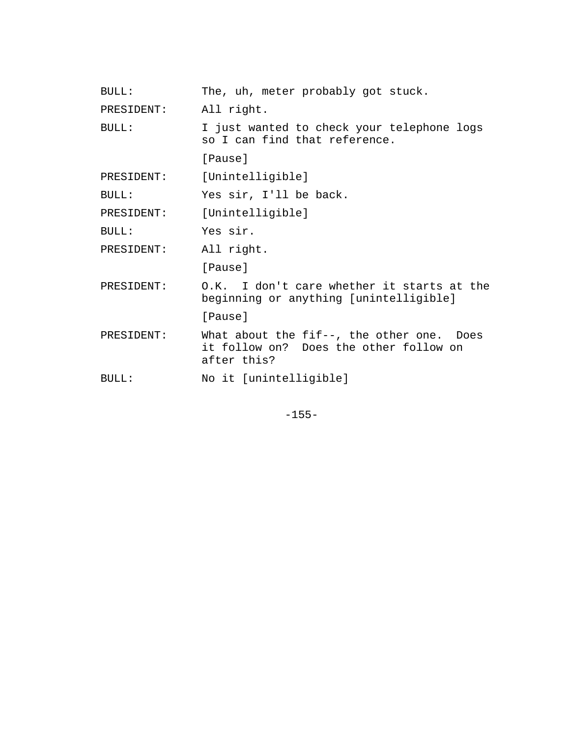| BULL:      | The, uh, meter probably got stuck.                                                                    |  |  |  |
|------------|-------------------------------------------------------------------------------------------------------|--|--|--|
| PRESIDENT: | All right.                                                                                            |  |  |  |
| BULL:      | I just wanted to check your telephone logs<br>so I can find that reference.                           |  |  |  |
|            | [Pause]                                                                                               |  |  |  |
|            | PRESIDENT: [Unintelligible]                                                                           |  |  |  |
| BULL:      | Yes sir, I'll be back.                                                                                |  |  |  |
| PRESIDENT: | [Unintelligible]                                                                                      |  |  |  |
| BULL:      | Yes sir.                                                                                              |  |  |  |
| PRESIDENT: | All right.                                                                                            |  |  |  |
|            | [Pause]                                                                                               |  |  |  |
| PRESIDENT: | O.K. I don't care whether it starts at the<br>beginning or anything [unintelligible]                  |  |  |  |
|            | [Pause]                                                                                               |  |  |  |
| PRESIDENT: | What about the $fif--$ , the other one. Does<br>it follow on? Does the other follow on<br>after this? |  |  |  |
| BULL:      | No it [unintelligible]                                                                                |  |  |  |
|            |                                                                                                       |  |  |  |

-155-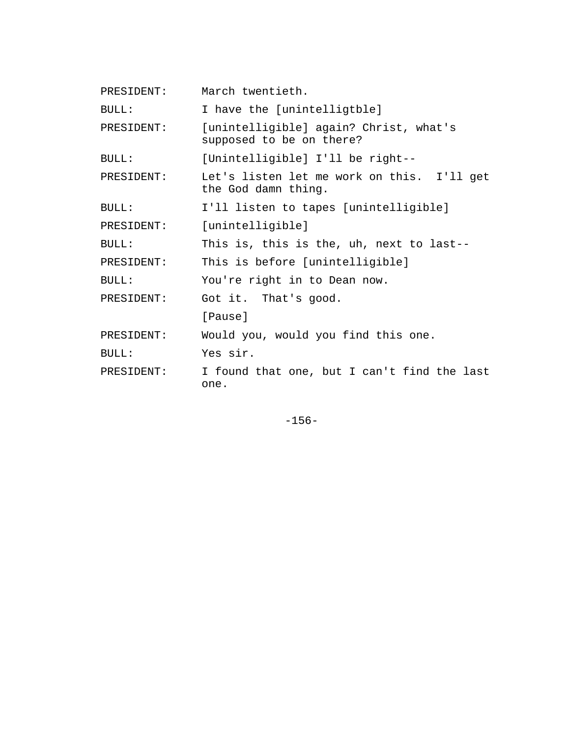| PRESIDENT:   | March twentieth.                                                   |
|--------------|--------------------------------------------------------------------|
| BULL:        | I have the [unintelligtble]                                        |
| PRESIDENT:   | [unintelligible] again? Christ, what's<br>supposed to be on there? |
| BULL:        | [Unintelligible] I'll be right--                                   |
| PRESIDENT:   | Let's listen let me work on this. I'll get<br>the God damn thing.  |
| BULL:        | I'll listen to tapes [unintelligible]                              |
| PRESIDENT:   | [unintelligible]                                                   |
| BULL:        | This is, this is the, uh, next to last--                           |
| PRESIDENT:   | This is before [unintelligible]                                    |
| BULL:        | You're right in to Dean now.                                       |
| PRESIDENT:   | Got it. That's good.                                               |
|              | [Pause]                                                            |
| PRESIDENT:   | Would you, would you find this one.                                |
| <b>BULL:</b> | Yes sir.                                                           |
| PRESIDENT:   | I found that one, but I can't find the last<br>one.                |

-156-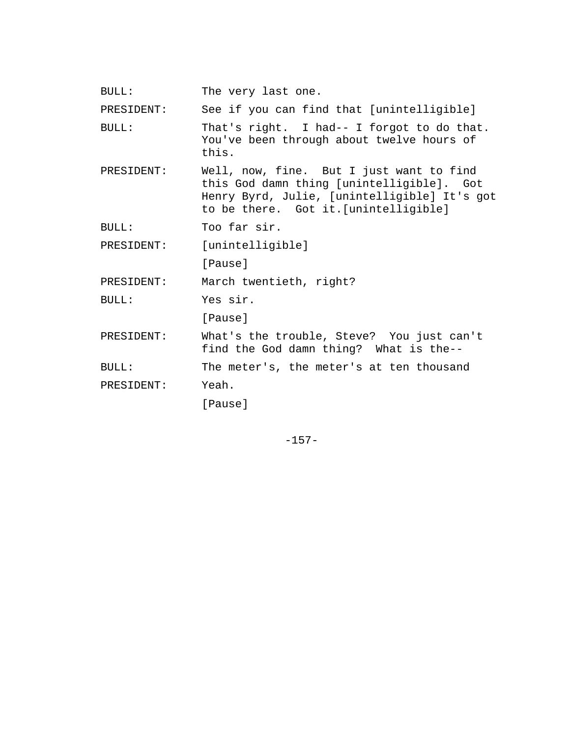| BULL:      | The very last one.                                                                                                                                                             |
|------------|--------------------------------------------------------------------------------------------------------------------------------------------------------------------------------|
| PRESIDENT: | See if you can find that [unintelligible]                                                                                                                                      |
| BULL:      | That's right. I had-- I forgot to do that.<br>You've been through about twelve hours of<br>this.                                                                               |
| PRESIDENT: | Well, now, fine. But I just want to find<br>this God damn thing [unintelligible]. Got<br>Henry Byrd, Julie, [unintelligible] It's got<br>to be there. Got it. [unintelligible] |
| BULL:      | Too far sir.                                                                                                                                                                   |
| PRESIDENT: | [unintelligible]                                                                                                                                                               |
|            | [Pause]                                                                                                                                                                        |
| PRESIDENT: | March twentieth, right?                                                                                                                                                        |
| BULL:      | Yes sir.                                                                                                                                                                       |
|            | [Pause]                                                                                                                                                                        |
| PRESIDENT: | What's the trouble, Steve? You just can't<br>find the God damn thing? What is the--                                                                                            |
| BULL:      | The meter's, the meter's at ten thousand                                                                                                                                       |
| PRESIDENT: | Yeah.                                                                                                                                                                          |
|            | [Pause]                                                                                                                                                                        |

-157-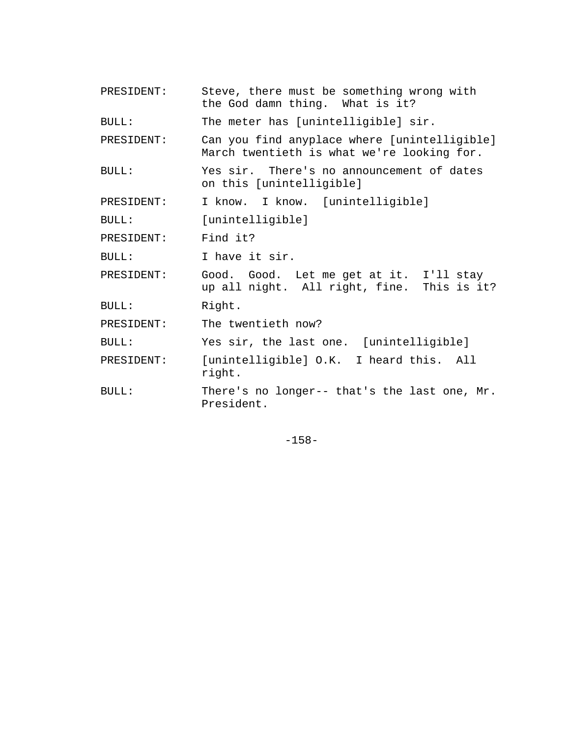| PRESIDENT: | Steve, there must be something wrong with<br>the God damn thing. What is it?               |  |  |  |  |  |
|------------|--------------------------------------------------------------------------------------------|--|--|--|--|--|
| BULL:      | The meter has [unintelligible] sir.                                                        |  |  |  |  |  |
| PRESIDENT: | Can you find anyplace where [unintelligible]<br>March twentieth is what we're looking for. |  |  |  |  |  |
| BULL:      | Yes sir. There's no announcement of dates<br>on this [unintelligible]                      |  |  |  |  |  |
| PRESIDENT: | I know. I know. [unintelligible]                                                           |  |  |  |  |  |
| BULL:      | [unintelligible]                                                                           |  |  |  |  |  |
| PRESIDENT: | Find it?                                                                                   |  |  |  |  |  |
| BULL:      | I have it sir.                                                                             |  |  |  |  |  |
| PRESIDENT: | Good. Good. Let me get at it. I'll stay<br>up all night. All right, fine. This is it?      |  |  |  |  |  |
| BULL:      | Right.                                                                                     |  |  |  |  |  |
| PRESIDENT: | The twentieth now?                                                                         |  |  |  |  |  |
| BULL:      | Yes sir, the last one. [unintelligible]                                                    |  |  |  |  |  |
| PRESIDENT: | [unintelligible] O.K. I heard this. All<br>right.                                          |  |  |  |  |  |
| BULL:      | There's no longer-- that's the last one, Mr.<br>President.                                 |  |  |  |  |  |

-158-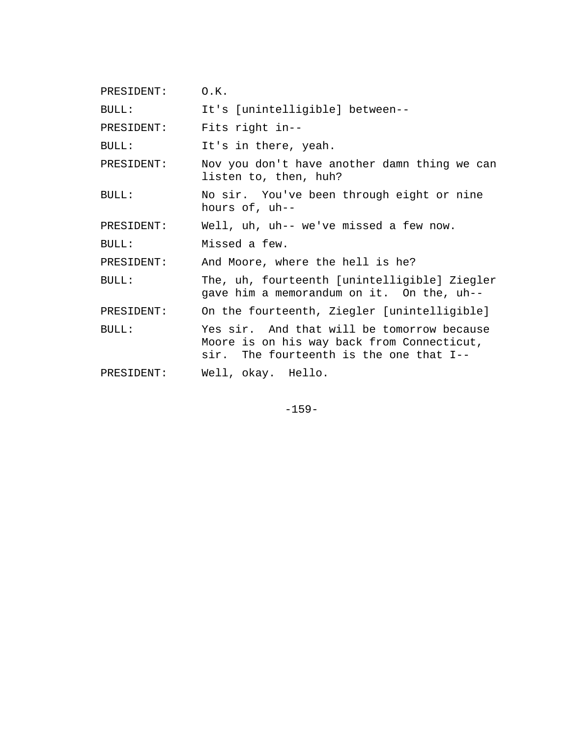| PRESIDENT:   | 0.K.                                                                                                                                |
|--------------|-------------------------------------------------------------------------------------------------------------------------------------|
| BULL:        | It's [unintelligible] between--                                                                                                     |
| PRESIDENT:   | Fits right in--                                                                                                                     |
| BULL:        | It's in there, yeah.                                                                                                                |
| PRESIDENT:   | Nov you don't have another damn thing we can<br>listen to, then, huh?                                                               |
| BULL:        | No sir. You've been through eight or nine<br>hours of, uh--                                                                         |
| PRESIDENT:   | Well, uh, uh-- we've missed a few now.                                                                                              |
| BULL:        | Missed a few.                                                                                                                       |
| PRESIDENT:   | And Moore, where the hell is he?                                                                                                    |
| BULL:        | The, uh, fourteenth [unintelligible] Ziegler<br>gave him a memorandum on it. On the, uh--                                           |
| PRESIDENT:   | On the fourteenth, Ziegler [unintelligible]                                                                                         |
| <b>BULL:</b> | Yes sir. And that will be tomorrow because<br>Moore is on his way back from Connecticut,<br>sir. The fourteenth is the one that I-- |
| PRESIDENT:   | Well, okay. Hello.                                                                                                                  |
|              |                                                                                                                                     |

-159-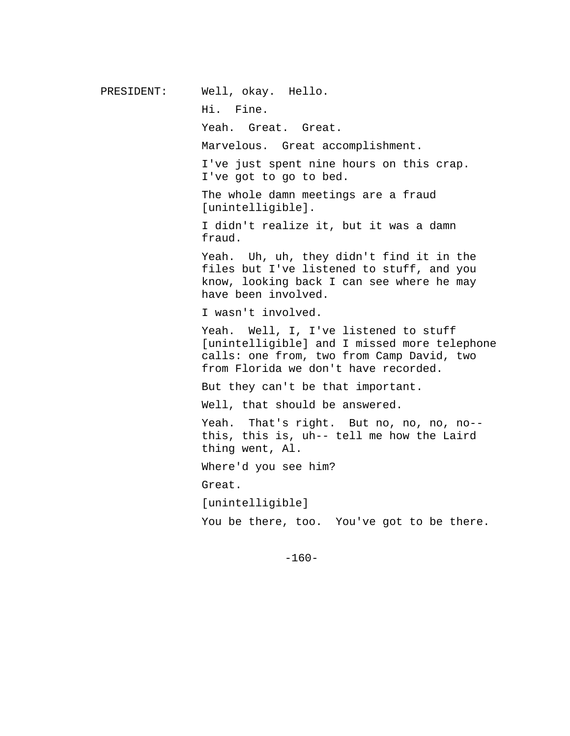PRESIDENT: Well, okay. Hello.

Hi. Fine.

Yeah. Great. Great.

Marvelous. Great accomplishment.

I've just spent nine hours on this crap. I've got to go to bed.

The whole damn meetings are a fraud [unintelligible].

I didn't realize it, but it was a damn fraud.

Yeah. Uh, uh, they didn't find it in the files but I've listened to stuff, and you know, looking back I can see where he may have been involved.

I wasn't involved.

Yeah. Well, I, I've listened to stuff [unintelligible] and I missed more telephone calls: one from, two from Camp David, two from Florida we don't have recorded.

But they can't be that important.

Well, that should be answered.

Yeah. That's right. But no, no, no, no- this, this is, uh-- tell me how the Laird thing went, Al.

Where'd you see him?

Great.

[unintelligible]

You be there, too. You've got to be there.

 $-160-$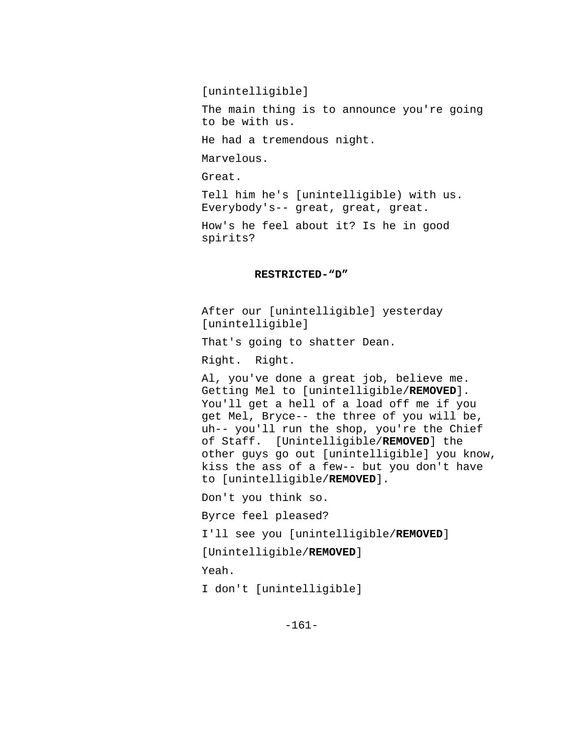[unintelligible]

The main thing is to announce you're going to be with us.

He had a tremendous night.

Marvelous.

Great.

Tell him he's [unintelligible) with us. Everybody's-- great, great, great.

How's he feel about it? Is he in good spirits?

## **RESTRICTED-"D"**

After our [unintelligible] yesterday [unintelligible]

That's going to shatter Dean.

Right. Right.

Al, you've done a great job, believe me. Getting Mel to [unintelligible/**REMOVED**]. You'll get a hell of a load off me if you get Mel, Bryce-- the three of you will be, uh-- you'll run the shop, you're the Chief of Staff. [Unintelligible/**REMOVED**] the other guys go out [unintelligible] you know, kiss the ass of a few-- but you don't have to [unintelligible/**REMOVED**].

Don't you think so.

Byrce feel pleased?

I'll see you [unintelligible/**REMOVED**]

[Unintelligible/**REMOVED**]

Yeah.

I don't [unintelligible]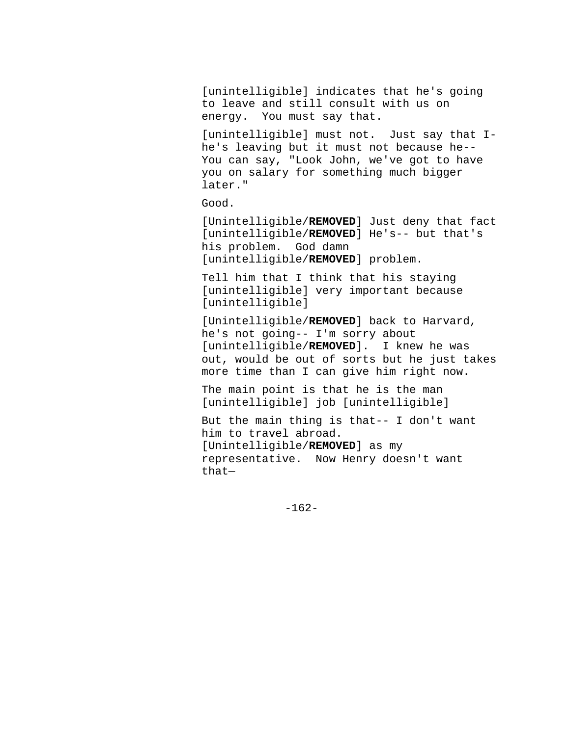[unintelligible] indicates that he's going to leave and still consult with us on energy. You must say that.

[unintelligible] must not. Just say that Ihe's leaving but it must not because he-- You can say, "Look John, we've got to have you on salary for something much bigger later."

Good.

[Unintelligible/**REMOVED**] Just deny that fact [unintelligible/**REMOVED**] He's-- but that's his problem. God damn [unintelligible/**REMOVED**] problem.

Tell him that I think that his staying [unintelligible] very important because [unintelligible]

[Unintelligible/**REMOVED**] back to Harvard, he's not going-- I'm sorry about [unintelligible/**REMOVED**]. I knew he was out, would be out of sorts but he just takes more time than I can give him right now.

The main point is that he is the man [unintelligible] job [unintelligible]

But the main thing is that-- I don't want him to travel abroad. [Unintelligible/**REMOVED**] as my representative. Now Henry doesn't want that—

 $-162-$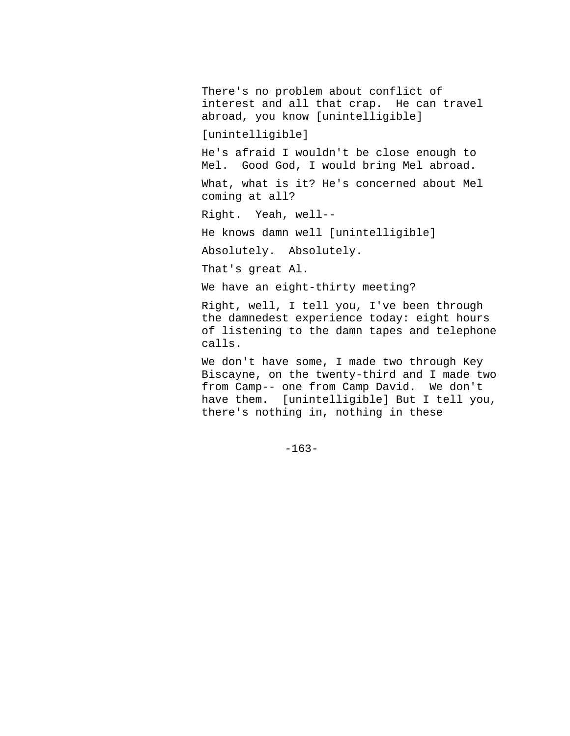There's no problem about conflict of interest and all that crap. He can travel abroad, you know [unintelligible] [unintelligible] He's afraid I wouldn't be close enough to Mel. Good God, I would bring Mel abroad. What, what is it? He's concerned about Mel coming at all? Right. Yeah, well-- He knows damn well [unintelligible] Absolutely. Absolutely. That's great Al. We have an eight-thirty meeting? Right, well, I tell you, I've been through the damnedest experience today: eight hours of listening to the damn tapes and telephone calls. We don't have some, I made two through Key

Biscayne, on the twenty-third and I made two from Camp-- one from Camp David. We don't have them. [unintelligible] But I tell you, there's nothing in, nothing in these

 $-163-$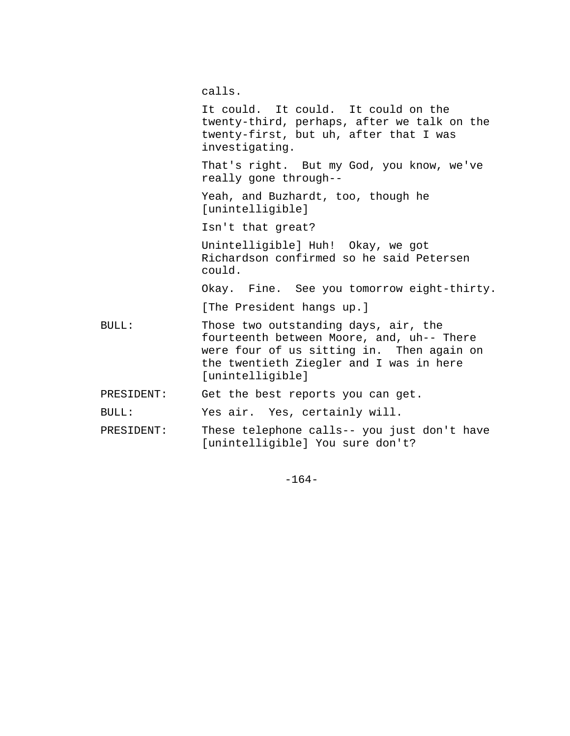It could. It could. It could on the twenty-third, perhaps, after we talk on the twenty-first, but uh, after that I was investigating. That's right. But my God, you know, we've really gone through-- Yeah, and Buzhardt, too, though he [unintelligible] Isn't that great? Unintelligible] Huh! Okay, we got Richardson confirmed so he said Petersen could. Okay. Fine. See you tomorrow eight-thirty. [The President hangs up.] BULL: Those two outstanding days, air, the fourteenth between Moore, and, uh-- There were four of us sitting in. Then again on the twentieth Ziegler and I was in here [unintelligible] PRESIDENT: Get the best reports you can get. BULL: Yes air. Yes, certainly will. PRESIDENT: These telephone calls-- you just don't have [unintelligible] You sure don't?

 $-164-$